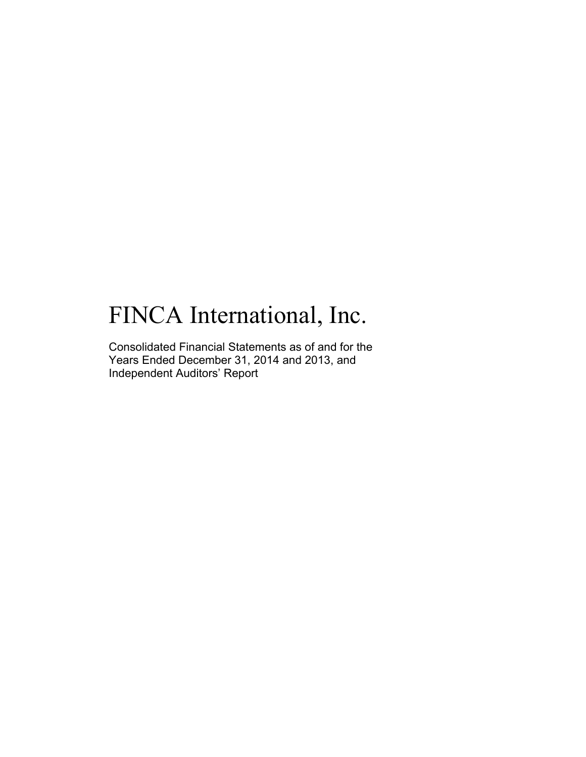# FINCA International, Inc.

Consolidated Financial Statements as of and for the Years Ended December 31, 2014 and 2013, and Independent Auditors' Report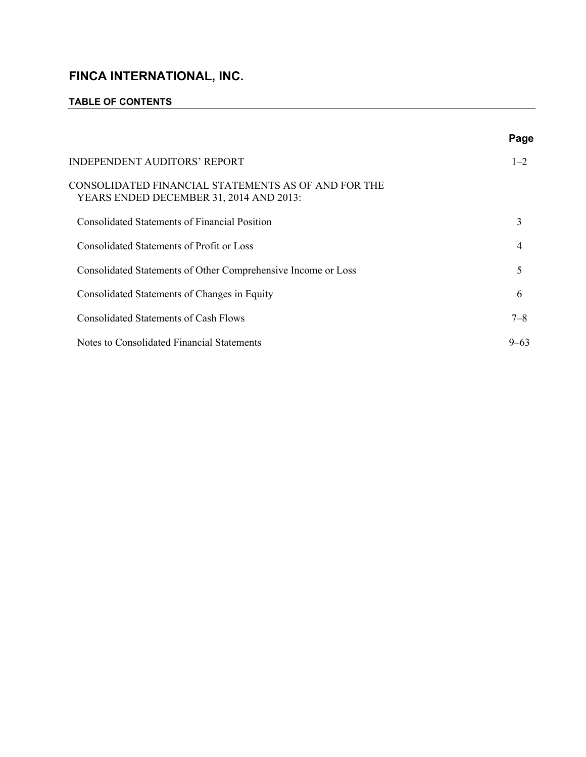# **TABLE OF CONTENTS**

|                                                                                                | Page     |
|------------------------------------------------------------------------------------------------|----------|
| <b>INDEPENDENT AUDITORS' REPORT</b>                                                            | $1 - 2$  |
| CONSOLIDATED FINANCIAL STATEMENTS AS OF AND FOR THE<br>YEARS ENDED DECEMBER 31, 2014 AND 2013: |          |
| <b>Consolidated Statements of Financial Position</b>                                           | 3        |
| Consolidated Statements of Profit or Loss                                                      | 4        |
| Consolidated Statements of Other Comprehensive Income or Loss                                  | 5        |
| Consolidated Statements of Changes in Equity                                                   | 6        |
| <b>Consolidated Statements of Cash Flows</b>                                                   | $7 - 8$  |
| Notes to Consolidated Financial Statements                                                     | $9 - 63$ |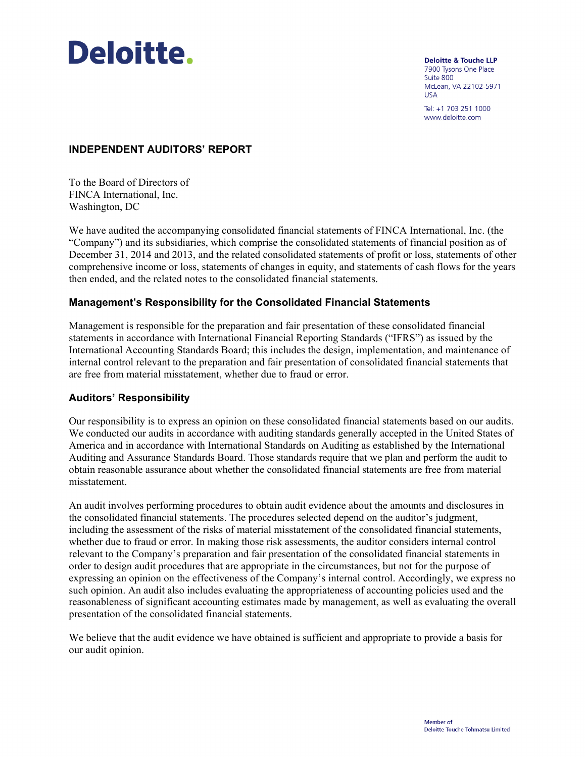

**Deloitte & Touche LLP** 7900 Tysons One Place Suite 800 McLean, VA 22102-5971 **TISA** 

Tel: +1 703 251 1000 www.deloitte.com

# **INDEPENDENT AUDITORS' REPORT**

To the Board of Directors of FINCA International, Inc. Washington, DC

We have audited the accompanying consolidated financial statements of FINCA International, Inc. (the "Company") and its subsidiaries, which comprise the consolidated statements of financial position as of December 31, 2014 and 2013, and the related consolidated statements of profit or loss, statements of other comprehensive income or loss, statements of changes in equity, and statements of cash flows for the years then ended, and the related notes to the consolidated financial statements.

#### **Management's Responsibility for the Consolidated Financial Statements**

Management is responsible for the preparation and fair presentation of these consolidated financial statements in accordance with International Financial Reporting Standards ("IFRS") as issued by the International Accounting Standards Board; this includes the design, implementation, and maintenance of internal control relevant to the preparation and fair presentation of consolidated financial statements that are free from material misstatement, whether due to fraud or error.

#### **Auditors' Responsibility**

Our responsibility is to express an opinion on these consolidated financial statements based on our audits. We conducted our audits in accordance with auditing standards generally accepted in the United States of America and in accordance with International Standards on Auditing as established by the International Auditing and Assurance Standards Board. Those standards require that we plan and perform the audit to obtain reasonable assurance about whether the consolidated financial statements are free from material misstatement.

An audit involves performing procedures to obtain audit evidence about the amounts and disclosures in the consolidated financial statements. The procedures selected depend on the auditor's judgment, including the assessment of the risks of material misstatement of the consolidated financial statements, whether due to fraud or error. In making those risk assessments, the auditor considers internal control relevant to the Company's preparation and fair presentation of the consolidated financial statements in order to design audit procedures that are appropriate in the circumstances, but not for the purpose of expressing an opinion on the effectiveness of the Company's internal control. Accordingly, we express no such opinion. An audit also includes evaluating the appropriateness of accounting policies used and the reasonableness of significant accounting estimates made by management, as well as evaluating the overall presentation of the consolidated financial statements.

We believe that the audit evidence we have obtained is sufficient and appropriate to provide a basis for our audit opinion.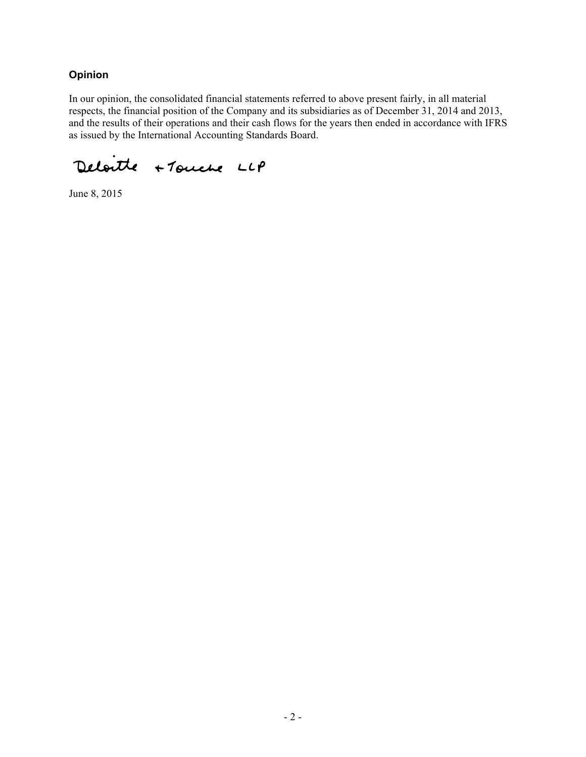# **Opinion**

In our opinion, the consolidated financial statements referred to above present fairly, in all material respects, the financial position of the Company and its subsidiaries as of December 31, 2014 and 2013, and the results of their operations and their cash flows for the years then ended in accordance with IFRS as issued by the International Accounting Standards Board.

Deloitte + Touche LLP

June 8, 2015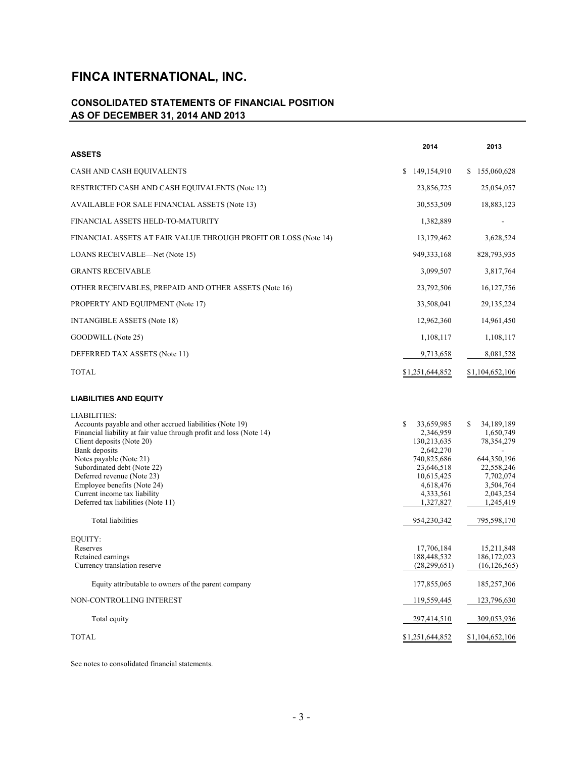# **CONSOLIDATED STATEMENTS OF FINANCIAL POSITION AS OF DECEMBER 31, 2014 AND 2013**

|                                                                                                                                                                                                                                                                                                                                                                                                   | 2014                                                                                                                                        | 2013                                                                                                                             |
|---------------------------------------------------------------------------------------------------------------------------------------------------------------------------------------------------------------------------------------------------------------------------------------------------------------------------------------------------------------------------------------------------|---------------------------------------------------------------------------------------------------------------------------------------------|----------------------------------------------------------------------------------------------------------------------------------|
| <b>ASSETS</b>                                                                                                                                                                                                                                                                                                                                                                                     |                                                                                                                                             |                                                                                                                                  |
| CASH AND CASH EQUIVALENTS                                                                                                                                                                                                                                                                                                                                                                         | \$<br>149,154,910                                                                                                                           | \$<br>155,060,628                                                                                                                |
| RESTRICTED CASH AND CASH EQUIVALENTS (Note 12)                                                                                                                                                                                                                                                                                                                                                    | 23,856,725                                                                                                                                  | 25,054,057                                                                                                                       |
| <b>AVAILABLE FOR SALE FINANCIAL ASSETS (Note 13)</b>                                                                                                                                                                                                                                                                                                                                              | 30,553,509                                                                                                                                  | 18,883,123                                                                                                                       |
| FINANCIAL ASSETS HELD-TO-MATURITY                                                                                                                                                                                                                                                                                                                                                                 | 1,382,889                                                                                                                                   |                                                                                                                                  |
| FINANCIAL ASSETS AT FAIR VALUE THROUGH PROFIT OR LOSS (Note 14)                                                                                                                                                                                                                                                                                                                                   | 13,179,462                                                                                                                                  | 3,628,524                                                                                                                        |
| LOANS RECEIVABLE—Net (Note 15)                                                                                                                                                                                                                                                                                                                                                                    | 949, 333, 168                                                                                                                               | 828,793,935                                                                                                                      |
| <b>GRANTS RECEIVABLE</b>                                                                                                                                                                                                                                                                                                                                                                          | 3,099,507                                                                                                                                   | 3,817,764                                                                                                                        |
| OTHER RECEIVABLES, PREPAID AND OTHER ASSETS (Note 16)                                                                                                                                                                                                                                                                                                                                             | 23,792,506                                                                                                                                  | 16, 127, 756                                                                                                                     |
| PROPERTY AND EQUIPMENT (Note 17)                                                                                                                                                                                                                                                                                                                                                                  | 33,508,041                                                                                                                                  | 29, 135, 224                                                                                                                     |
| <b>INTANGIBLE ASSETS (Note 18)</b>                                                                                                                                                                                                                                                                                                                                                                | 12,962,360                                                                                                                                  | 14,961,450                                                                                                                       |
| GOODWILL (Note 25)                                                                                                                                                                                                                                                                                                                                                                                | 1,108,117                                                                                                                                   | 1,108,117                                                                                                                        |
| DEFERRED TAX ASSETS (Note 11)                                                                                                                                                                                                                                                                                                                                                                     | 9,713,658                                                                                                                                   | 8,081,528                                                                                                                        |
| <b>TOTAL</b>                                                                                                                                                                                                                                                                                                                                                                                      | \$1,251,644,852                                                                                                                             | \$1,104,652,106                                                                                                                  |
| <b>LIABILITIES AND EQUITY</b>                                                                                                                                                                                                                                                                                                                                                                     |                                                                                                                                             |                                                                                                                                  |
| <b>LIABILITIES:</b><br>Accounts payable and other accrued liabilities (Note 19)<br>Financial liability at fair value through profit and loss (Note 14)<br>Client deposits (Note 20)<br>Bank deposits<br>Notes payable (Note 21)<br>Subordinated debt (Note 22)<br>Deferred revenue (Note 23)<br>Employee benefits (Note 24)<br>Current income tax liability<br>Deferred tax liabilities (Note 11) | \$<br>33,659,985<br>2,346,959<br>130,213,635<br>2,642,270<br>740,825,686<br>23,646,518<br>10,615,425<br>4,618,476<br>4,333,561<br>1,327,827 | \$<br>34, 189, 189<br>1,650,749<br>78,354,279<br>644, 350, 196<br>22,558,246<br>7,702,074<br>3,504,764<br>2,043,254<br>1,245,419 |
| <b>Total liabilities</b>                                                                                                                                                                                                                                                                                                                                                                          | 954,230,342                                                                                                                                 | 795,598,170                                                                                                                      |
| EQUITY:<br>Reserves<br>Retained earnings<br>Currency translation reserve                                                                                                                                                                                                                                                                                                                          | 17,706,184<br>188,448,532<br>(28, 299, 651)                                                                                                 | 15,211,848<br>186, 172, 023<br>(16, 126, 565)                                                                                    |
| Equity attributable to owners of the parent company                                                                                                                                                                                                                                                                                                                                               | 177,855,065                                                                                                                                 | 185,257,306                                                                                                                      |
| NON-CONTROLLING INTEREST                                                                                                                                                                                                                                                                                                                                                                          | 119,559,445                                                                                                                                 | 123,796,630                                                                                                                      |
| Total equity                                                                                                                                                                                                                                                                                                                                                                                      | 297,414,510                                                                                                                                 | 309,053,936                                                                                                                      |
| <b>TOTAL</b>                                                                                                                                                                                                                                                                                                                                                                                      | \$1,251,644,852                                                                                                                             | \$1,104,652,106                                                                                                                  |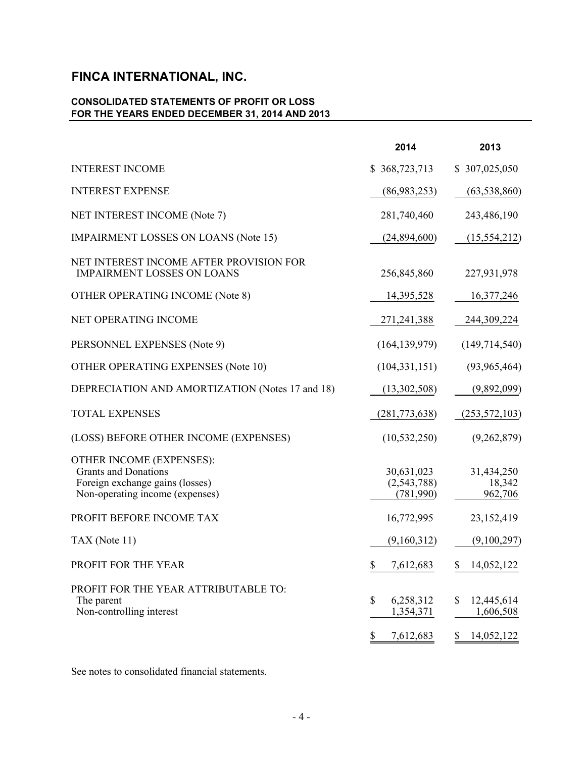# **CONSOLIDATED STATEMENTS OF PROFIT OR LOSS FOR THE YEARS ENDED DECEMBER 31, 2014 AND 2013**

|                                                                                                                               | 2014                                   | 2013                            |
|-------------------------------------------------------------------------------------------------------------------------------|----------------------------------------|---------------------------------|
| <b>INTEREST INCOME</b>                                                                                                        | \$368,723,713                          | \$307,025,050                   |
| <b>INTEREST EXPENSE</b>                                                                                                       | (86,983,253)                           | (63, 538, 860)                  |
| <b>NET INTEREST INCOME (Note 7)</b>                                                                                           | 281,740,460                            | 243,486,190                     |
| <b>IMPAIRMENT LOSSES ON LOANS (Note 15)</b>                                                                                   | (24,894,600)                           | (15, 554, 212)                  |
| NET INTEREST INCOME AFTER PROVISION FOR<br><b>IMPAIRMENT LOSSES ON LOANS</b>                                                  | 256,845,860                            | 227,931,978                     |
| OTHER OPERATING INCOME (Note 8)                                                                                               | 14,395,528                             | 16,377,246                      |
| NET OPERATING INCOME                                                                                                          | 271, 241, 388                          | 244,309,224                     |
| PERSONNEL EXPENSES (Note 9)                                                                                                   | (164, 139, 979)                        | (149, 714, 540)                 |
| <b>OTHER OPERATING EXPENSES (Note 10)</b>                                                                                     | (104, 331, 151)                        | (93, 965, 464)                  |
| DEPRECIATION AND AMORTIZATION (Notes 17 and 18)                                                                               | (13,302,508)                           | (9,892,099)                     |
| <b>TOTAL EXPENSES</b>                                                                                                         | (281, 773, 638)                        | (253, 572, 103)                 |
| (LOSS) BEFORE OTHER INCOME (EXPENSES)                                                                                         | (10, 532, 250)                         | (9,262,879)                     |
| OTHER INCOME (EXPENSES):<br><b>Grants and Donations</b><br>Foreign exchange gains (losses)<br>Non-operating income (expenses) | 30,631,023<br>(2,543,788)<br>(781,990) | 31,434,250<br>18,342<br>962,706 |
| PROFIT BEFORE INCOME TAX                                                                                                      | 16,772,995                             | 23, 152, 419                    |
| TAX (Note 11)                                                                                                                 | (9,160,312)                            | (9,100,297)                     |
| PROFIT FOR THE YEAR                                                                                                           | \$<br>7,612,683                        | 14,052,122<br>S                 |
| PROFIT FOR THE YEAR ATTRIBUTABLE TO:<br>The parent<br>Non-controlling interest                                                | $\mathbb{S}$<br>6,258,312<br>1,354,371 | \$<br>12,445,614<br>1,606,508   |
|                                                                                                                               | \$<br>7,612,683                        | \$<br>14,052,122                |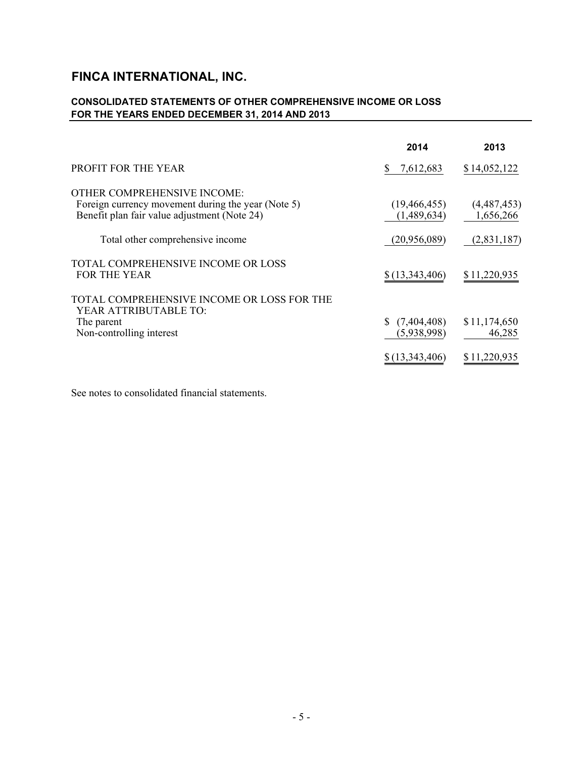# **CONSOLIDATED STATEMENTS OF OTHER COMPREHENSIVE INCOME OR LOSS FOR THE YEARS ENDED DECEMBER 31, 2014 AND 2013**

|                                                                                                                                                                       | 2014                                            | 2013                                    |
|-----------------------------------------------------------------------------------------------------------------------------------------------------------------------|-------------------------------------------------|-----------------------------------------|
| <b>PROFIT FOR THE YEAR</b>                                                                                                                                            | 7,612,683<br>S.                                 | \$14,052,122                            |
| OTHER COMPREHENSIVE INCOME:<br>Foreign currency movement during the year (Note 5)<br>Benefit plan fair value adjustment (Note 24)<br>Total other comprehensive income | (19, 466, 455)<br>(1,489,634)<br>(20, 956, 089) | (4,487,453)<br>1,656,266<br>(2,831,187) |
| TOTAL COMPREHENSIVE INCOME OR LOSS<br><b>FOR THE YEAR</b>                                                                                                             | \$(13,343,406)                                  | \$11,220,935                            |
| TOTAL COMPREHENSIVE INCOME OR LOSS FOR THE<br>YEAR ATTRIBUTABLE TO:<br>The parent<br>Non-controlling interest                                                         | (7,404,408)<br>(5,938,998)<br>\$(13,343,406)    | \$11,174,650<br>46,285<br>\$11,220,935  |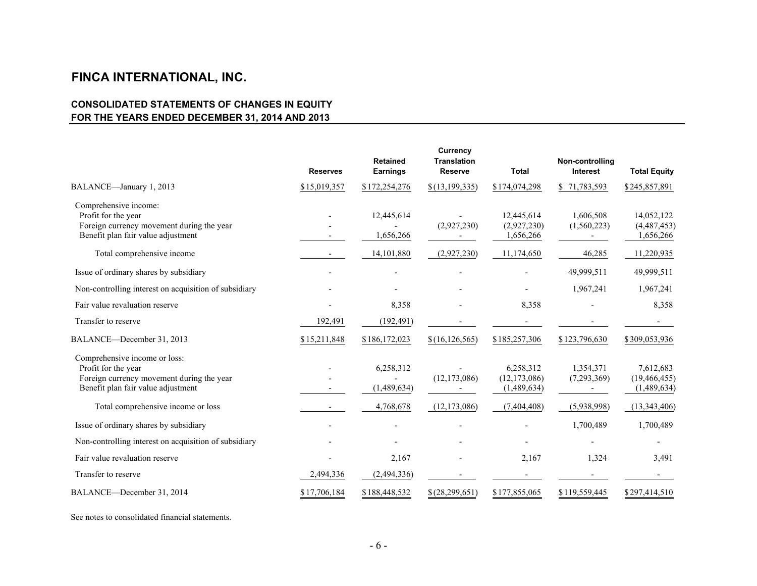# **CONSOLIDATED STATEMENTS OF CHANGES IN EQUITY FOR THE YEARS ENDED DECEMBER 31, 2014 AND 2013**

|                                                                                                                                         | <b>Reserves</b> | <b>Retained</b><br><b>Earnings</b> | Currency<br><b>Translation</b><br><b>Reserve</b> | <b>Total</b>                               | Non-controlling<br><b>Interest</b> | <b>Total Equity</b>                        |
|-----------------------------------------------------------------------------------------------------------------------------------------|-----------------|------------------------------------|--------------------------------------------------|--------------------------------------------|------------------------------------|--------------------------------------------|
| BALANCE-January 1, 2013                                                                                                                 | \$15,019,357    | \$172,254,276                      | \$(13,199,335)                                   | \$174,074,298                              | \$71,783,593                       | \$245,857,891                              |
| Comprehensive income:<br>Profit for the year<br>Foreign currency movement during the year<br>Benefit plan fair value adjustment         |                 | 12,445,614<br>1,656,266            | (2,927,230)                                      | 12,445,614<br>(2,927,230)<br>1,656,266     | 1,606,508<br>(1,560,223)           | 14,052,122<br>(4,487,453)<br>1,656,266     |
| Total comprehensive income                                                                                                              |                 | 14,101,880                         | (2,927,230)                                      | 11,174,650                                 | 46,285                             | 11,220,935                                 |
| Issue of ordinary shares by subsidiary                                                                                                  |                 |                                    |                                                  |                                            | 49,999,511                         | 49,999,511                                 |
| Non-controlling interest on acquisition of subsidiary                                                                                   |                 |                                    |                                                  |                                            | 1,967,241                          | 1,967,241                                  |
| Fair value revaluation reserve                                                                                                          |                 | 8,358                              |                                                  | 8,358                                      |                                    | 8,358                                      |
| Transfer to reserve                                                                                                                     | 192,491         | (192, 491)                         |                                                  |                                            |                                    | $\overline{\phantom{a}}$                   |
| BALANCE-December 31, 2013                                                                                                               | \$15,211,848    | \$186,172,023                      | \$(16, 126, 565)                                 | \$185,257,306                              | \$123,796,630                      | \$309,053,936                              |
| Comprehensive income or loss:<br>Profit for the year<br>Foreign currency movement during the year<br>Benefit plan fair value adjustment |                 | 6,258,312<br>(1,489,634)           | (12, 173, 086)                                   | 6,258,312<br>(12, 173, 086)<br>(1,489,634) | 1,354,371<br>(7,293,369)           | 7,612,683<br>(19, 466, 455)<br>(1,489,634) |
| Total comprehensive income or loss                                                                                                      |                 | 4,768,678                          | (12, 173, 086)                                   | (7,404,408)                                | (5,938,998)                        | (13,343,406)                               |
| Issue of ordinary shares by subsidiary                                                                                                  |                 |                                    |                                                  |                                            | 1,700,489                          | 1,700,489                                  |
| Non-controlling interest on acquisition of subsidiary                                                                                   |                 |                                    |                                                  |                                            |                                    |                                            |
| Fair value revaluation reserve                                                                                                          |                 | 2,167                              |                                                  | 2,167                                      | 1,324                              | 3,491                                      |
| Transfer to reserve                                                                                                                     | 2,494,336       | (2,494,336)                        |                                                  |                                            |                                    |                                            |
| BALANCE-December 31, 2014                                                                                                               | \$17,706,184    | \$188,448,532                      | \$(28, 299, 651)                                 | \$177,855,065                              | \$119,559,445                      | \$297,414,510                              |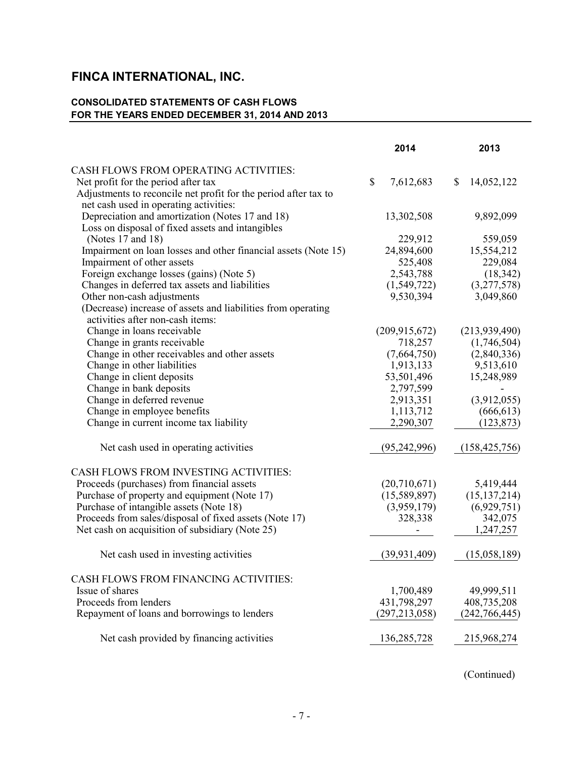# **CONSOLIDATED STATEMENTS OF CASH FLOWS FOR THE YEARS ENDED DECEMBER 31, 2014 AND 2013**

|                                                                 | 2014            | 2013                       |
|-----------------------------------------------------------------|-----------------|----------------------------|
| <b>CASH FLOWS FROM OPERATING ACTIVITIES:</b>                    |                 |                            |
| Net profit for the period after tax                             | \$<br>7,612,683 | $\mathbb{S}$<br>14,052,122 |
| Adjustments to reconcile net profit for the period after tax to |                 |                            |
| net cash used in operating activities:                          |                 |                            |
| Depreciation and amortization (Notes 17 and 18)                 | 13,302,508      | 9,892,099                  |
| Loss on disposal of fixed assets and intangibles                |                 |                            |
| (Notes 17 and 18)                                               | 229,912         | 559,059                    |
| Impairment on loan losses and other financial assets (Note 15)  | 24,894,600      | 15,554,212                 |
| Impairment of other assets                                      | 525,408         | 229,084                    |
| Foreign exchange losses (gains) (Note 5)                        | 2,543,788       | (18, 342)                  |
| Changes in deferred tax assets and liabilities                  | (1,549,722)     | (3,277,578)                |
| Other non-cash adjustments                                      | 9,530,394       | 3,049,860                  |
| (Decrease) increase of assets and liabilities from operating    |                 |                            |
| activities after non-cash items:                                |                 |                            |
| Change in loans receivable                                      | (209, 915, 672) | (213,939,490)              |
| Change in grants receivable                                     | 718,257         | (1,746,504)                |
| Change in other receivables and other assets                    | (7,664,750)     | (2,840,336)                |
| Change in other liabilities                                     | 1,913,133       | 9,513,610                  |
| Change in client deposits                                       | 53,501,496      | 15,248,989                 |
| Change in bank deposits                                         | 2,797,599       |                            |
| Change in deferred revenue                                      | 2,913,351       | (3,912,055)                |
| Change in employee benefits                                     | 1,113,712       | (666, 613)                 |
| Change in current income tax liability                          | 2,290,307       | (123, 873)                 |
|                                                                 |                 |                            |
| Net cash used in operating activities                           | (95, 242, 996)  | (158, 425, 756)            |
| <b>CASH FLOWS FROM INVESTING ACTIVITIES:</b>                    |                 |                            |
| Proceeds (purchases) from financial assets                      | (20,710,671)    | 5,419,444                  |
| Purchase of property and equipment (Note 17)                    | (15,589,897)    | (15, 137, 214)             |
| Purchase of intangible assets (Note 18)                         | (3,959,179)     | (6,929,751)                |
| Proceeds from sales/disposal of fixed assets (Note 17)          | 328,338         | 342,075                    |
| Net cash on acquisition of subsidiary (Note 25)                 |                 | 1,247,257                  |
| Net cash used in investing activities                           | (39, 931, 409)  | (15,058,189)               |
|                                                                 |                 |                            |
| CASH FLOWS FROM FINANCING ACTIVITIES:<br>Issue of shares        | 1,700,489       |                            |
| Proceeds from lenders                                           | 431,798,297     | 49,999,511                 |
|                                                                 | (297, 213, 058) | 408,735,208                |
| Repayment of loans and borrowings to lenders                    |                 | (242, 766, 445)            |
| Net cash provided by financing activities                       | 136,285,728     | 215,968,274                |
|                                                                 |                 |                            |

(Continued)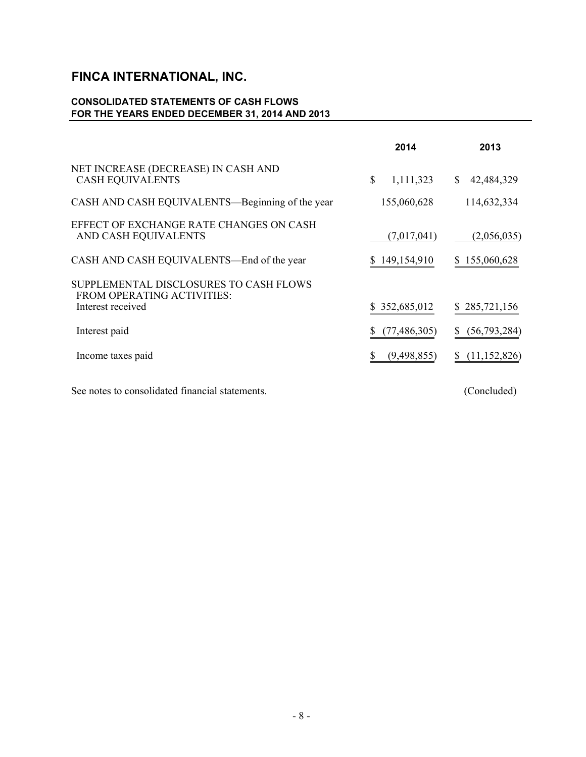# **CONSOLIDATED STATEMENTS OF CASH FLOWS FOR THE YEARS ENDED DECEMBER 31, 2014 AND 2013**

|                                                                                           | 2014            | 2013               |
|-------------------------------------------------------------------------------------------|-----------------|--------------------|
| NET INCREASE (DECREASE) IN CASH AND<br><b>CASH EQUIVALENTS</b>                            | \$<br>1,111,323 | \$<br>42,484,329   |
| CASH AND CASH EQUIVALENTS—Beginning of the year                                           | 155,060,628     | 114,632,334        |
| EFFECT OF EXCHANGE RATE CHANGES ON CASH<br>AND CASH EQUIVALENTS                           | (7,017,041)     | (2,056,035)        |
| CASH AND CASH EQUIVALENTS—End of the year                                                 | 149,154,910     | \$155,060,628      |
| SUPPLEMENTAL DISCLOSURES TO CASH FLOWS<br>FROM OPERATING ACTIVITIES:<br>Interest received | \$352,685,012   | \$285,721,156      |
| Interest paid                                                                             | (77, 486, 305)  | (56,793,284)<br>\$ |
| Income taxes paid                                                                         | (9,498,855)     | (11, 152, 826)     |
|                                                                                           |                 |                    |

See notes to consolidated financial statements. (Concluded)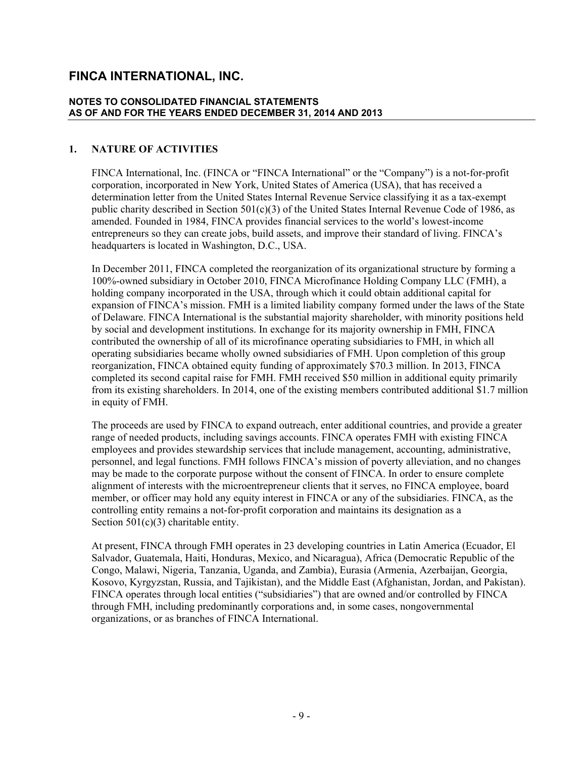#### **NOTES TO CONSOLIDATED FINANCIAL STATEMENTS AS OF AND FOR THE YEARS ENDED DECEMBER 31, 2014 AND 2013**

#### **1. NATURE OF ACTIVITIES**

FINCA International, Inc. (FINCA or "FINCA International" or the "Company") is a not-for-profit corporation, incorporated in New York, United States of America (USA), that has received a determination letter from the United States Internal Revenue Service classifying it as a tax-exempt public charity described in Section 501(c)(3) of the United States Internal Revenue Code of 1986, as amended. Founded in 1984, FINCA provides financial services to the world's lowest-income entrepreneurs so they can create jobs, build assets, and improve their standard of living. FINCA's headquarters is located in Washington, D.C., USA.

In December 2011, FINCA completed the reorganization of its organizational structure by forming a 100%-owned subsidiary in October 2010, FINCA Microfinance Holding Company LLC (FMH), a holding company incorporated in the USA, through which it could obtain additional capital for expansion of FINCA's mission. FMH is a limited liability company formed under the laws of the State of Delaware. FINCA International is the substantial majority shareholder, with minority positions held by social and development institutions. In exchange for its majority ownership in FMH, FINCA contributed the ownership of all of its microfinance operating subsidiaries to FMH, in which all operating subsidiaries became wholly owned subsidiaries of FMH. Upon completion of this group reorganization, FINCA obtained equity funding of approximately \$70.3 million. In 2013, FINCA completed its second capital raise for FMH. FMH received \$50 million in additional equity primarily from its existing shareholders. In 2014, one of the existing members contributed additional \$1.7 million in equity of FMH.

The proceeds are used by FINCA to expand outreach, enter additional countries, and provide a greater range of needed products, including savings accounts. FINCA operates FMH with existing FINCA employees and provides stewardship services that include management, accounting, administrative, personnel, and legal functions. FMH follows FINCA's mission of poverty alleviation, and no changes may be made to the corporate purpose without the consent of FINCA. In order to ensure complete alignment of interests with the microentrepreneur clients that it serves, no FINCA employee, board member, or officer may hold any equity interest in FINCA or any of the subsidiaries. FINCA, as the controlling entity remains a not-for-profit corporation and maintains its designation as a Section 501(c)(3) charitable entity.

At present, FINCA through FMH operates in 23 developing countries in Latin America (Ecuador, El Salvador, Guatemala, Haiti, Honduras, Mexico, and Nicaragua), Africa (Democratic Republic of the Congo, Malawi, Nigeria, Tanzania, Uganda, and Zambia), Eurasia (Armenia, Azerbaijan, Georgia, Kosovo, Kyrgyzstan, Russia, and Tajikistan), and the Middle East (Afghanistan, Jordan, and Pakistan). FINCA operates through local entities ("subsidiaries") that are owned and/or controlled by FINCA through FMH, including predominantly corporations and, in some cases, nongovernmental organizations, or as branches of FINCA International.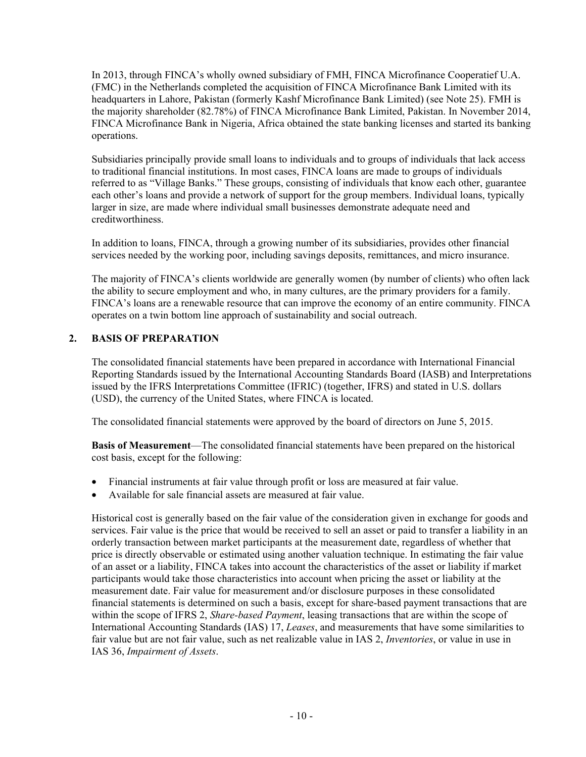In 2013, through FINCA's wholly owned subsidiary of FMH, FINCA Microfinance Cooperatief U.A. (FMC) in the Netherlands completed the acquisition of FINCA Microfinance Bank Limited with its headquarters in Lahore, Pakistan (formerly Kashf Microfinance Bank Limited) (see Note 25). FMH is the majority shareholder (82.78%) of FINCA Microfinance Bank Limited, Pakistan. In November 2014, FINCA Microfinance Bank in Nigeria, Africa obtained the state banking licenses and started its banking operations.

Subsidiaries principally provide small loans to individuals and to groups of individuals that lack access to traditional financial institutions. In most cases, FINCA loans are made to groups of individuals referred to as "Village Banks." These groups, consisting of individuals that know each other, guarantee each other's loans and provide a network of support for the group members. Individual loans, typically larger in size, are made where individual small businesses demonstrate adequate need and creditworthiness.

In addition to loans, FINCA, through a growing number of its subsidiaries, provides other financial services needed by the working poor, including savings deposits, remittances, and micro insurance.

The majority of FINCA's clients worldwide are generally women (by number of clients) who often lack the ability to secure employment and who, in many cultures, are the primary providers for a family. FINCA's loans are a renewable resource that can improve the economy of an entire community. FINCA operates on a twin bottom line approach of sustainability and social outreach.

# **2. BASIS OF PREPARATION**

The consolidated financial statements have been prepared in accordance with International Financial Reporting Standards issued by the International Accounting Standards Board (IASB) and Interpretations issued by the IFRS Interpretations Committee (IFRIC) (together, IFRS) and stated in U.S. dollars (USD), the currency of the United States, where FINCA is located.

The consolidated financial statements were approved by the board of directors on June 5, 2015.

**Basis of Measurement**—The consolidated financial statements have been prepared on the historical cost basis, except for the following:

- Financial instruments at fair value through profit or loss are measured at fair value.
- Available for sale financial assets are measured at fair value.

Historical cost is generally based on the fair value of the consideration given in exchange for goods and services. Fair value is the price that would be received to sell an asset or paid to transfer a liability in an orderly transaction between market participants at the measurement date, regardless of whether that price is directly observable or estimated using another valuation technique. In estimating the fair value of an asset or a liability, FINCA takes into account the characteristics of the asset or liability if market participants would take those characteristics into account when pricing the asset or liability at the measurement date. Fair value for measurement and/or disclosure purposes in these consolidated financial statements is determined on such a basis, except for share-based payment transactions that are within the scope of IFRS 2, *Share-based Payment*, leasing transactions that are within the scope of International Accounting Standards (IAS) 17, *Leases*, and measurements that have some similarities to fair value but are not fair value, such as net realizable value in IAS 2, *Inventories*, or value in use in IAS 36, *Impairment of Assets*.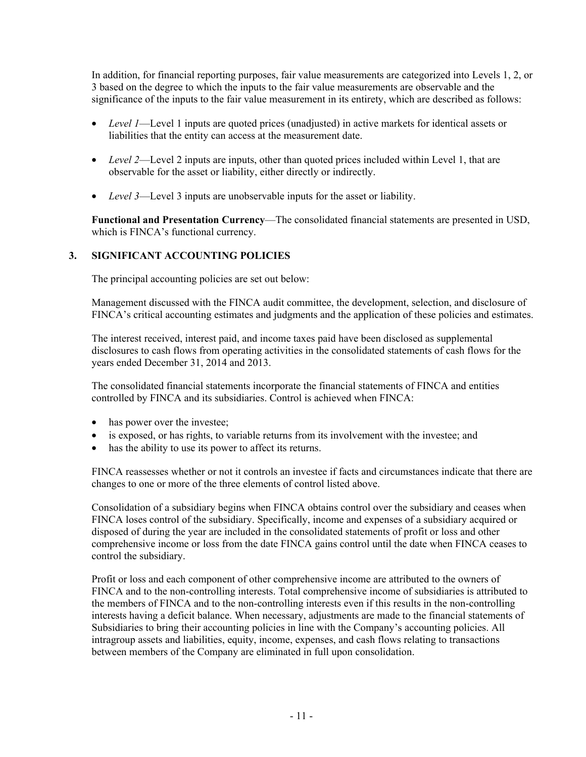In addition, for financial reporting purposes, fair value measurements are categorized into Levels 1, 2, or 3 based on the degree to which the inputs to the fair value measurements are observable and the significance of the inputs to the fair value measurement in its entirety, which are described as follows:

- *Level 1*—Level 1 inputs are quoted prices (unadjusted) in active markets for identical assets or liabilities that the entity can access at the measurement date.
- *Level 2*—Level 2 inputs are inputs, other than quoted prices included within Level 1, that are observable for the asset or liability, either directly or indirectly.
- *Level 3*—Level 3 inputs are unobservable inputs for the asset or liability.

**Functional and Presentation Currency**—The consolidated financial statements are presented in USD, which is FINCA's functional currency.

# **3. SIGNIFICANT ACCOUNTING POLICIES**

The principal accounting policies are set out below:

Management discussed with the FINCA audit committee, the development, selection, and disclosure of FINCA's critical accounting estimates and judgments and the application of these policies and estimates.

The interest received, interest paid, and income taxes paid have been disclosed as supplemental disclosures to cash flows from operating activities in the consolidated statements of cash flows for the years ended December 31, 2014 and 2013.

The consolidated financial statements incorporate the financial statements of FINCA and entities controlled by FINCA and its subsidiaries. Control is achieved when FINCA:

- has power over the investee;
- is exposed, or has rights, to variable returns from its involvement with the investee; and
- has the ability to use its power to affect its returns.

FINCA reassesses whether or not it controls an investee if facts and circumstances indicate that there are changes to one or more of the three elements of control listed above.

Consolidation of a subsidiary begins when FINCA obtains control over the subsidiary and ceases when FINCA loses control of the subsidiary. Specifically, income and expenses of a subsidiary acquired or disposed of during the year are included in the consolidated statements of profit or loss and other comprehensive income or loss from the date FINCA gains control until the date when FINCA ceases to control the subsidiary.

Profit or loss and each component of other comprehensive income are attributed to the owners of FINCA and to the non-controlling interests. Total comprehensive income of subsidiaries is attributed to the members of FINCA and to the non-controlling interests even if this results in the non-controlling interests having a deficit balance. When necessary, adjustments are made to the financial statements of Subsidiaries to bring their accounting policies in line with the Company's accounting policies. All intragroup assets and liabilities, equity, income, expenses, and cash flows relating to transactions between members of the Company are eliminated in full upon consolidation.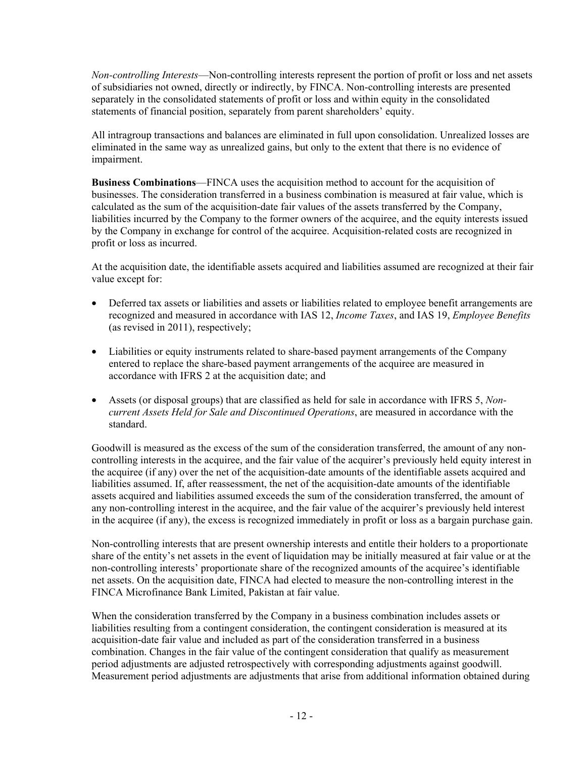*Non-controlling Interests*—Non-controlling interests represent the portion of profit or loss and net assets of subsidiaries not owned, directly or indirectly, by FINCA. Non-controlling interests are presented separately in the consolidated statements of profit or loss and within equity in the consolidated statements of financial position, separately from parent shareholders' equity.

All intragroup transactions and balances are eliminated in full upon consolidation. Unrealized losses are eliminated in the same way as unrealized gains, but only to the extent that there is no evidence of impairment.

**Business Combinations**—FINCA uses the acquisition method to account for the acquisition of businesses. The consideration transferred in a business combination is measured at fair value, which is calculated as the sum of the acquisition-date fair values of the assets transferred by the Company, liabilities incurred by the Company to the former owners of the acquiree, and the equity interests issued by the Company in exchange for control of the acquiree. Acquisition-related costs are recognized in profit or loss as incurred.

At the acquisition date, the identifiable assets acquired and liabilities assumed are recognized at their fair value except for:

- Deferred tax assets or liabilities and assets or liabilities related to employee benefit arrangements are recognized and measured in accordance with IAS 12, *Income Taxes*, and IAS 19, *Employee Benefits*  (as revised in 2011), respectively;
- Liabilities or equity instruments related to share-based payment arrangements of the Company entered to replace the share-based payment arrangements of the acquiree are measured in accordance with IFRS 2 at the acquisition date; and
- Assets (or disposal groups) that are classified as held for sale in accordance with IFRS 5, *Noncurrent Assets Held for Sale and Discontinued Operations*, are measured in accordance with the standard.

Goodwill is measured as the excess of the sum of the consideration transferred, the amount of any noncontrolling interests in the acquiree, and the fair value of the acquirer's previously held equity interest in the acquiree (if any) over the net of the acquisition-date amounts of the identifiable assets acquired and liabilities assumed. If, after reassessment, the net of the acquisition-date amounts of the identifiable assets acquired and liabilities assumed exceeds the sum of the consideration transferred, the amount of any non-controlling interest in the acquiree, and the fair value of the acquirer's previously held interest in the acquiree (if any), the excess is recognized immediately in profit or loss as a bargain purchase gain.

Non-controlling interests that are present ownership interests and entitle their holders to a proportionate share of the entity's net assets in the event of liquidation may be initially measured at fair value or at the non-controlling interests' proportionate share of the recognized amounts of the acquiree's identifiable net assets. On the acquisition date, FINCA had elected to measure the non-controlling interest in the FINCA Microfinance Bank Limited, Pakistan at fair value.

When the consideration transferred by the Company in a business combination includes assets or liabilities resulting from a contingent consideration, the contingent consideration is measured at its acquisition-date fair value and included as part of the consideration transferred in a business combination. Changes in the fair value of the contingent consideration that qualify as measurement period adjustments are adjusted retrospectively with corresponding adjustments against goodwill. Measurement period adjustments are adjustments that arise from additional information obtained during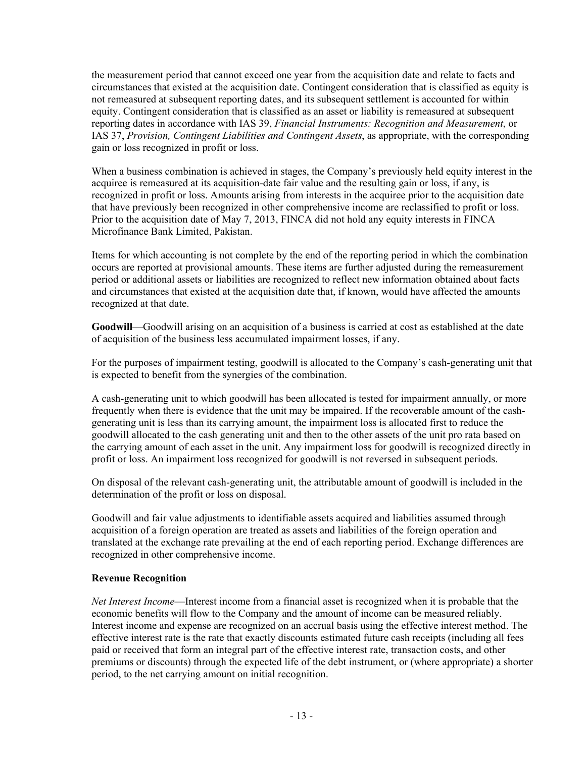the measurement period that cannot exceed one year from the acquisition date and relate to facts and circumstances that existed at the acquisition date. Contingent consideration that is classified as equity is not remeasured at subsequent reporting dates, and its subsequent settlement is accounted for within equity. Contingent consideration that is classified as an asset or liability is remeasured at subsequent reporting dates in accordance with IAS 39, *Financial Instruments: Recognition and Measurement*, or IAS 37, *Provision, Contingent Liabilities and Contingent Assets*, as appropriate, with the corresponding gain or loss recognized in profit or loss.

When a business combination is achieved in stages, the Company's previously held equity interest in the acquiree is remeasured at its acquisition-date fair value and the resulting gain or loss, if any, is recognized in profit or loss. Amounts arising from interests in the acquiree prior to the acquisition date that have previously been recognized in other comprehensive income are reclassified to profit or loss. Prior to the acquisition date of May 7, 2013, FINCA did not hold any equity interests in FINCA Microfinance Bank Limited, Pakistan.

Items for which accounting is not complete by the end of the reporting period in which the combination occurs are reported at provisional amounts. These items are further adjusted during the remeasurement period or additional assets or liabilities are recognized to reflect new information obtained about facts and circumstances that existed at the acquisition date that, if known, would have affected the amounts recognized at that date.

**Goodwill**—Goodwill arising on an acquisition of a business is carried at cost as established at the date of acquisition of the business less accumulated impairment losses, if any.

For the purposes of impairment testing, goodwill is allocated to the Company's cash-generating unit that is expected to benefit from the synergies of the combination.

A cash-generating unit to which goodwill has been allocated is tested for impairment annually, or more frequently when there is evidence that the unit may be impaired. If the recoverable amount of the cashgenerating unit is less than its carrying amount, the impairment loss is allocated first to reduce the goodwill allocated to the cash generating unit and then to the other assets of the unit pro rata based on the carrying amount of each asset in the unit. Any impairment loss for goodwill is recognized directly in profit or loss. An impairment loss recognized for goodwill is not reversed in subsequent periods.

On disposal of the relevant cash-generating unit, the attributable amount of goodwill is included in the determination of the profit or loss on disposal.

Goodwill and fair value adjustments to identifiable assets acquired and liabilities assumed through acquisition of a foreign operation are treated as assets and liabilities of the foreign operation and translated at the exchange rate prevailing at the end of each reporting period. Exchange differences are recognized in other comprehensive income.

#### **Revenue Recognition**

*Net Interest Income*—Interest income from a financial asset is recognized when it is probable that the economic benefits will flow to the Company and the amount of income can be measured reliably. Interest income and expense are recognized on an accrual basis using the effective interest method. The effective interest rate is the rate that exactly discounts estimated future cash receipts (including all fees paid or received that form an integral part of the effective interest rate, transaction costs, and other premiums or discounts) through the expected life of the debt instrument, or (where appropriate) a shorter period, to the net carrying amount on initial recognition.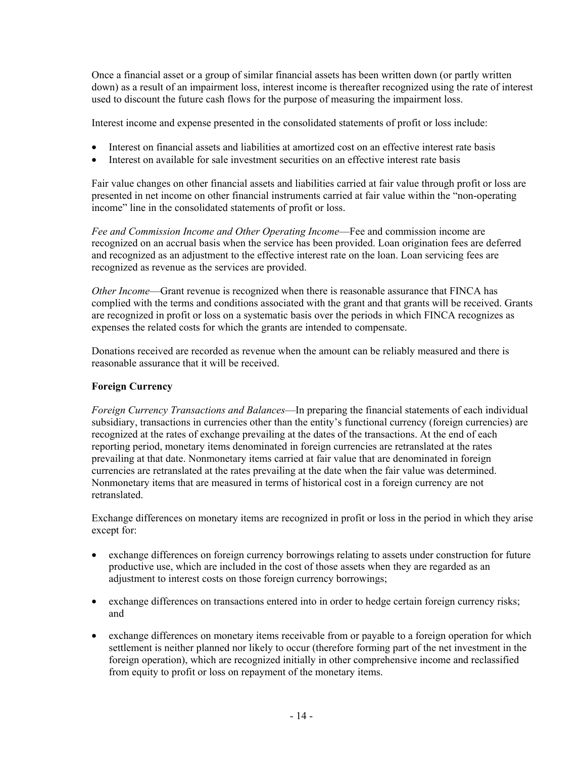Once a financial asset or a group of similar financial assets has been written down (or partly written down) as a result of an impairment loss, interest income is thereafter recognized using the rate of interest used to discount the future cash flows for the purpose of measuring the impairment loss.

Interest income and expense presented in the consolidated statements of profit or loss include:

- Interest on financial assets and liabilities at amortized cost on an effective interest rate basis
- Interest on available for sale investment securities on an effective interest rate basis

Fair value changes on other financial assets and liabilities carried at fair value through profit or loss are presented in net income on other financial instruments carried at fair value within the "non-operating income" line in the consolidated statements of profit or loss.

*Fee and Commission Income and Other Operating Income*—Fee and commission income are recognized on an accrual basis when the service has been provided. Loan origination fees are deferred and recognized as an adjustment to the effective interest rate on the loan. Loan servicing fees are recognized as revenue as the services are provided.

*Other Income*—Grant revenue is recognized when there is reasonable assurance that FINCA has complied with the terms and conditions associated with the grant and that grants will be received. Grants are recognized in profit or loss on a systematic basis over the periods in which FINCA recognizes as expenses the related costs for which the grants are intended to compensate.

Donations received are recorded as revenue when the amount can be reliably measured and there is reasonable assurance that it will be received.

#### **Foreign Currency**

*Foreign Currency Transactions and Balances*—In preparing the financial statements of each individual subsidiary, transactions in currencies other than the entity's functional currency (foreign currencies) are recognized at the rates of exchange prevailing at the dates of the transactions. At the end of each reporting period, monetary items denominated in foreign currencies are retranslated at the rates prevailing at that date. Nonmonetary items carried at fair value that are denominated in foreign currencies are retranslated at the rates prevailing at the date when the fair value was determined. Nonmonetary items that are measured in terms of historical cost in a foreign currency are not retranslated.

Exchange differences on monetary items are recognized in profit or loss in the period in which they arise except for:

- exchange differences on foreign currency borrowings relating to assets under construction for future productive use, which are included in the cost of those assets when they are regarded as an adjustment to interest costs on those foreign currency borrowings;
- exchange differences on transactions entered into in order to hedge certain foreign currency risks; and
- exchange differences on monetary items receivable from or payable to a foreign operation for which settlement is neither planned nor likely to occur (therefore forming part of the net investment in the foreign operation), which are recognized initially in other comprehensive income and reclassified from equity to profit or loss on repayment of the monetary items.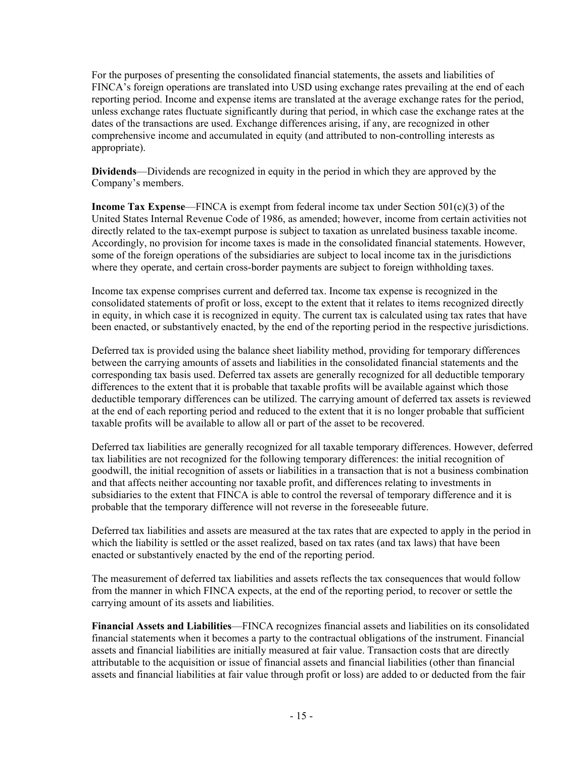For the purposes of presenting the consolidated financial statements, the assets and liabilities of FINCA's foreign operations are translated into USD using exchange rates prevailing at the end of each reporting period. Income and expense items are translated at the average exchange rates for the period, unless exchange rates fluctuate significantly during that period, in which case the exchange rates at the dates of the transactions are used. Exchange differences arising, if any, are recognized in other comprehensive income and accumulated in equity (and attributed to non-controlling interests as appropriate).

**Dividends**—Dividends are recognized in equity in the period in which they are approved by the Company's members.

**Income Tax Expense**—FINCA is exempt from federal income tax under Section 501(c)(3) of the United States Internal Revenue Code of 1986, as amended; however, income from certain activities not directly related to the tax-exempt purpose is subject to taxation as unrelated business taxable income. Accordingly, no provision for income taxes is made in the consolidated financial statements. However, some of the foreign operations of the subsidiaries are subject to local income tax in the jurisdictions where they operate, and certain cross-border payments are subject to foreign withholding taxes.

Income tax expense comprises current and deferred tax. Income tax expense is recognized in the consolidated statements of profit or loss, except to the extent that it relates to items recognized directly in equity, in which case it is recognized in equity. The current tax is calculated using tax rates that have been enacted, or substantively enacted, by the end of the reporting period in the respective jurisdictions.

Deferred tax is provided using the balance sheet liability method, providing for temporary differences between the carrying amounts of assets and liabilities in the consolidated financial statements and the corresponding tax basis used. Deferred tax assets are generally recognized for all deductible temporary differences to the extent that it is probable that taxable profits will be available against which those deductible temporary differences can be utilized. The carrying amount of deferred tax assets is reviewed at the end of each reporting period and reduced to the extent that it is no longer probable that sufficient taxable profits will be available to allow all or part of the asset to be recovered.

Deferred tax liabilities are generally recognized for all taxable temporary differences. However, deferred tax liabilities are not recognized for the following temporary differences: the initial recognition of goodwill, the initial recognition of assets or liabilities in a transaction that is not a business combination and that affects neither accounting nor taxable profit, and differences relating to investments in subsidiaries to the extent that FINCA is able to control the reversal of temporary difference and it is probable that the temporary difference will not reverse in the foreseeable future.

Deferred tax liabilities and assets are measured at the tax rates that are expected to apply in the period in which the liability is settled or the asset realized, based on tax rates (and tax laws) that have been enacted or substantively enacted by the end of the reporting period.

The measurement of deferred tax liabilities and assets reflects the tax consequences that would follow from the manner in which FINCA expects, at the end of the reporting period, to recover or settle the carrying amount of its assets and liabilities.

**Financial Assets and Liabilities**—FINCA recognizes financial assets and liabilities on its consolidated financial statements when it becomes a party to the contractual obligations of the instrument. Financial assets and financial liabilities are initially measured at fair value. Transaction costs that are directly attributable to the acquisition or issue of financial assets and financial liabilities (other than financial assets and financial liabilities at fair value through profit or loss) are added to or deducted from the fair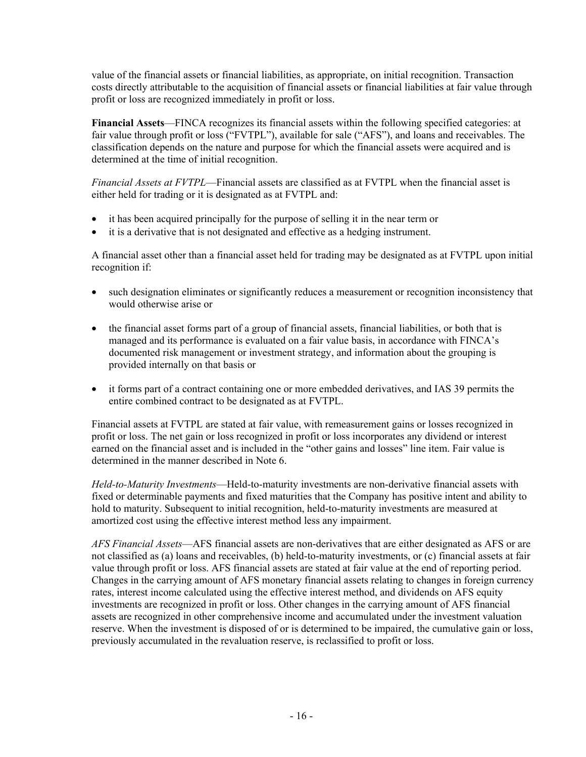value of the financial assets or financial liabilities, as appropriate, on initial recognition. Transaction costs directly attributable to the acquisition of financial assets or financial liabilities at fair value through profit or loss are recognized immediately in profit or loss.

**Financial Assets**—FINCA recognizes its financial assets within the following specified categories: at fair value through profit or loss ("FVTPL"), available for sale ("AFS"), and loans and receivables. The classification depends on the nature and purpose for which the financial assets were acquired and is determined at the time of initial recognition.

*Financial Assets at FVTPL*—Financial assets are classified as at FVTPL when the financial asset is either held for trading or it is designated as at FVTPL and:

- it has been acquired principally for the purpose of selling it in the near term or
- it is a derivative that is not designated and effective as a hedging instrument.

A financial asset other than a financial asset held for trading may be designated as at FVTPL upon initial recognition if:

- such designation eliminates or significantly reduces a measurement or recognition inconsistency that would otherwise arise or
- the financial asset forms part of a group of financial assets, financial liabilities, or both that is managed and its performance is evaluated on a fair value basis, in accordance with FINCA's documented risk management or investment strategy, and information about the grouping is provided internally on that basis or
- it forms part of a contract containing one or more embedded derivatives, and IAS 39 permits the entire combined contract to be designated as at FVTPL.

Financial assets at FVTPL are stated at fair value, with remeasurement gains or losses recognized in profit or loss. The net gain or loss recognized in profit or loss incorporates any dividend or interest earned on the financial asset and is included in the "other gains and losses" line item. Fair value is determined in the manner described in Note 6.

*Held-to-Maturity Investments*—Held-to-maturity investments are non-derivative financial assets with fixed or determinable payments and fixed maturities that the Company has positive intent and ability to hold to maturity. Subsequent to initial recognition, held-to-maturity investments are measured at amortized cost using the effective interest method less any impairment.

*AFS Financial Assets*—AFS financial assets are non-derivatives that are either designated as AFS or are not classified as (a) loans and receivables, (b) held-to-maturity investments, or (c) financial assets at fair value through profit or loss. AFS financial assets are stated at fair value at the end of reporting period. Changes in the carrying amount of AFS monetary financial assets relating to changes in foreign currency rates, interest income calculated using the effective interest method, and dividends on AFS equity investments are recognized in profit or loss. Other changes in the carrying amount of AFS financial assets are recognized in other comprehensive income and accumulated under the investment valuation reserve. When the investment is disposed of or is determined to be impaired, the cumulative gain or loss, previously accumulated in the revaluation reserve, is reclassified to profit or loss.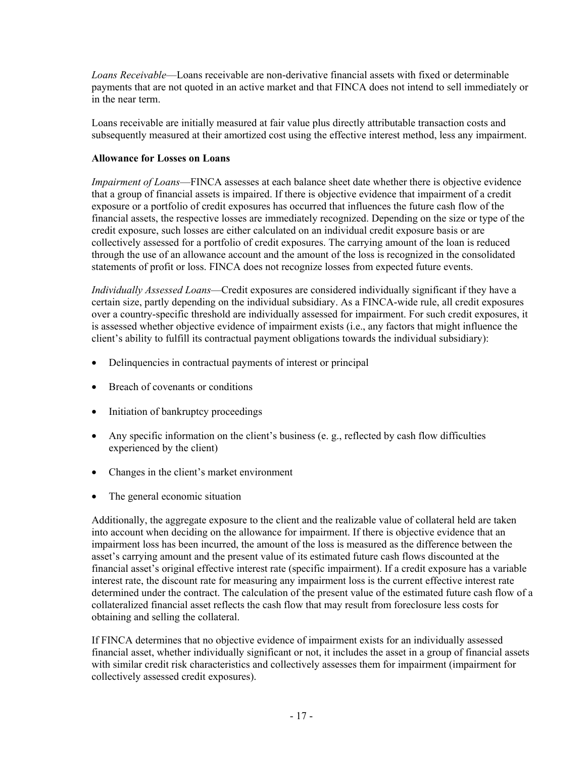*Loans Receivable*—Loans receivable are non-derivative financial assets with fixed or determinable payments that are not quoted in an active market and that FINCA does not intend to sell immediately or in the near term.

Loans receivable are initially measured at fair value plus directly attributable transaction costs and subsequently measured at their amortized cost using the effective interest method, less any impairment.

# **Allowance for Losses on Loans**

*Impairment of Loans*—FINCA assesses at each balance sheet date whether there is objective evidence that a group of financial assets is impaired. If there is objective evidence that impairment of a credit exposure or a portfolio of credit exposures has occurred that influences the future cash flow of the financial assets, the respective losses are immediately recognized. Depending on the size or type of the credit exposure, such losses are either calculated on an individual credit exposure basis or are collectively assessed for a portfolio of credit exposures. The carrying amount of the loan is reduced through the use of an allowance account and the amount of the loss is recognized in the consolidated statements of profit or loss. FINCA does not recognize losses from expected future events.

*Individually Assessed Loans*—Credit exposures are considered individually significant if they have a certain size, partly depending on the individual subsidiary. As a FINCA-wide rule, all credit exposures over a country-specific threshold are individually assessed for impairment. For such credit exposures, it is assessed whether objective evidence of impairment exists (i.e., any factors that might influence the client's ability to fulfill its contractual payment obligations towards the individual subsidiary):

- Delinquencies in contractual payments of interest or principal
- Breach of covenants or conditions
- Initiation of bankruptcy proceedings
- Any specific information on the client's business (e. g., reflected by cash flow difficulties experienced by the client)
- Changes in the client's market environment
- The general economic situation

Additionally, the aggregate exposure to the client and the realizable value of collateral held are taken into account when deciding on the allowance for impairment. If there is objective evidence that an impairment loss has been incurred, the amount of the loss is measured as the difference between the asset's carrying amount and the present value of its estimated future cash flows discounted at the financial asset's original effective interest rate (specific impairment). If a credit exposure has a variable interest rate, the discount rate for measuring any impairment loss is the current effective interest rate determined under the contract. The calculation of the present value of the estimated future cash flow of a collateralized financial asset reflects the cash flow that may result from foreclosure less costs for obtaining and selling the collateral.

If FINCA determines that no objective evidence of impairment exists for an individually assessed financial asset, whether individually significant or not, it includes the asset in a group of financial assets with similar credit risk characteristics and collectively assesses them for impairment (impairment for collectively assessed credit exposures).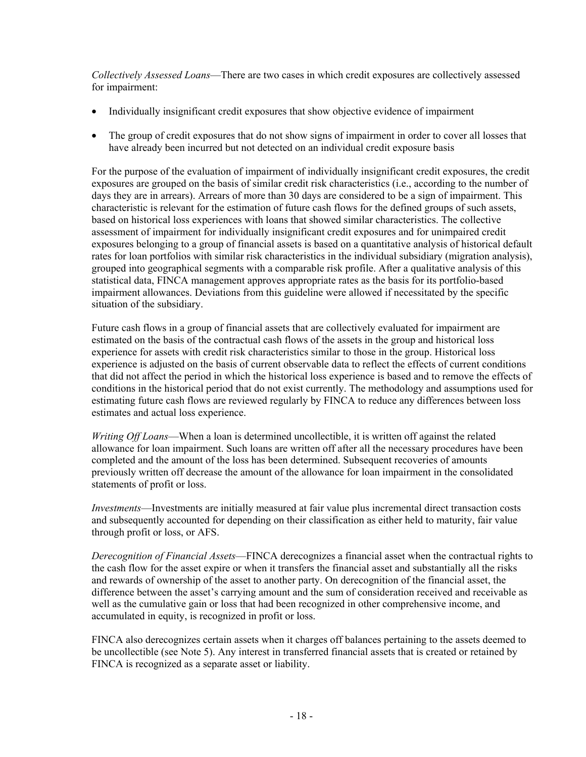*Collectively Assessed Loans*—There are two cases in which credit exposures are collectively assessed for impairment:

- Individually insignificant credit exposures that show objective evidence of impairment
- The group of credit exposures that do not show signs of impairment in order to cover all losses that have already been incurred but not detected on an individual credit exposure basis

For the purpose of the evaluation of impairment of individually insignificant credit exposures, the credit exposures are grouped on the basis of similar credit risk characteristics (i.e., according to the number of days they are in arrears). Arrears of more than 30 days are considered to be a sign of impairment. This characteristic is relevant for the estimation of future cash flows for the defined groups of such assets, based on historical loss experiences with loans that showed similar characteristics. The collective assessment of impairment for individually insignificant credit exposures and for unimpaired credit exposures belonging to a group of financial assets is based on a quantitative analysis of historical default rates for loan portfolios with similar risk characteristics in the individual subsidiary (migration analysis), grouped into geographical segments with a comparable risk profile. After a qualitative analysis of this statistical data, FINCA management approves appropriate rates as the basis for its portfolio-based impairment allowances. Deviations from this guideline were allowed if necessitated by the specific situation of the subsidiary.

Future cash flows in a group of financial assets that are collectively evaluated for impairment are estimated on the basis of the contractual cash flows of the assets in the group and historical loss experience for assets with credit risk characteristics similar to those in the group. Historical loss experience is adjusted on the basis of current observable data to reflect the effects of current conditions that did not affect the period in which the historical loss experience is based and to remove the effects of conditions in the historical period that do not exist currently. The methodology and assumptions used for estimating future cash flows are reviewed regularly by FINCA to reduce any differences between loss estimates and actual loss experience.

*Writing Off Loans*—When a loan is determined uncollectible, it is written off against the related allowance for loan impairment. Such loans are written off after all the necessary procedures have been completed and the amount of the loss has been determined. Subsequent recoveries of amounts previously written off decrease the amount of the allowance for loan impairment in the consolidated statements of profit or loss.

*Investments*—Investments are initially measured at fair value plus incremental direct transaction costs and subsequently accounted for depending on their classification as either held to maturity, fair value through profit or loss, or AFS.

*Derecognition of Financial Assets*—FINCA derecognizes a financial asset when the contractual rights to the cash flow for the asset expire or when it transfers the financial asset and substantially all the risks and rewards of ownership of the asset to another party. On derecognition of the financial asset, the difference between the asset's carrying amount and the sum of consideration received and receivable as well as the cumulative gain or loss that had been recognized in other comprehensive income, and accumulated in equity, is recognized in profit or loss.

FINCA also derecognizes certain assets when it charges off balances pertaining to the assets deemed to be uncollectible (see Note 5). Any interest in transferred financial assets that is created or retained by FINCA is recognized as a separate asset or liability.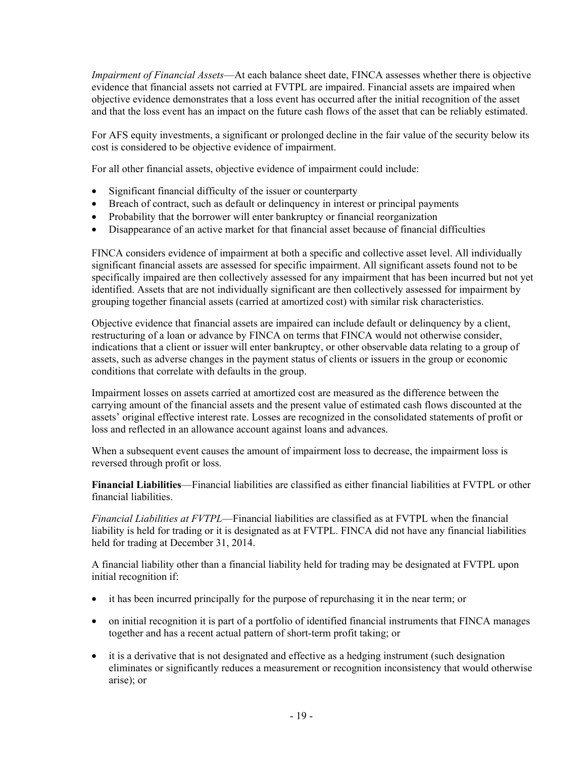*Impairment of Financial Assets*—At each balance sheet date, FINCA assesses whether there is objective evidence that financial assets not carried at FVTPL are impaired. Financial assets are impaired when objective evidence demonstrates that a loss event has occurred after the initial recognition of the asset and that the loss event has an impact on the future cash flows of the asset that can be reliably estimated.

For AFS equity investments, a significant or prolonged decline in the fair value of the security below its cost is considered to be objective evidence of impairment.

For all other financial assets, objective evidence of impairment could include:

- Significant financial difficulty of the issuer or counterparty
- Breach of contract, such as default or delinguency in interest or principal payments
- Probability that the borrower will enter bankruptcy or financial reorganization
- Disappearance of an active market for that financial asset because of financial difficulties

FINCA considers evidence of impairment at both a specific and collective asset level. All individually significant financial assets are assessed for specific impairment. All significant assets found not to be specifically impaired are then collectively assessed for any impairment that has been incurred but not yet identified. Assets that are not individually significant are then collectively assessed for impairment by grouping together financial assets (carried at amortized cost) with similar risk characteristics.

Objective evidence that financial assets are impaired can include default or delinquency by a client, restructuring of a loan or advance by FINCA on terms that FINCA would not otherwise consider, indications that a client or issuer will enter bankruptcy, or other observable data relating to a group of assets, such as adverse changes in the payment status of clients or issuers in the group or economic conditions that correlate with defaults in the group.

Impairment losses on assets carried at amortized cost are measured as the difference between the carrying amount of the financial assets and the present value of estimated cash flows discounted at the assets' original effective interest rate. Losses are recognized in the consolidated statements of profit or loss and reflected in an allowance account against loans and advances.

When a subsequent event causes the amount of impairment loss to decrease, the impairment loss is reversed through profit or loss.

**Financial Liabilities**—Financial liabilities are classified as either financial liabilities at FVTPL or other financial liabilities.

*Financial Liabilities at FVTPL*—Financial liabilities are classified as at FVTPL when the financial liability is held for trading or it is designated as at FVTPL. FINCA did not have any financial liabilities held for trading at December 31, 2014.

A financial liability other than a financial liability held for trading may be designated at FVTPL upon initial recognition if:

- it has been incurred principally for the purpose of repurchasing it in the near term; or
- on initial recognition it is part of a portfolio of identified financial instruments that FINCA manages together and has a recent actual pattern of short-term profit taking; or
- it is a derivative that is not designated and effective as a hedging instrument (such designation eliminates or significantly reduces a measurement or recognition inconsistency that would otherwise arise); or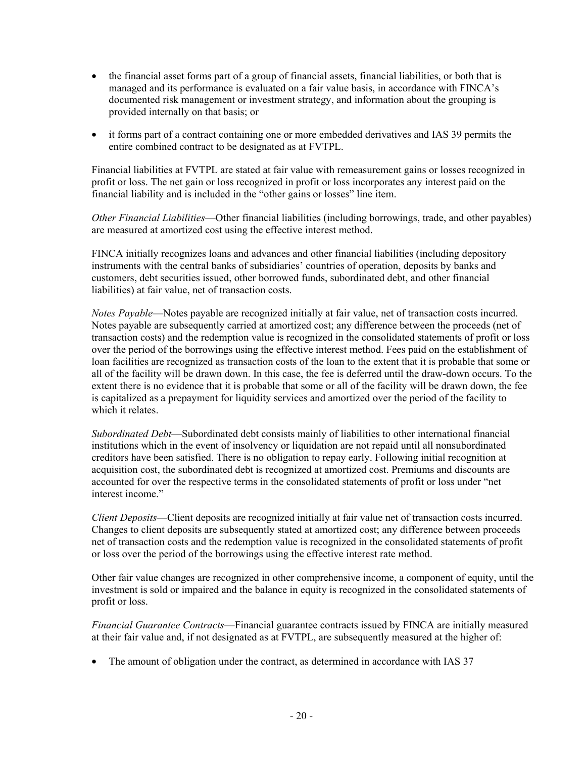- the financial asset forms part of a group of financial assets, financial liabilities, or both that is managed and its performance is evaluated on a fair value basis, in accordance with FINCA's documented risk management or investment strategy, and information about the grouping is provided internally on that basis; or
- it forms part of a contract containing one or more embedded derivatives and IAS 39 permits the entire combined contract to be designated as at FVTPL.

Financial liabilities at FVTPL are stated at fair value with remeasurement gains or losses recognized in profit or loss. The net gain or loss recognized in profit or loss incorporates any interest paid on the financial liability and is included in the "other gains or losses" line item.

*Other Financial Liabilities*—Other financial liabilities (including borrowings, trade, and other payables) are measured at amortized cost using the effective interest method.

FINCA initially recognizes loans and advances and other financial liabilities (including depository instruments with the central banks of subsidiaries' countries of operation, deposits by banks and customers, debt securities issued, other borrowed funds, subordinated debt, and other financial liabilities) at fair value, net of transaction costs.

*Notes Payable*—Notes payable are recognized initially at fair value, net of transaction costs incurred. Notes payable are subsequently carried at amortized cost; any difference between the proceeds (net of transaction costs) and the redemption value is recognized in the consolidated statements of profit or loss over the period of the borrowings using the effective interest method. Fees paid on the establishment of loan facilities are recognized as transaction costs of the loan to the extent that it is probable that some or all of the facility will be drawn down. In this case, the fee is deferred until the draw-down occurs. To the extent there is no evidence that it is probable that some or all of the facility will be drawn down, the fee is capitalized as a prepayment for liquidity services and amortized over the period of the facility to which it relates.

*Subordinated Debt*—Subordinated debt consists mainly of liabilities to other international financial institutions which in the event of insolvency or liquidation are not repaid until all nonsubordinated creditors have been satisfied. There is no obligation to repay early. Following initial recognition at acquisition cost, the subordinated debt is recognized at amortized cost. Premiums and discounts are accounted for over the respective terms in the consolidated statements of profit or loss under "net interest income."

*Client Deposits*—Client deposits are recognized initially at fair value net of transaction costs incurred. Changes to client deposits are subsequently stated at amortized cost; any difference between proceeds net of transaction costs and the redemption value is recognized in the consolidated statements of profit or loss over the period of the borrowings using the effective interest rate method.

Other fair value changes are recognized in other comprehensive income, a component of equity, until the investment is sold or impaired and the balance in equity is recognized in the consolidated statements of profit or loss.

*Financial Guarantee Contracts*—Financial guarantee contracts issued by FINCA are initially measured at their fair value and, if not designated as at FVTPL, are subsequently measured at the higher of:

• The amount of obligation under the contract, as determined in accordance with IAS 37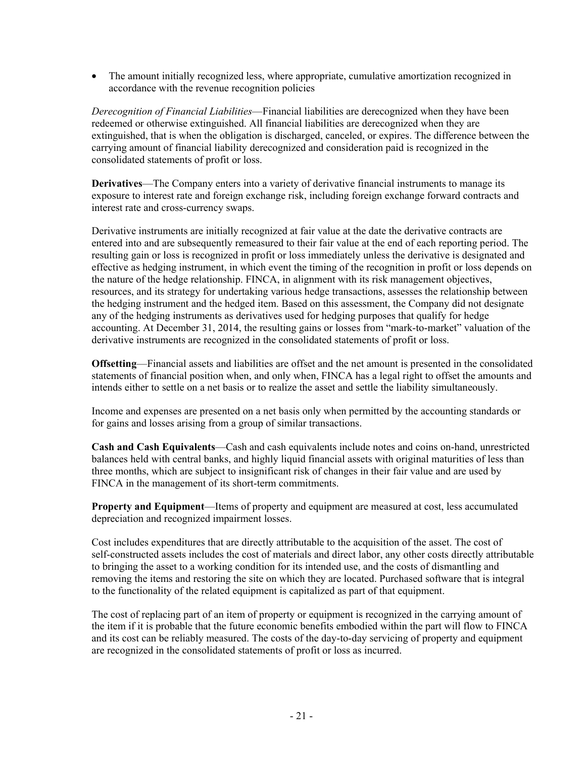• The amount initially recognized less, where appropriate, cumulative amortization recognized in accordance with the revenue recognition policies

*Derecognition of Financial Liabilities*—Financial liabilities are derecognized when they have been redeemed or otherwise extinguished. All financial liabilities are derecognized when they are extinguished, that is when the obligation is discharged, canceled, or expires. The difference between the carrying amount of financial liability derecognized and consideration paid is recognized in the consolidated statements of profit or loss.

**Derivatives**—The Company enters into a variety of derivative financial instruments to manage its exposure to interest rate and foreign exchange risk, including foreign exchange forward contracts and interest rate and cross-currency swaps.

Derivative instruments are initially recognized at fair value at the date the derivative contracts are entered into and are subsequently remeasured to their fair value at the end of each reporting period. The resulting gain or loss is recognized in profit or loss immediately unless the derivative is designated and effective as hedging instrument, in which event the timing of the recognition in profit or loss depends on the nature of the hedge relationship. FINCA, in alignment with its risk management objectives, resources, and its strategy for undertaking various hedge transactions, assesses the relationship between the hedging instrument and the hedged item. Based on this assessment, the Company did not designate any of the hedging instruments as derivatives used for hedging purposes that qualify for hedge accounting. At December 31, 2014, the resulting gains or losses from "mark-to-market" valuation of the derivative instruments are recognized in the consolidated statements of profit or loss.

**Offsetting**—Financial assets and liabilities are offset and the net amount is presented in the consolidated statements of financial position when, and only when, FINCA has a legal right to offset the amounts and intends either to settle on a net basis or to realize the asset and settle the liability simultaneously.

Income and expenses are presented on a net basis only when permitted by the accounting standards or for gains and losses arising from a group of similar transactions.

**Cash and Cash Equivalents**—Cash and cash equivalents include notes and coins on-hand, unrestricted balances held with central banks, and highly liquid financial assets with original maturities of less than three months, which are subject to insignificant risk of changes in their fair value and are used by FINCA in the management of its short-term commitments.

**Property and Equipment**—Items of property and equipment are measured at cost, less accumulated depreciation and recognized impairment losses.

Cost includes expenditures that are directly attributable to the acquisition of the asset. The cost of self-constructed assets includes the cost of materials and direct labor, any other costs directly attributable to bringing the asset to a working condition for its intended use, and the costs of dismantling and removing the items and restoring the site on which they are located. Purchased software that is integral to the functionality of the related equipment is capitalized as part of that equipment.

The cost of replacing part of an item of property or equipment is recognized in the carrying amount of the item if it is probable that the future economic benefits embodied within the part will flow to FINCA and its cost can be reliably measured. The costs of the day-to-day servicing of property and equipment are recognized in the consolidated statements of profit or loss as incurred.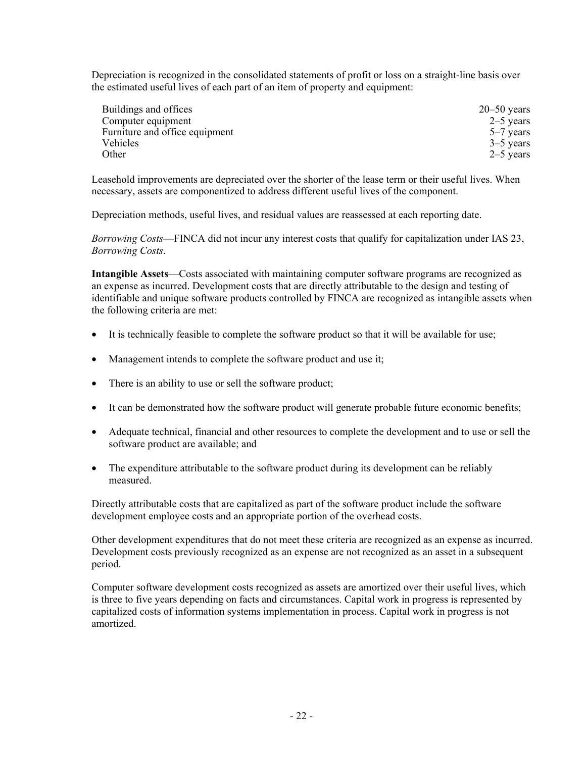Depreciation is recognized in the consolidated statements of profit or loss on a straight-line basis over the estimated useful lives of each part of an item of property and equipment:

| Buildings and offices          | $20 - 50$ years |
|--------------------------------|-----------------|
| Computer equipment             | $2-5$ years     |
| Furniture and office equipment | $5-7$ years     |
| <b>Vehicles</b>                | $3-5$ years     |
| Other                          | $2-5$ years     |

Leasehold improvements are depreciated over the shorter of the lease term or their useful lives. When necessary, assets are componentized to address different useful lives of the component.

Depreciation methods, useful lives, and residual values are reassessed at each reporting date.

*Borrowing Costs*—FINCA did not incur any interest costs that qualify for capitalization under IAS 23, *Borrowing Costs*.

**Intangible Assets**—Costs associated with maintaining computer software programs are recognized as an expense as incurred. Development costs that are directly attributable to the design and testing of identifiable and unique software products controlled by FINCA are recognized as intangible assets when the following criteria are met:

- It is technically feasible to complete the software product so that it will be available for use;
- Management intends to complete the software product and use it;
- There is an ability to use or sell the software product;
- It can be demonstrated how the software product will generate probable future economic benefits;
- Adequate technical, financial and other resources to complete the development and to use or sell the software product are available; and
- The expenditure attributable to the software product during its development can be reliably measured.

Directly attributable costs that are capitalized as part of the software product include the software development employee costs and an appropriate portion of the overhead costs.

Other development expenditures that do not meet these criteria are recognized as an expense as incurred. Development costs previously recognized as an expense are not recognized as an asset in a subsequent period.

Computer software development costs recognized as assets are amortized over their useful lives, which is three to five years depending on facts and circumstances. Capital work in progress is represented by capitalized costs of information systems implementation in process. Capital work in progress is not amortized.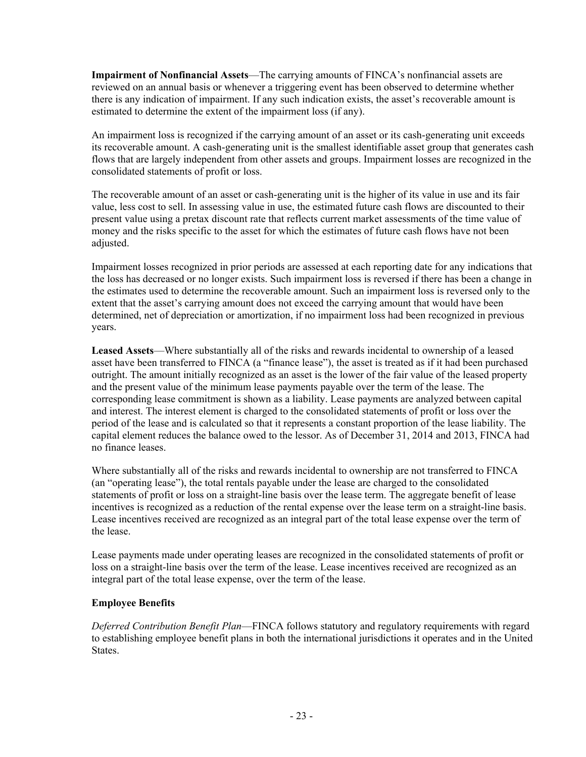**Impairment of Nonfinancial Assets**—The carrying amounts of FINCA's nonfinancial assets are reviewed on an annual basis or whenever a triggering event has been observed to determine whether there is any indication of impairment. If any such indication exists, the asset's recoverable amount is estimated to determine the extent of the impairment loss (if any).

An impairment loss is recognized if the carrying amount of an asset or its cash-generating unit exceeds its recoverable amount. A cash-generating unit is the smallest identifiable asset group that generates cash flows that are largely independent from other assets and groups. Impairment losses are recognized in the consolidated statements of profit or loss.

The recoverable amount of an asset or cash-generating unit is the higher of its value in use and its fair value, less cost to sell. In assessing value in use, the estimated future cash flows are discounted to their present value using a pretax discount rate that reflects current market assessments of the time value of money and the risks specific to the asset for which the estimates of future cash flows have not been adjusted.

Impairment losses recognized in prior periods are assessed at each reporting date for any indications that the loss has decreased or no longer exists. Such impairment loss is reversed if there has been a change in the estimates used to determine the recoverable amount. Such an impairment loss is reversed only to the extent that the asset's carrying amount does not exceed the carrying amount that would have been determined, net of depreciation or amortization, if no impairment loss had been recognized in previous years.

**Leased Assets**—Where substantially all of the risks and rewards incidental to ownership of a leased asset have been transferred to FINCA (a "finance lease"), the asset is treated as if it had been purchased outright. The amount initially recognized as an asset is the lower of the fair value of the leased property and the present value of the minimum lease payments payable over the term of the lease. The corresponding lease commitment is shown as a liability. Lease payments are analyzed between capital and interest. The interest element is charged to the consolidated statements of profit or loss over the period of the lease and is calculated so that it represents a constant proportion of the lease liability. The capital element reduces the balance owed to the lessor. As of December 31, 2014 and 2013, FINCA had no finance leases.

Where substantially all of the risks and rewards incidental to ownership are not transferred to FINCA (an "operating lease"), the total rentals payable under the lease are charged to the consolidated statements of profit or loss on a straight-line basis over the lease term. The aggregate benefit of lease incentives is recognized as a reduction of the rental expense over the lease term on a straight-line basis. Lease incentives received are recognized as an integral part of the total lease expense over the term of the lease.

Lease payments made under operating leases are recognized in the consolidated statements of profit or loss on a straight-line basis over the term of the lease. Lease incentives received are recognized as an integral part of the total lease expense, over the term of the lease.

# **Employee Benefits**

*Deferred Contribution Benefit Plan*—FINCA follows statutory and regulatory requirements with regard to establishing employee benefit plans in both the international jurisdictions it operates and in the United States.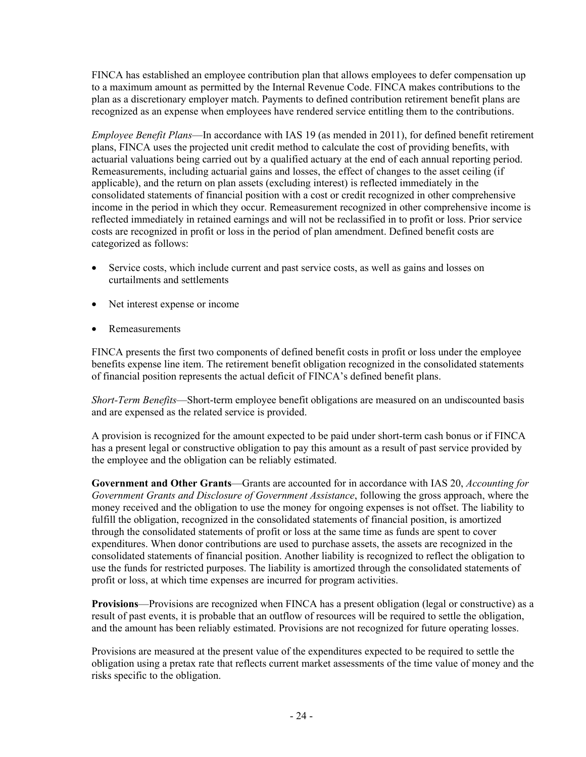FINCA has established an employee contribution plan that allows employees to defer compensation up to a maximum amount as permitted by the Internal Revenue Code. FINCA makes contributions to the plan as a discretionary employer match. Payments to defined contribution retirement benefit plans are recognized as an expense when employees have rendered service entitling them to the contributions.

*Employee Benefit Plans*—In accordance with IAS 19 (as mended in 2011), for defined benefit retirement plans, FINCA uses the projected unit credit method to calculate the cost of providing benefits, with actuarial valuations being carried out by a qualified actuary at the end of each annual reporting period. Remeasurements, including actuarial gains and losses, the effect of changes to the asset ceiling (if applicable), and the return on plan assets (excluding interest) is reflected immediately in the consolidated statements of financial position with a cost or credit recognized in other comprehensive income in the period in which they occur. Remeasurement recognized in other comprehensive income is reflected immediately in retained earnings and will not be reclassified in to profit or loss. Prior service costs are recognized in profit or loss in the period of plan amendment. Defined benefit costs are categorized as follows:

- Service costs, which include current and past service costs, as well as gains and losses on curtailments and settlements
- Net interest expense or income
- Remeasurements

FINCA presents the first two components of defined benefit costs in profit or loss under the employee benefits expense line item. The retirement benefit obligation recognized in the consolidated statements of financial position represents the actual deficit of FINCA's defined benefit plans.

*Short-Term Benefits*—Short-term employee benefit obligations are measured on an undiscounted basis and are expensed as the related service is provided.

A provision is recognized for the amount expected to be paid under short-term cash bonus or if FINCA has a present legal or constructive obligation to pay this amount as a result of past service provided by the employee and the obligation can be reliably estimated.

**Government and Other Grants**—Grants are accounted for in accordance with IAS 20, *Accounting for Government Grants and Disclosure of Government Assistance*, following the gross approach, where the money received and the obligation to use the money for ongoing expenses is not offset. The liability to fulfill the obligation, recognized in the consolidated statements of financial position, is amortized through the consolidated statements of profit or loss at the same time as funds are spent to cover expenditures. When donor contributions are used to purchase assets, the assets are recognized in the consolidated statements of financial position. Another liability is recognized to reflect the obligation to use the funds for restricted purposes. The liability is amortized through the consolidated statements of profit or loss, at which time expenses are incurred for program activities.

**Provisions**—Provisions are recognized when FINCA has a present obligation (legal or constructive) as a result of past events, it is probable that an outflow of resources will be required to settle the obligation, and the amount has been reliably estimated. Provisions are not recognized for future operating losses.

Provisions are measured at the present value of the expenditures expected to be required to settle the obligation using a pretax rate that reflects current market assessments of the time value of money and the risks specific to the obligation.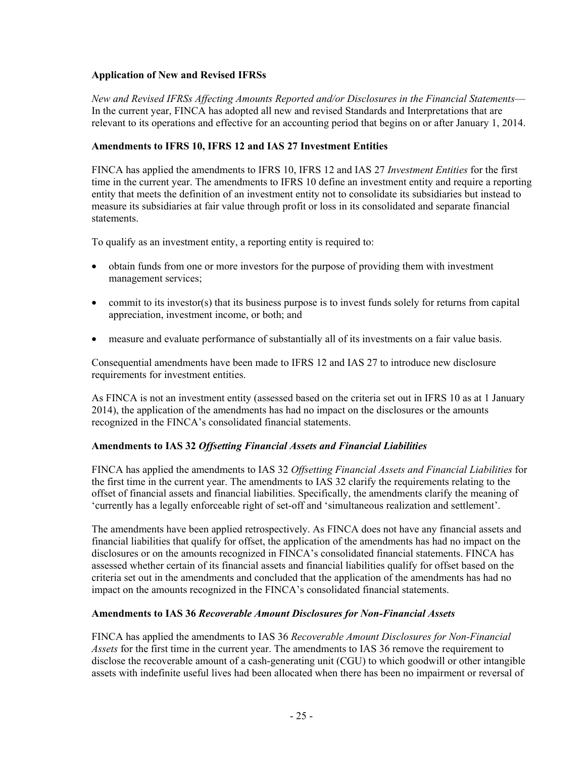#### **Application of New and Revised IFRSs**

*New and Revised IFRSs Affecting Amounts Reported and/or Disclosures in the Financial Statements*— In the current year, FINCA has adopted all new and revised Standards and Interpretations that are relevant to its operations and effective for an accounting period that begins on or after January 1, 2014.

#### **Amendments to IFRS 10, IFRS 12 and IAS 27 Investment Entities**

FINCA has applied the amendments to IFRS 10, IFRS 12 and IAS 27 *Investment Entities* for the first time in the current year. The amendments to IFRS 10 define an investment entity and require a reporting entity that meets the definition of an investment entity not to consolidate its subsidiaries but instead to measure its subsidiaries at fair value through profit or loss in its consolidated and separate financial statements.

To qualify as an investment entity, a reporting entity is required to:

- obtain funds from one or more investors for the purpose of providing them with investment management services;
- commit to its investor(s) that its business purpose is to invest funds solely for returns from capital appreciation, investment income, or both; and
- measure and evaluate performance of substantially all of its investments on a fair value basis.

Consequential amendments have been made to IFRS 12 and IAS 27 to introduce new disclosure requirements for investment entities.

As FINCA is not an investment entity (assessed based on the criteria set out in IFRS 10 as at 1 January 2014), the application of the amendments has had no impact on the disclosures or the amounts recognized in the FINCA's consolidated financial statements.

#### **Amendments to IAS 32** *Offsetting Financial Assets and Financial Liabilities*

FINCA has applied the amendments to IAS 32 *Offsetting Financial Assets and Financial Liabilities* for the first time in the current year. The amendments to IAS 32 clarify the requirements relating to the offset of financial assets and financial liabilities. Specifically, the amendments clarify the meaning of 'currently has a legally enforceable right of set-off and 'simultaneous realization and settlement'.

The amendments have been applied retrospectively. As FINCA does not have any financial assets and financial liabilities that qualify for offset, the application of the amendments has had no impact on the disclosures or on the amounts recognized in FINCA's consolidated financial statements. FINCA has assessed whether certain of its financial assets and financial liabilities qualify for offset based on the criteria set out in the amendments and concluded that the application of the amendments has had no impact on the amounts recognized in the FINCA's consolidated financial statements.

#### **Amendments to IAS 36** *Recoverable Amount Disclosures for Non-Financial Assets*

FINCA has applied the amendments to IAS 36 *Recoverable Amount Disclosures for Non-Financial Assets* for the first time in the current year. The amendments to IAS 36 remove the requirement to disclose the recoverable amount of a cash-generating unit (CGU) to which goodwill or other intangible assets with indefinite useful lives had been allocated when there has been no impairment or reversal of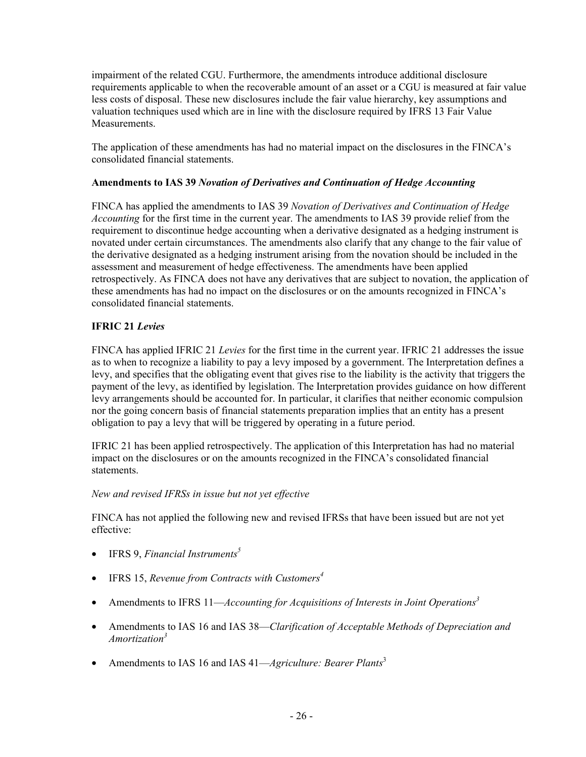impairment of the related CGU. Furthermore, the amendments introduce additional disclosure requirements applicable to when the recoverable amount of an asset or a CGU is measured at fair value less costs of disposal. These new disclosures include the fair value hierarchy, key assumptions and valuation techniques used which are in line with the disclosure required by IFRS 13 Fair Value **Measurements** 

The application of these amendments has had no material impact on the disclosures in the FINCA's consolidated financial statements.

#### **Amendments to IAS 39** *Novation of Derivatives and Continuation of Hedge Accounting*

FINCA has applied the amendments to IAS 39 *Novation of Derivatives and Continuation of Hedge Accounting* for the first time in the current year. The amendments to IAS 39 provide relief from the requirement to discontinue hedge accounting when a derivative designated as a hedging instrument is novated under certain circumstances. The amendments also clarify that any change to the fair value of the derivative designated as a hedging instrument arising from the novation should be included in the assessment and measurement of hedge effectiveness. The amendments have been applied retrospectively. As FINCA does not have any derivatives that are subject to novation, the application of these amendments has had no impact on the disclosures or on the amounts recognized in FINCA's consolidated financial statements.

# **IFRIC 21** *Levies*

FINCA has applied IFRIC 21 *Levies* for the first time in the current year. IFRIC 21 addresses the issue as to when to recognize a liability to pay a levy imposed by a government. The Interpretation defines a levy, and specifies that the obligating event that gives rise to the liability is the activity that triggers the payment of the levy, as identified by legislation. The Interpretation provides guidance on how different levy arrangements should be accounted for. In particular, it clarifies that neither economic compulsion nor the going concern basis of financial statements preparation implies that an entity has a present obligation to pay a levy that will be triggered by operating in a future period.

IFRIC 21 has been applied retrospectively. The application of this Interpretation has had no material impact on the disclosures or on the amounts recognized in the FINCA's consolidated financial statements.

#### *New and revised IFRSs in issue but not yet effective*

FINCA has not applied the following new and revised IFRSs that have been issued but are not yet effective:

- **IFRS 9.** *Financial Instruments*<sup>5</sup>
- IFRS 15, *Revenue from Contracts with Customers*<sup>4</sup>
- Amendments to IFRS 11—*Accounting for Acquisitions of Interests in Joint Operations*<sup>3</sup>
- Amendments to IAS 16 and IAS 38—*Clarification of Acceptable Methods of Depreciation and Amortization<sup>3</sup>*
- Amendments to IAS 16 and IAS 41—*Agriculture: Bearer Plants*<sup>3</sup>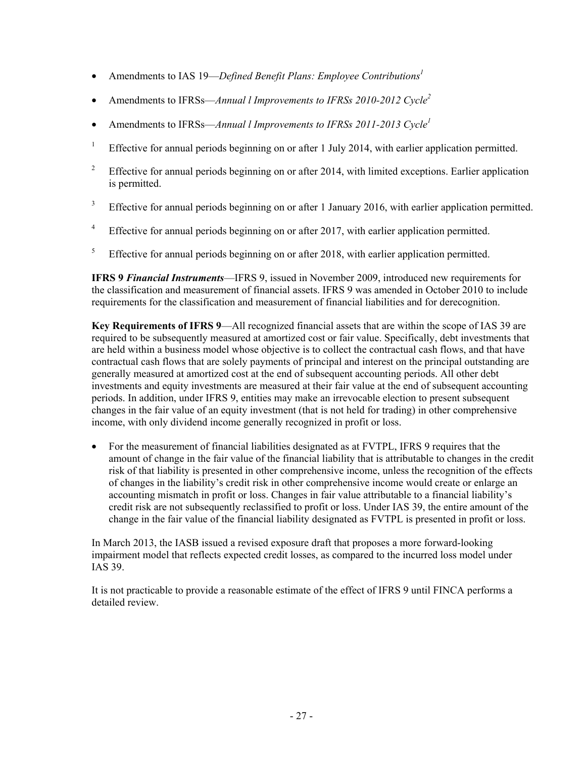- Amendments to IAS 19—*Defined Benefit Plans: Employee Contributions*<sup>1</sup>
- Amendments to IFRSs—*Annual l Improvements to IFRSs 2010-2012 Cycle<sup>2</sup>*
- Amendments to IFRSs—*Annual l Improvements to IFRSs 2011-2013 Cycle<sup>1</sup>*
- 1 Effective for annual periods beginning on or after 1 July 2014, with earlier application permitted.
- 2 Effective for annual periods beginning on or after 2014, with limited exceptions. Earlier application is permitted.
- 3 Effective for annual periods beginning on or after 1 January 2016, with earlier application permitted.
- 4 Effective for annual periods beginning on or after 2017, with earlier application permitted.
- 5 Effective for annual periods beginning on or after 2018, with earlier application permitted.

**IFRS 9** *Financial Instruments*—IFRS 9, issued in November 2009, introduced new requirements for the classification and measurement of financial assets. IFRS 9 was amended in October 2010 to include requirements for the classification and measurement of financial liabilities and for derecognition.

**Key Requirements of IFRS 9**—All recognized financial assets that are within the scope of IAS 39 are required to be subsequently measured at amortized cost or fair value. Specifically, debt investments that are held within a business model whose objective is to collect the contractual cash flows, and that have contractual cash flows that are solely payments of principal and interest on the principal outstanding are generally measured at amortized cost at the end of subsequent accounting periods. All other debt investments and equity investments are measured at their fair value at the end of subsequent accounting periods. In addition, under IFRS 9, entities may make an irrevocable election to present subsequent changes in the fair value of an equity investment (that is not held for trading) in other comprehensive income, with only dividend income generally recognized in profit or loss.

• For the measurement of financial liabilities designated as at FVTPL, IFRS 9 requires that the amount of change in the fair value of the financial liability that is attributable to changes in the credit risk of that liability is presented in other comprehensive income, unless the recognition of the effects of changes in the liability's credit risk in other comprehensive income would create or enlarge an accounting mismatch in profit or loss. Changes in fair value attributable to a financial liability's credit risk are not subsequently reclassified to profit or loss. Under IAS 39, the entire amount of the change in the fair value of the financial liability designated as FVTPL is presented in profit or loss.

In March 2013, the IASB issued a revised exposure draft that proposes a more forward-looking impairment model that reflects expected credit losses, as compared to the incurred loss model under IAS 39.

It is not practicable to provide a reasonable estimate of the effect of IFRS 9 until FINCA performs a detailed review.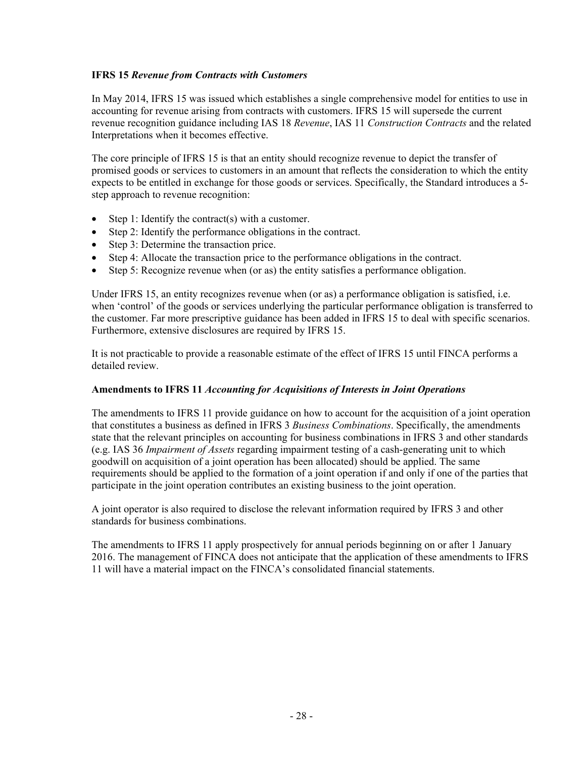#### **IFRS 15** *Revenue from Contracts with Customers*

In May 2014, IFRS 15 was issued which establishes a single comprehensive model for entities to use in accounting for revenue arising from contracts with customers. IFRS 15 will supersede the current revenue recognition guidance including IAS 18 *Revenue*, IAS 11 *Construction Contracts* and the related Interpretations when it becomes effective.

The core principle of IFRS 15 is that an entity should recognize revenue to depict the transfer of promised goods or services to customers in an amount that reflects the consideration to which the entity expects to be entitled in exchange for those goods or services. Specifically, the Standard introduces a 5 step approach to revenue recognition:

- Step 1: Identify the contract(s) with a customer.
- Step 2: Identify the performance obligations in the contract.
- Step 3: Determine the transaction price.
- Step 4: Allocate the transaction price to the performance obligations in the contract.
- Step 5: Recognize revenue when (or as) the entity satisfies a performance obligation.

Under IFRS 15, an entity recognizes revenue when (or as) a performance obligation is satisfied, i.e. when 'control' of the goods or services underlying the particular performance obligation is transferred to the customer. Far more prescriptive guidance has been added in IFRS 15 to deal with specific scenarios. Furthermore, extensive disclosures are required by IFRS 15.

It is not practicable to provide a reasonable estimate of the effect of IFRS 15 until FINCA performs a detailed review.

#### **Amendments to IFRS 11** *Accounting for Acquisitions of Interests in Joint Operations*

The amendments to IFRS 11 provide guidance on how to account for the acquisition of a joint operation that constitutes a business as defined in IFRS 3 *Business Combinations*. Specifically, the amendments state that the relevant principles on accounting for business combinations in IFRS 3 and other standards (e.g. IAS 36 *Impairment of Assets* regarding impairment testing of a cash-generating unit to which goodwill on acquisition of a joint operation has been allocated) should be applied. The same requirements should be applied to the formation of a joint operation if and only if one of the parties that participate in the joint operation contributes an existing business to the joint operation.

A joint operator is also required to disclose the relevant information required by IFRS 3 and other standards for business combinations.

The amendments to IFRS 11 apply prospectively for annual periods beginning on or after 1 January 2016. The management of FINCA does not anticipate that the application of these amendments to IFRS 11 will have a material impact on the FINCA's consolidated financial statements.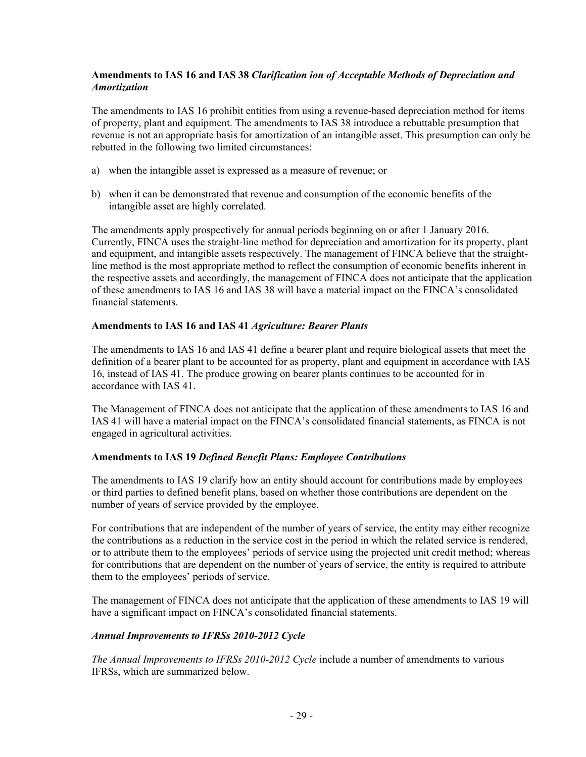#### **Amendments to IAS 16 and IAS 38** *Clarification ion of Acceptable Methods of Depreciation and Amortization*

The amendments to IAS 16 prohibit entities from using a revenue-based depreciation method for items of property, plant and equipment. The amendments to IAS 38 introduce a rebuttable presumption that revenue is not an appropriate basis for amortization of an intangible asset. This presumption can only be rebutted in the following two limited circumstances:

- a) when the intangible asset is expressed as a measure of revenue; or
- b) when it can be demonstrated that revenue and consumption of the economic benefits of the intangible asset are highly correlated.

The amendments apply prospectively for annual periods beginning on or after 1 January 2016. Currently, FINCA uses the straight-line method for depreciation and amortization for its property, plant and equipment, and intangible assets respectively. The management of FINCA believe that the straightline method is the most appropriate method to reflect the consumption of economic benefits inherent in the respective assets and accordingly, the management of FINCA does not anticipate that the application of these amendments to IAS 16 and IAS 38 will have a material impact on the FINCA's consolidated financial statements.

# **Amendments to IAS 16 and IAS 41** *Agriculture: Bearer Plants*

The amendments to IAS 16 and IAS 41 define a bearer plant and require biological assets that meet the definition of a bearer plant to be accounted for as property, plant and equipment in accordance with IAS 16, instead of IAS 41. The produce growing on bearer plants continues to be accounted for in accordance with IAS 41.

The Management of FINCA does not anticipate that the application of these amendments to IAS 16 and IAS 41 will have a material impact on the FINCA's consolidated financial statements, as FINCA is not engaged in agricultural activities.

# **Amendments to IAS 19** *Defined Benefit Plans: Employee Contributions*

The amendments to IAS 19 clarify how an entity should account for contributions made by employees or third parties to defined benefit plans, based on whether those contributions are dependent on the number of years of service provided by the employee.

For contributions that are independent of the number of years of service, the entity may either recognize the contributions as a reduction in the service cost in the period in which the related service is rendered, or to attribute them to the employees' periods of service using the projected unit credit method; whereas for contributions that are dependent on the number of years of service, the entity is required to attribute them to the employees' periods of service.

The management of FINCA does not anticipate that the application of these amendments to IAS 19 will have a significant impact on FINCA's consolidated financial statements.

# *Annual Improvements to IFRSs 2010-2012 Cycle*

*The Annual Improvements to IFRSs 2010-2012 Cycle* include a number of amendments to various IFRSs, which are summarized below.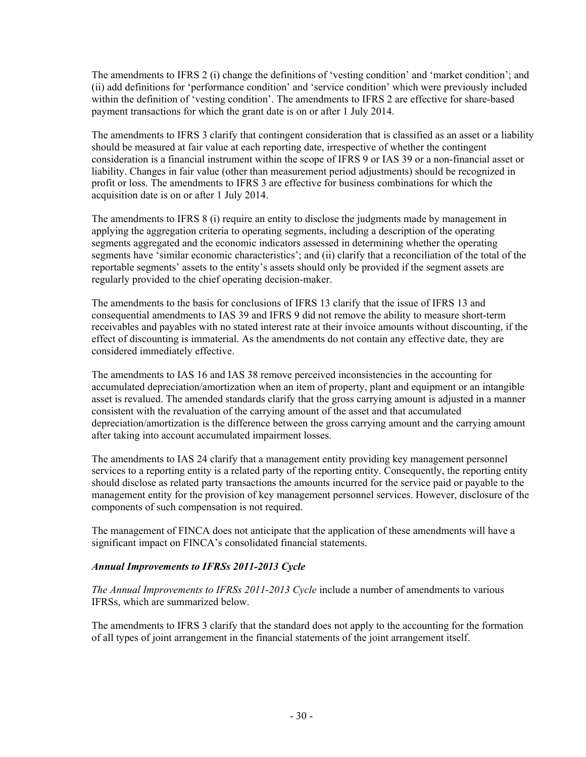The amendments to IFRS 2 (i) change the definitions of 'vesting condition' and 'market condition'; and (ii) add definitions for 'performance condition' and 'service condition' which were previously included within the definition of 'vesting condition'. The amendments to IFRS 2 are effective for share-based payment transactions for which the grant date is on or after 1 July 2014.

The amendments to IFRS 3 clarify that contingent consideration that is classified as an asset or a liability should be measured at fair value at each reporting date, irrespective of whether the contingent consideration is a financial instrument within the scope of IFRS 9 or IAS 39 or a non-financial asset or liability. Changes in fair value (other than measurement period adjustments) should be recognized in profit or loss. The amendments to IFRS 3 are effective for business combinations for which the acquisition date is on or after 1 July 2014.

The amendments to IFRS 8 (i) require an entity to disclose the judgments made by management in applying the aggregation criteria to operating segments, including a description of the operating segments aggregated and the economic indicators assessed in determining whether the operating segments have 'similar economic characteristics'; and (ii) clarify that a reconciliation of the total of the reportable segments' assets to the entity's assets should only be provided if the segment assets are regularly provided to the chief operating decision-maker.

The amendments to the basis for conclusions of IFRS 13 clarify that the issue of IFRS 13 and consequential amendments to IAS 39 and IFRS 9 did not remove the ability to measure short-term receivables and payables with no stated interest rate at their invoice amounts without discounting, if the effect of discounting is immaterial. As the amendments do not contain any effective date, they are considered immediately effective.

The amendments to IAS 16 and IAS 38 remove perceived inconsistencies in the accounting for accumulated depreciation/amortization when an item of property, plant and equipment or an intangible asset is revalued. The amended standards clarify that the gross carrying amount is adjusted in a manner consistent with the revaluation of the carrying amount of the asset and that accumulated depreciation/amortization is the difference between the gross carrying amount and the carrying amount after taking into account accumulated impairment losses.

The amendments to IAS 24 clarify that a management entity providing key management personnel services to a reporting entity is a related party of the reporting entity. Consequently, the reporting entity should disclose as related party transactions the amounts incurred for the service paid or payable to the management entity for the provision of key management personnel services. However, disclosure of the components of such compensation is not required.

The management of FINCA does not anticipate that the application of these amendments will have a significant impact on FINCA's consolidated financial statements.

#### *Annual Improvements to IFRSs 2011-2013 Cycle*

*The Annual Improvements to IFRSs 2011-2013 Cycle* include a number of amendments to various IFRSs, which are summarized below.

The amendments to IFRS 3 clarify that the standard does not apply to the accounting for the formation of all types of joint arrangement in the financial statements of the joint arrangement itself.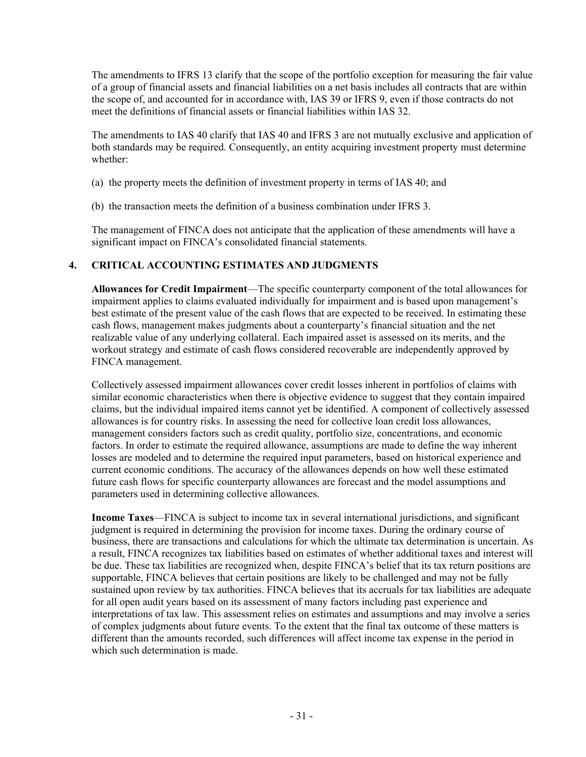The amendments to IFRS 13 clarify that the scope of the portfolio exception for measuring the fair value of a group of financial assets and financial liabilities on a net basis includes all contracts that are within the scope of, and accounted for in accordance with, IAS 39 or IFRS 9, even if those contracts do not meet the definitions of financial assets or financial liabilities within IAS 32.

The amendments to IAS 40 clarify that IAS 40 and IFRS 3 are not mutually exclusive and application of both standards may be required. Consequently, an entity acquiring investment property must determine whether:

- (a) the property meets the definition of investment property in terms of IAS 40; and
- (b) the transaction meets the definition of a business combination under IFRS 3.

The management of FINCA does not anticipate that the application of these amendments will have a significant impact on FINCA's consolidated financial statements.

# **4. CRITICAL ACCOUNTING ESTIMATES AND JUDGMENTS**

**Allowances for Credit Impairment**—The specific counterparty component of the total allowances for impairment applies to claims evaluated individually for impairment and is based upon management's best estimate of the present value of the cash flows that are expected to be received. In estimating these cash flows, management makes judgments about a counterparty's financial situation and the net realizable value of any underlying collateral. Each impaired asset is assessed on its merits, and the workout strategy and estimate of cash flows considered recoverable are independently approved by FINCA management.

Collectively assessed impairment allowances cover credit losses inherent in portfolios of claims with similar economic characteristics when there is objective evidence to suggest that they contain impaired claims, but the individual impaired items cannot yet be identified. A component of collectively assessed allowances is for country risks. In assessing the need for collective loan credit loss allowances, management considers factors such as credit quality, portfolio size, concentrations, and economic factors. In order to estimate the required allowance, assumptions are made to define the way inherent losses are modeled and to determine the required input parameters, based on historical experience and current economic conditions. The accuracy of the allowances depends on how well these estimated future cash flows for specific counterparty allowances are forecast and the model assumptions and parameters used in determining collective allowances.

**Income Taxes**—FINCA is subject to income tax in several international jurisdictions, and significant judgment is required in determining the provision for income taxes. During the ordinary course of business, there are transactions and calculations for which the ultimate tax determination is uncertain. As a result, FINCA recognizes tax liabilities based on estimates of whether additional taxes and interest will be due. These tax liabilities are recognized when, despite FINCA's belief that its tax return positions are supportable, FINCA believes that certain positions are likely to be challenged and may not be fully sustained upon review by tax authorities. FINCA believes that its accruals for tax liabilities are adequate for all open audit years based on its assessment of many factors including past experience and interpretations of tax law. This assessment relies on estimates and assumptions and may involve a series of complex judgments about future events. To the extent that the final tax outcome of these matters is different than the amounts recorded, such differences will affect income tax expense in the period in which such determination is made.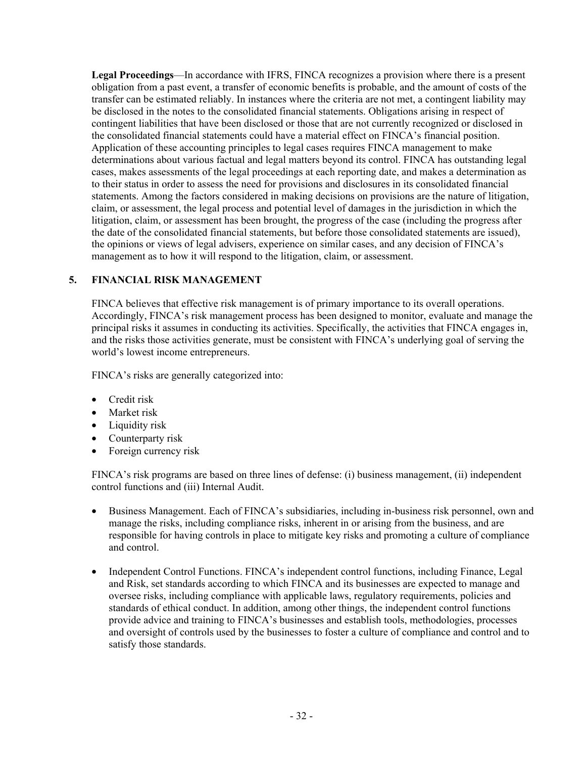**Legal Proceedings**—In accordance with IFRS, FINCA recognizes a provision where there is a present obligation from a past event, a transfer of economic benefits is probable, and the amount of costs of the transfer can be estimated reliably. In instances where the criteria are not met, a contingent liability may be disclosed in the notes to the consolidated financial statements. Obligations arising in respect of contingent liabilities that have been disclosed or those that are not currently recognized or disclosed in the consolidated financial statements could have a material effect on FINCA's financial position. Application of these accounting principles to legal cases requires FINCA management to make determinations about various factual and legal matters beyond its control. FINCA has outstanding legal cases, makes assessments of the legal proceedings at each reporting date, and makes a determination as to their status in order to assess the need for provisions and disclosures in its consolidated financial statements. Among the factors considered in making decisions on provisions are the nature of litigation, claim, or assessment, the legal process and potential level of damages in the jurisdiction in which the litigation, claim, or assessment has been brought, the progress of the case (including the progress after the date of the consolidated financial statements, but before those consolidated statements are issued), the opinions or views of legal advisers, experience on similar cases, and any decision of FINCA's management as to how it will respond to the litigation, claim, or assessment.

# **5. FINANCIAL RISK MANAGEMENT**

FINCA believes that effective risk management is of primary importance to its overall operations. Accordingly, FINCA's risk management process has been designed to monitor, evaluate and manage the principal risks it assumes in conducting its activities. Specifically, the activities that FINCA engages in, and the risks those activities generate, must be consistent with FINCA's underlying goal of serving the world's lowest income entrepreneurs.

FINCA's risks are generally categorized into:

- Credit risk
- Market risk
- Liquidity risk
- Counterparty risk
- Foreign currency risk

FINCA's risk programs are based on three lines of defense: (i) business management, (ii) independent control functions and (iii) Internal Audit.

- Business Management. Each of FINCA's subsidiaries, including in-business risk personnel, own and manage the risks, including compliance risks, inherent in or arising from the business, and are responsible for having controls in place to mitigate key risks and promoting a culture of compliance and control.
- Independent Control Functions. FINCA's independent control functions, including Finance, Legal and Risk, set standards according to which FINCA and its businesses are expected to manage and oversee risks, including compliance with applicable laws, regulatory requirements, policies and standards of ethical conduct. In addition, among other things, the independent control functions provide advice and training to FINCA's businesses and establish tools, methodologies, processes and oversight of controls used by the businesses to foster a culture of compliance and control and to satisfy those standards.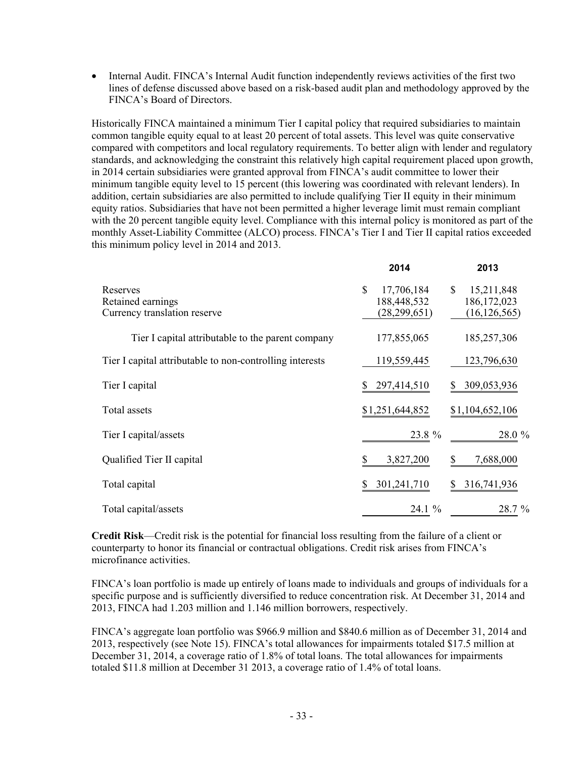• Internal Audit. FINCA's Internal Audit function independently reviews activities of the first two lines of defense discussed above based on a risk-based audit plan and methodology approved by the FINCA's Board of Directors.

Historically FINCA maintained a minimum Tier I capital policy that required subsidiaries to maintain common tangible equity equal to at least 20 percent of total assets. This level was quite conservative compared with competitors and local regulatory requirements. To better align with lender and regulatory standards, and acknowledging the constraint this relatively high capital requirement placed upon growth, in 2014 certain subsidiaries were granted approval from FINCA's audit committee to lower their minimum tangible equity level to 15 percent (this lowering was coordinated with relevant lenders). In addition, certain subsidiaries are also permitted to include qualifying Tier II equity in their minimum equity ratios. Subsidiaries that have not been permitted a higher leverage limit must remain compliant with the 20 percent tangible equity level. Compliance with this internal policy is monitored as part of the monthly Asset-Liability Committee (ALCO) process. FINCA's Tier I and Tier II capital ratios exceeded this minimum policy level in 2014 and 2013.

|                                                               | 2014                                              | 2013                                                |
|---------------------------------------------------------------|---------------------------------------------------|-----------------------------------------------------|
| Reserves<br>Retained earnings<br>Currency translation reserve | \$<br>17,706,184<br>188,448,532<br>(28, 299, 651) | \$<br>15,211,848<br>186, 172, 023<br>(16, 126, 565) |
| Tier I capital attributable to the parent company             | 177,855,065                                       | 185,257,306                                         |
| Tier I capital attributable to non-controlling interests      | 119,559,445                                       | 123,796,630                                         |
| Tier I capital                                                | 297,414,510                                       | 309,053,936                                         |
| Total assets                                                  | \$1,251,644,852                                   | \$1,104,652,106                                     |
| Tier I capital/assets                                         | 23.8 %                                            | 28.0 %                                              |
| Qualified Tier II capital                                     | 3,827,200                                         | 7,688,000                                           |
| Total capital                                                 | 301,241,710                                       | 316,741,936                                         |
| Total capital/assets                                          | 24.1%                                             | 28.7 %                                              |

**Credit Risk**—Credit risk is the potential for financial loss resulting from the failure of a client or counterparty to honor its financial or contractual obligations. Credit risk arises from FINCA's microfinance activities.

FINCA's loan portfolio is made up entirely of loans made to individuals and groups of individuals for a specific purpose and is sufficiently diversified to reduce concentration risk. At December 31, 2014 and 2013, FINCA had 1.203 million and 1.146 million borrowers, respectively.

FINCA's aggregate loan portfolio was \$966.9 million and \$840.6 million as of December 31, 2014 and 2013, respectively (see Note 15). FINCA's total allowances for impairments totaled \$17.5 million at December 31, 2014, a coverage ratio of 1.8% of total loans. The total allowances for impairments totaled \$11.8 million at December 31 2013, a coverage ratio of 1.4% of total loans.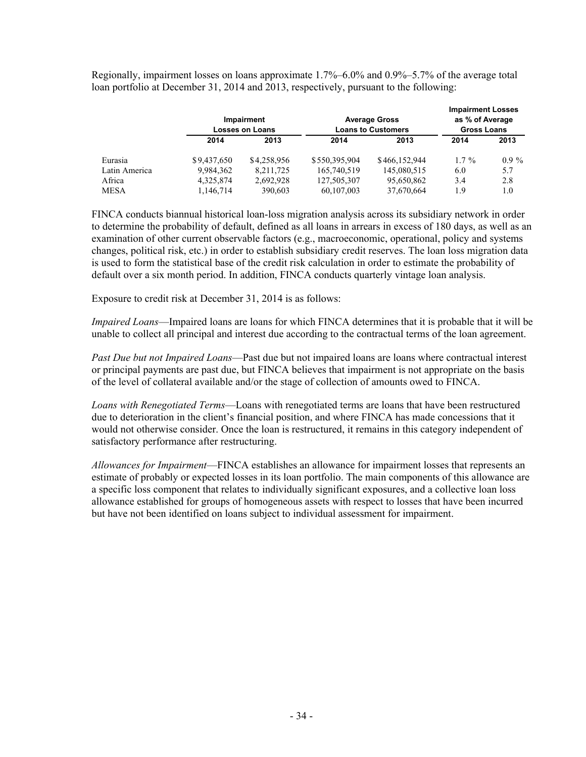Regionally, impairment losses on loans approximate 1.7%–6.0% and 0.9%–5.7% of the average total loan portfolio at December 31, 2014 and 2013, respectively, pursuant to the following:

|               | Impairment<br><b>Losses on Loans</b> |             | <b>Average Gross</b><br><b>Loans to Customers</b> |               |         | <b>Impairment Losses</b><br>as % of Average<br><b>Gross Loans</b> |  |
|---------------|--------------------------------------|-------------|---------------------------------------------------|---------------|---------|-------------------------------------------------------------------|--|
|               | 2014                                 | 2013        | 2014                                              | 2013          | 2014    | 2013                                                              |  |
| Eurasia       | \$9,437,650                          | \$4.258.956 | \$550,395,904                                     | \$466,152,944 | $1.7\%$ | $0.9\%$                                                           |  |
| Latin America | 9,984,362                            | 8,211,725   | 165,740,519                                       | 145,080,515   | 6.0     | 5.7                                                               |  |
| Africa        | 4,325,874                            | 2,692,928   | 127,505,307                                       | 95,650,862    | 3.4     | 2.8                                                               |  |
| <b>MESA</b>   | 1,146,714                            | 390,603     | 60,107,003                                        | 37,670,664    | 1.9     | 1.0                                                               |  |

FINCA conducts biannual historical loan-loss migration analysis across its subsidiary network in order to determine the probability of default, defined as all loans in arrears in excess of 180 days, as well as an examination of other current observable factors (e.g., macroeconomic, operational, policy and systems changes, political risk, etc.) in order to establish subsidiary credit reserves. The loan loss migration data is used to form the statistical base of the credit risk calculation in order to estimate the probability of default over a six month period. In addition, FINCA conducts quarterly vintage loan analysis.

Exposure to credit risk at December 31, 2014 is as follows:

*Impaired Loans*—Impaired loans are loans for which FINCA determines that it is probable that it will be unable to collect all principal and interest due according to the contractual terms of the loan agreement.

*Past Due but not Impaired Loans*—Past due but not impaired loans are loans where contractual interest or principal payments are past due, but FINCA believes that impairment is not appropriate on the basis of the level of collateral available and/or the stage of collection of amounts owed to FINCA.

*Loans with Renegotiated Terms*—Loans with renegotiated terms are loans that have been restructured due to deterioration in the client's financial position, and where FINCA has made concessions that it would not otherwise consider. Once the loan is restructured, it remains in this category independent of satisfactory performance after restructuring.

*Allowances for Impairment*—FINCA establishes an allowance for impairment losses that represents an estimate of probably or expected losses in its loan portfolio. The main components of this allowance are a specific loss component that relates to individually significant exposures, and a collective loan loss allowance established for groups of homogeneous assets with respect to losses that have been incurred but have not been identified on loans subject to individual assessment for impairment.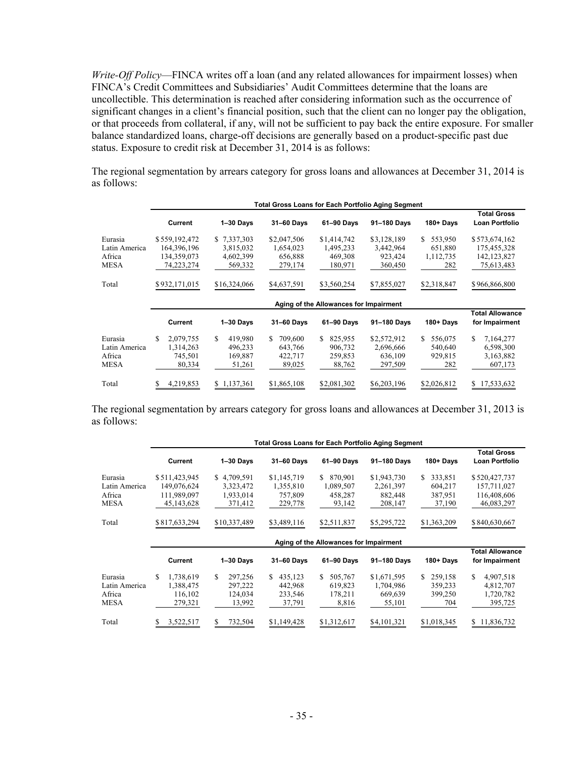*Write-Off Policy*—FINCA writes off a loan (and any related allowances for impairment losses) when FINCA's Credit Committees and Subsidiaries' Audit Committees determine that the loans are uncollectible. This determination is reached after considering information such as the occurrence of significant changes in a client's financial position, such that the client can no longer pay the obligation, or that proceeds from collateral, if any, will not be sufficient to pay back the entire exposure. For smaller balance standardized loans, charge-off decisions are generally based on a product-specific past due status. Exposure to credit risk at December 31, 2014 is as follows:

The regional segmentation by arrears category for gross loans and allowances at December 31, 2014 is as follows:

|                                                   | <b>Total Gross Loans for Each Portfolio Aging Segment</b> |                                                  |                                                |                                                |                                                |                                               |                                                             |  |  |
|---------------------------------------------------|-----------------------------------------------------------|--------------------------------------------------|------------------------------------------------|------------------------------------------------|------------------------------------------------|-----------------------------------------------|-------------------------------------------------------------|--|--|
|                                                   | Current                                                   | $1-30$ Days                                      | 31-60 Days                                     | 61-90 Days                                     | 91-180 Days                                    | 180+ Days                                     | <b>Total Gross</b><br><b>Loan Portfolio</b>                 |  |  |
| Eurasia<br>Latin America<br>Africa<br><b>MESA</b> | \$559,192,472<br>164,396,196<br>134,359,073<br>74,223,274 | \$7,337,303<br>3,815,032<br>4,602,399<br>569,332 | \$2,047,506<br>1,654,023<br>656,888<br>279,174 | \$1,414,742<br>1,495,233<br>469,308<br>180,971 | \$3,128,189<br>3,442,964<br>923,424<br>360,450 | \$.<br>553,950<br>651,880<br>1,112,735<br>282 | \$573,674,162<br>175,455,328<br>142, 123, 827<br>75,613,483 |  |  |
| Total                                             | \$932,171,015                                             | \$16,324,066                                     | \$4,637,591                                    | \$3,560,254                                    | \$7,855,027                                    | \$2,318,847                                   | \$966,866,800                                               |  |  |
|                                                   | Aging of the Allowances for Impairment                    |                                                  |                                                |                                                |                                                |                                               |                                                             |  |  |
|                                                   |                                                           |                                                  |                                                |                                                |                                                |                                               |                                                             |  |  |
|                                                   | Current                                                   | 1-30 Days                                        | 31-60 Days                                     | 61-90 Days                                     | 91-180 Days                                    | 180+ Days                                     | <b>Total Allowance</b><br>for Impairment                    |  |  |
| Eurasia<br>Latin America<br>Africa<br><b>MESA</b> | \$<br>2,079,755<br>1,314,263<br>745,501<br>80,334         | S.<br>419,980<br>496,233<br>169,887<br>51,261    | 709,600<br>S.<br>643,766<br>422,717<br>89,025  | 825,955<br>\$.<br>906,732<br>259,853<br>88,762 | \$2,572,912<br>2,696,666<br>636,109<br>297,509 | S.<br>556,075<br>540,640<br>929.815<br>282    | \$.<br>7,164,277<br>6,598,300<br>3,163,882<br>607,173       |  |  |

The regional segmentation by arrears category for gross loans and allowances at December 31, 2013 is as follows:

|                                                   | Total Gross Loans for Each Portfolio Aging Segment        |                                                  |                                                |                                                 |                                                |                                               |                                                           |  |  |
|---------------------------------------------------|-----------------------------------------------------------|--------------------------------------------------|------------------------------------------------|-------------------------------------------------|------------------------------------------------|-----------------------------------------------|-----------------------------------------------------------|--|--|
|                                                   | <b>Current</b>                                            | $1-30$ Days                                      | 31-60 Days                                     | 61-90 Days                                      | 91-180 Days                                    | $180 +$ Days                                  | <b>Total Gross</b><br><b>Loan Portfolio</b>               |  |  |
| Eurasia<br>Latin America<br>Africa<br>MESA        | \$511,423,945<br>149,076,624<br>111,989,097<br>45,143,628 | \$4,709,591<br>3,323,472<br>1,933,014<br>371,412 | \$1,145,719<br>1,355,810<br>757,809<br>229,778 | 870.901<br>S.<br>1,089,507<br>458,287<br>93,142 | \$1,943,730<br>2,261,397<br>882,448<br>208,147 | 333,851<br>S.<br>604,217<br>387,951<br>37,190 | \$520,427,737<br>157,711,027<br>116,408,606<br>46,083,297 |  |  |
| Total                                             | \$817,633,294                                             | \$10,337,489                                     | \$3,489,116                                    | \$2,511,837                                     | \$5,295,722                                    | \$1,363,209                                   | \$840,630,667                                             |  |  |
|                                                   | Aging of the Allowances for Impairment                    |                                                  |                                                |                                                 |                                                |                                               |                                                           |  |  |
|                                                   | <b>Current</b>                                            | $1-30$ Days                                      | 31-60 Days                                     | 61-90 Davs                                      | 91-180 Days                                    | 180+ Davs                                     | <b>Total Allowance</b><br>for Impairment                  |  |  |
| Eurasia<br>Latin America<br>Africa<br><b>MESA</b> | \$<br>1,738,619<br>1,388,475<br>116,102<br>279,321        | \$.<br>297,256<br>297,222<br>124,034<br>13,992   | 435.123<br>S.<br>442,968<br>233,546<br>37,791  | 505.767<br>S.<br>619,823<br>178,211<br>8,816    | \$1,671,595<br>1,704,986<br>669,639<br>55,101  | 259.158<br>S.<br>359,233<br>399,250<br>704    | S.<br>4,907,518<br>4,812,707<br>1,720,782<br>395,725      |  |  |
| Total                                             | 3,522,517<br>\$                                           | 732,504<br>\$                                    | \$1,149,428                                    | \$1,312,617                                     | \$4,101,321                                    | \$1,018,345                                   | 11,836,732<br>\$                                          |  |  |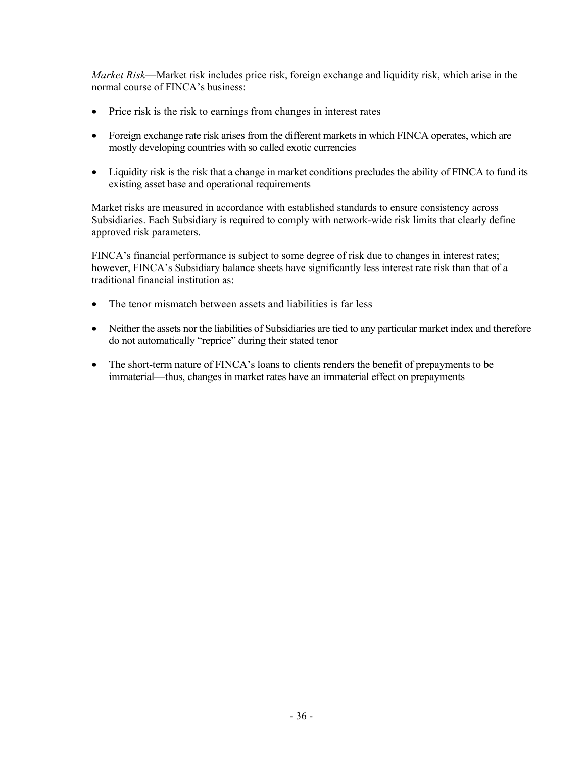*Market Risk*—Market risk includes price risk, foreign exchange and liquidity risk, which arise in the normal course of FINCA's business:

- Price risk is the risk to earnings from changes in interest rates
- Foreign exchange rate risk arises from the different markets in which FINCA operates, which are mostly developing countries with so called exotic currencies
- Liquidity risk is the risk that a change in market conditions precludes the ability of FINCA to fund its existing asset base and operational requirements

Market risks are measured in accordance with established standards to ensure consistency across Subsidiaries. Each Subsidiary is required to comply with network-wide risk limits that clearly define approved risk parameters.

FINCA's financial performance is subject to some degree of risk due to changes in interest rates; however, FINCA's Subsidiary balance sheets have significantly less interest rate risk than that of a traditional financial institution as:

- The tenor mismatch between assets and liabilities is far less
- Neither the assets nor the liabilities of Subsidiaries are tied to any particular market index and therefore do not automatically "reprice" during their stated tenor
- The short-term nature of FINCA's loans to clients renders the benefit of prepayments to be immaterial—thus, changes in market rates have an immaterial effect on prepayments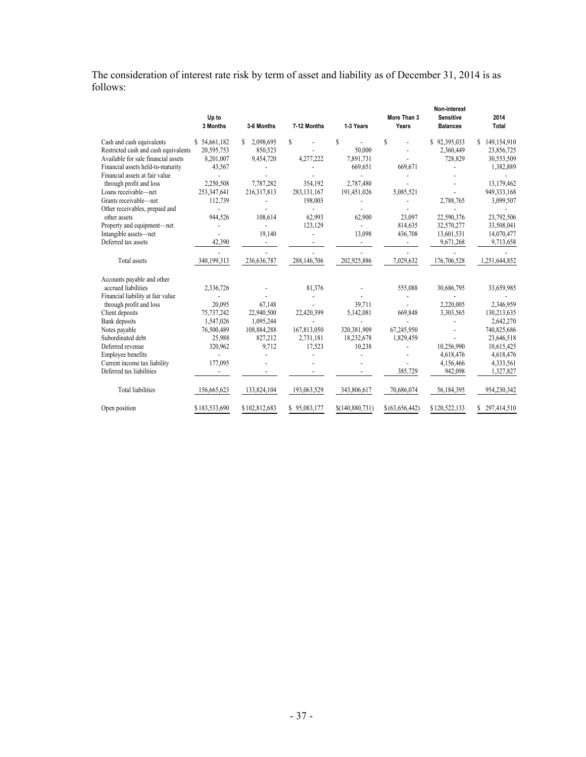The consideration of interest rate risk by term of asset and liability as of December 31, 2014 is as follows:

|                                      | Up to<br>3 Months | 3-6 Months    | 7-12 Months  | 1-3 Years       | More Than 3<br>Years | Non-interest<br><b>Sensitive</b><br><b>Balances</b> | 2014<br>Total |
|--------------------------------------|-------------------|---------------|--------------|-----------------|----------------------|-----------------------------------------------------|---------------|
|                                      |                   |               |              |                 |                      |                                                     |               |
| Cash and cash equivalents            | \$54,661,182      | 2,098,695     | S            | S               | S                    | 92,395,033<br>S                                     | 149,154,910   |
| Restricted cash and cash equivalents | 20,595,753        | 850.523       |              | 50.000          |                      | 2,360,449                                           | 23,856,725    |
| Available for sale financial assets  | 8,201,007         | 9,454,720     | 4,277,222    | 7,891,731       |                      | 728,829                                             | 30,553,509    |
| Financial assets held-to-maturity    | 43,567            |               |              | 669,651         | 669.671              |                                                     | 1,382,889     |
| Financial assets at fair value       | ٠                 |               |              |                 |                      |                                                     |               |
| through profit and loss              | 2,250,508         | 7,787,282     | 354,192      | 2,787,480       |                      |                                                     | 13,179,462    |
| Loans receivable-net                 | 253,347,641       | 216,317,813   | 283,131,167  | 191,451,026     | 5,085,521            |                                                     | 949,333,168   |
| Grants receivable—net                | 112,739           |               | 198,003      |                 |                      | 2,788,765                                           | 3,099,507     |
| Other receivables, prepaid and       |                   |               |              |                 |                      |                                                     |               |
| other assets                         | 944,526           | 108,614       | 62,993       | 62,900          | 23,097               | 22,590,376                                          | 23,792,506    |
| Property and equipment—net           |                   |               | 123,129      |                 | 814,635              | 32,570,277                                          | 33,508,041    |
| Intangible assets-net                |                   | 19,140        |              | 13,098          | 436,708              | 13,601,531                                          | 14,070,477    |
| Deferred tax assets                  | 42,390            |               |              |                 |                      | 9,671,268                                           | 9,713,658     |
|                                      |                   |               |              |                 |                      |                                                     |               |
| Total assets                         | 340, 199, 313     | 236,636,787   | 288,146,706  | 202,925,886     | 7,029,632            | 176,706,528                                         | 1,251,644,852 |
| Accounts payable and other           |                   |               |              |                 |                      |                                                     |               |
| accrued liabilities                  | 2,336,726         |               | 81,376       |                 | 555,088              | 30,686,795                                          | 33,659,985    |
| Financial liability at fair value    |                   |               |              |                 |                      |                                                     |               |
| through profit and loss              | 20,095            | 67,148        |              | 39,711          | $\overline{a}$       | 2,220,005                                           | 2,346,959     |
| Client deposits                      | 75,737,242        | 22,940,500    | 22,420,399   | 5,142,081       | 669,848              | 3,303,565                                           | 130,213,635   |
| Bank deposits                        | 1,547,026         | 1,095,244     |              |                 |                      |                                                     | 2,642,270     |
| Notes payable                        | 76,500,489        | 108,884,288   | 167,813,050  | 320,381,909     | 67,245,950           |                                                     | 740,825,686   |
| Subordinated debt                    | 25,988            | 827,212       | 2,731,181    | 18,232,678      | 1,829,459            |                                                     | 23,646,518    |
| Deferred revenue                     | 320,962           | 9,712         | 17,523       | 10,238          |                      | 10,256,990                                          | 10,615,425    |
| Employee benefits                    |                   |               |              |                 |                      | 4,618,476                                           | 4,618,476     |
| Current income tax liability         | 177,095           |               |              |                 |                      | 4,156,466                                           | 4,333,561     |
| Deferred tax liabilities             |                   |               |              |                 | 385,729              | 942,098                                             | 1,327,827     |
|                                      |                   |               |              |                 |                      |                                                     |               |
| <b>Total liabilities</b>             | 156,665,623       | 133,824,104   | 193,063,529  | 343,806,617     | 70,686,074           | 56,184,395                                          | 954,230,342   |
| Open position                        | \$183,533,690     | \$102,812,683 | \$95,083,177 | \$(140,880,731) | \$(63,656,442)       | \$120,522,133                                       | 297,414,510   |
|                                      |                   |               |              |                 |                      |                                                     |               |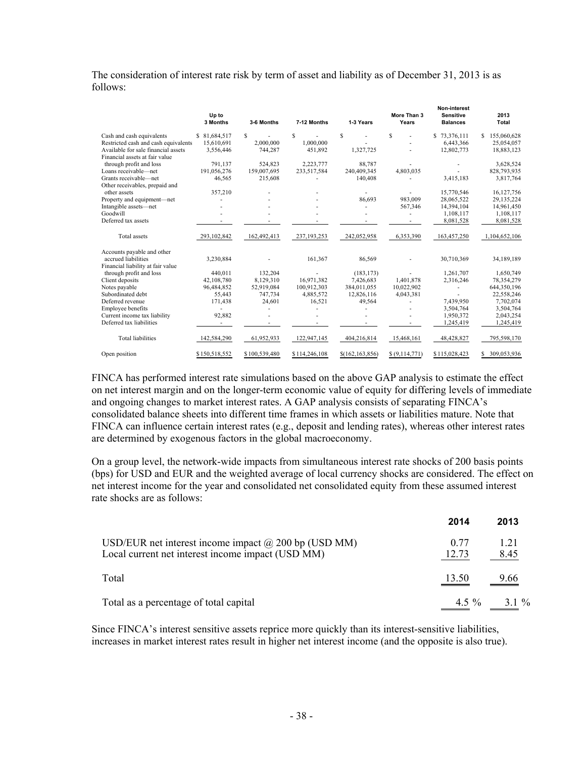The consideration of interest rate risk by term of asset and liability as of December 31, 2013 is as follows:

|                                                                       | Up to<br>3 Months | 3-6 Months    | 7-12 Months   | 1-3 Years         | More Than 3<br>Years | Non-interest<br><b>Sensitive</b><br><b>Balances</b> | 2013<br>Total    |
|-----------------------------------------------------------------------|-------------------|---------------|---------------|-------------------|----------------------|-----------------------------------------------------|------------------|
| Cash and cash equivalents                                             | \$81,684,517      | S.            | S.            | \$.               | S                    | \$73,376,111                                        | 155,060,628<br>S |
| Restricted cash and cash equivalents                                  | 15,610,691        | 2.000.000     | 1.000.000     |                   |                      | 6,443,366                                           | 25,054,057       |
| Available for sale financial assets<br>Financial assets at fair value | 3,556,446         | 744,287       | 451.892       | 1,327,725         |                      | 12,802,773                                          | 18,883,123       |
| through profit and loss                                               | 791.137           | 524,823       | 2,223,777     | 88,787            |                      |                                                     | 3,628,524        |
| Loans receivable-net                                                  | 191,056,276       | 159,007,695   | 233,517,584   | 240,409,345       | 4,803,035            |                                                     | 828,793,935      |
| Grants receivable-net<br>Other receivables, prepaid and               | 46,565            | 215,608       |               | 140,408           |                      | 3,415,183                                           | 3,817,764        |
| other assets                                                          | 357,210           |               |               |                   |                      | 15,770,546                                          | 16, 127, 756     |
| Property and equipment-net                                            |                   |               |               | 86,693            | 983.009              | 28,065,522                                          | 29, 135, 224     |
| Intangible assets-net                                                 |                   |               |               |                   | 567,346              | 14,394,104                                          | 14,961,450       |
| Goodwill                                                              |                   |               |               |                   | ٠                    | 1,108,117                                           | 1,108,117        |
| Deferred tax assets                                                   |                   |               |               |                   |                      | 8,081,528                                           | 8,081,528        |
| <b>Total</b> assets                                                   | 293,102,842       | 162,492,413   | 237,193,253   | 242,052,958       | 6,353,390            | 163,457,250                                         | 1,104,652,106    |
| Accounts payable and other                                            |                   |               |               |                   |                      |                                                     |                  |
| accrued liabilities                                                   | 3,230,884         |               | 161,367       | 86,569            |                      | 30,710,369                                          | 34,189,189       |
| Financial liability at fair value                                     |                   |               |               |                   |                      |                                                     |                  |
| through profit and loss                                               | 440,011           | 132,204       | ÷             | (183, 173)        |                      | 1,261,707                                           | 1,650,749        |
| Client deposits                                                       | 42,108,780        | 8,129,310     | 16,971,382    | 7,426,683         | 1,401,878            | 2,316,246                                           | 78,354,279       |
| Notes payable                                                         | 96,484,852        | 52,919,084    | 100,912,303   | 384,011,055       | 10,022,902           | ٠                                                   | 644,350,196      |
| Subordinated debt                                                     | 55,443            | 747,734       | 4,885,572     | 12,826,116        | 4,043,381            |                                                     | 22,558,246       |
| Deferred revenue                                                      | 171,438           | 24,601        | 16,521        | 49,564            |                      | 7,439,950                                           | 7,702,074        |
| Employee benefits                                                     |                   |               |               |                   |                      | 3,504,764                                           | 3,504,764        |
| Current income tax liability                                          | 92,882            |               |               |                   |                      | 1,950,372                                           | 2,043,254        |
| Deferred tax liabilities                                              | $\sim$            |               |               |                   |                      | 1,245,419                                           | 1,245,419        |
| <b>Total liabilities</b>                                              | 142,584,290       | 61,952,933    | 122,947,145   | 404,216,814       | 15,468,161           | 48,428,827                                          | 795,598,170      |
| Open position                                                         | \$150,518,552     | \$100,539,480 | \$114,246,108 | \$(162, 163, 856) | \$ (9,114,771)       | \$115,028,423                                       | 309,053,936<br>s |

FINCA has performed interest rate simulations based on the above GAP analysis to estimate the effect on net interest margin and on the longer-term economic value of equity for differing levels of immediate and ongoing changes to market interest rates. A GAP analysis consists of separating FINCA's consolidated balance sheets into different time frames in which assets or liabilities mature. Note that FINCA can influence certain interest rates (e.g., deposit and lending rates), whereas other interest rates are determined by exogenous factors in the global macroeconomy.

On a group level, the network-wide impacts from simultaneous interest rate shocks of 200 basis points (bps) for USD and EUR and the weighted average of local currency shocks are considered. The effect on net interest income for the year and consolidated net consolidated equity from these assumed interest rate shocks are as follows:

|                                                                                                                  | 2014          | 2013            |
|------------------------------------------------------------------------------------------------------------------|---------------|-----------------|
| USD/EUR net interest income impact $\omega$ 200 bp (USD MM)<br>Local current net interest income impact (USD MM) | 0.77<br>12.73 | 1.21<br>8.45    |
| Total                                                                                                            | 13.50         | 9.66            |
| Total as a percentage of total capital                                                                           |               | $4.5\%$ $3.1\%$ |

Since FINCA's interest sensitive assets reprice more quickly than its interest-sensitive liabilities, increases in market interest rates result in higher net interest income (and the opposite is also true).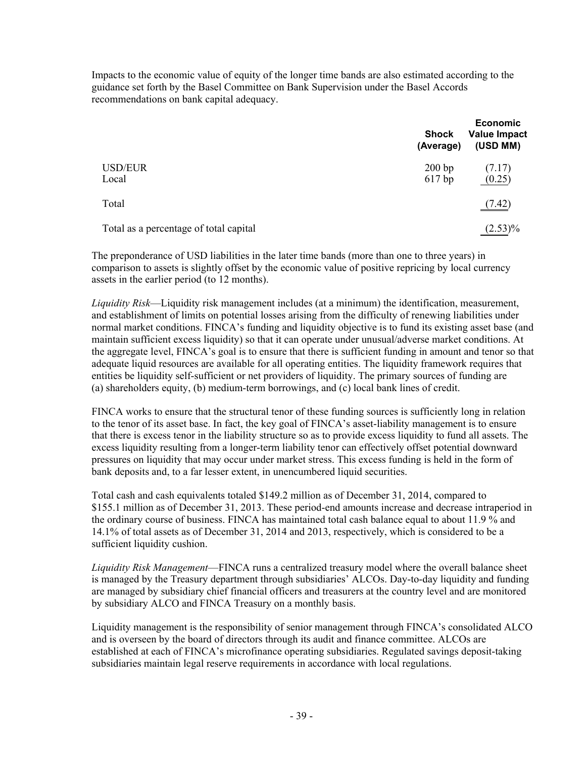Impacts to the economic value of equity of the longer time bands are also estimated according to the guidance set forth by the Basel Committee on Bank Supervision under the Basel Accords recommendations on bank capital adequacy.

|                                        | <b>Shock</b><br>(Average) | <b>Economic</b><br><b>Value Impact</b><br>(USD MM) |
|----------------------------------------|---------------------------|----------------------------------------------------|
| <b>USD/EUR</b><br>Local                | 200 bp<br>617 bp          | (7.17)<br>(0.25)                                   |
| Total                                  |                           | (7.42)                                             |
| Total as a percentage of total capital |                           | $(2.53)\%$                                         |

The preponderance of USD liabilities in the later time bands (more than one to three years) in comparison to assets is slightly offset by the economic value of positive repricing by local currency assets in the earlier period (to 12 months).

*Liquidity Risk*—Liquidity risk management includes (at a minimum) the identification, measurement, and establishment of limits on potential losses arising from the difficulty of renewing liabilities under normal market conditions. FINCA's funding and liquidity objective is to fund its existing asset base (and maintain sufficient excess liquidity) so that it can operate under unusual/adverse market conditions. At the aggregate level, FINCA's goal is to ensure that there is sufficient funding in amount and tenor so that adequate liquid resources are available for all operating entities. The liquidity framework requires that entities be liquidity self-sufficient or net providers of liquidity. The primary sources of funding are (a) shareholders equity, (b) medium-term borrowings, and (c) local bank lines of credit.

FINCA works to ensure that the structural tenor of these funding sources is sufficiently long in relation to the tenor of its asset base. In fact, the key goal of FINCA's asset-liability management is to ensure that there is excess tenor in the liability structure so as to provide excess liquidity to fund all assets. The excess liquidity resulting from a longer-term liability tenor can effectively offset potential downward pressures on liquidity that may occur under market stress. This excess funding is held in the form of bank deposits and, to a far lesser extent, in unencumbered liquid securities.

Total cash and cash equivalents totaled \$149.2 million as of December 31, 2014, compared to \$155.1 million as of December 31, 2013. These period-end amounts increase and decrease intraperiod in the ordinary course of business. FINCA has maintained total cash balance equal to about 11.9 % and 14.1% of total assets as of December 31, 2014 and 2013, respectively, which is considered to be a sufficient liquidity cushion.

*Liquidity Risk Management*—FINCA runs a centralized treasury model where the overall balance sheet is managed by the Treasury department through subsidiaries' ALCOs. Day-to-day liquidity and funding are managed by subsidiary chief financial officers and treasurers at the country level and are monitored by subsidiary ALCO and FINCA Treasury on a monthly basis.

Liquidity management is the responsibility of senior management through FINCA's consolidated ALCO and is overseen by the board of directors through its audit and finance committee. ALCOs are established at each of FINCA's microfinance operating subsidiaries. Regulated savings deposit-taking subsidiaries maintain legal reserve requirements in accordance with local regulations.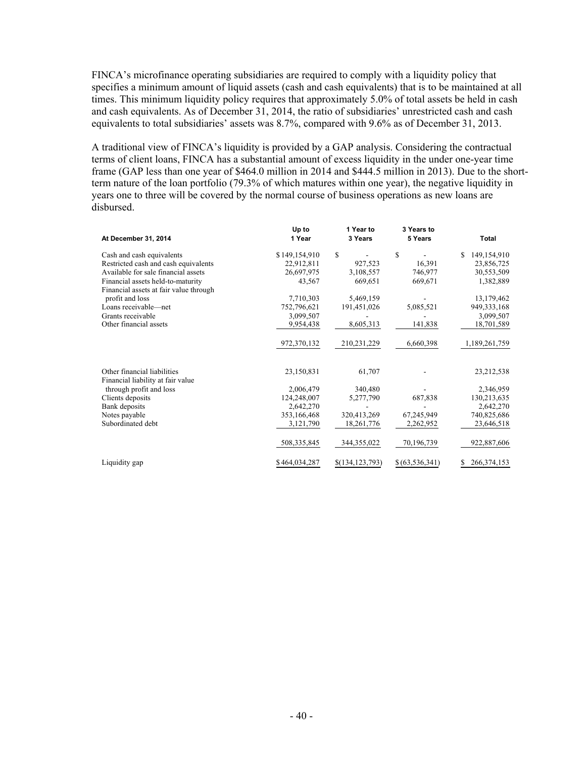FINCA's microfinance operating subsidiaries are required to comply with a liquidity policy that specifies a minimum amount of liquid assets (cash and cash equivalents) that is to be maintained at all times. This minimum liquidity policy requires that approximately 5.0% of total assets be held in cash and cash equivalents. As of December 31, 2014, the ratio of subsidiaries' unrestricted cash and cash equivalents to total subsidiaries' assets was 8.7%, compared with 9.6% as of December 31, 2013.

A traditional view of FINCA's liquidity is provided by a GAP analysis. Considering the contractual terms of client loans, FINCA has a substantial amount of excess liquidity in the under one-year time frame (GAP less than one year of \$464.0 million in 2014 and \$444.5 million in 2013). Due to the shortterm nature of the loan portfolio (79.3% of which matures within one year), the negative liquidity in years one to three will be covered by the normal course of business operations as new loans are disbursed.

|                                             | Up to                    | 1 Year to            | 3 Years to        |                          |
|---------------------------------------------|--------------------------|----------------------|-------------------|--------------------------|
| At December 31, 2014                        | 1 Year                   | 3 Years              | 5 Years           | <b>Total</b>             |
| Cash and cash equivalents                   | \$149,154,910            | \$                   | \$                | 149,154,910<br>\$        |
| Restricted cash and cash equivalents        | 22,912,811               | 927,523              | 16,391            | 23,856,725               |
| Available for sale financial assets         | 26,697,975               | 3,108,557            | 746,977           | 30,553,509               |
| Financial assets held-to-maturity           | 43,567                   | 669,651              | 669,671           | 1,382,889                |
| Financial assets at fair value through      |                          |                      |                   |                          |
| profit and loss                             | 7,710,303                | 5,469,159            |                   | 13,179,462               |
| Loans receivable—net                        | 752,796,621              | 191,451,026          | 5,085,521         | 949, 333, 168            |
| Grants receivable                           | 3,099,507                |                      |                   | 3,099,507                |
| Other financial assets                      | 9,954,438                | 8,605,313            | 141,838           | 18,701,589               |
|                                             | 972,370,132              | 210, 231, 229        | 6,660,398         | 1,189,261,759            |
| Other financial liabilities                 | 23,150,831               | 61,707               |                   | 23,212,538               |
| Financial liability at fair value           |                          |                      |                   |                          |
| through profit and loss<br>Clients deposits | 2,006,479<br>124,248,007 | 340,480<br>5,277,790 | 687,838           | 2,346,959<br>130,213,635 |
| Bank deposits                               | 2,642,270                |                      |                   | 2,642,270                |
| Notes payable                               | 353,166,468              | 320,413,269          | 67,245,949        | 740,825,686              |
| Subordinated debt                           | 3,121,790                | 18,261,776           | 2,262,952         | 23,646,518               |
|                                             |                          |                      |                   |                          |
|                                             | 508, 335, 845            | 344, 355, 022        | 70,196,739        | 922,887,606              |
| Liquidity gap                               | \$464,034,287            | \$(134, 123, 793)    | \$ (63, 536, 341) | 266, 374, 153            |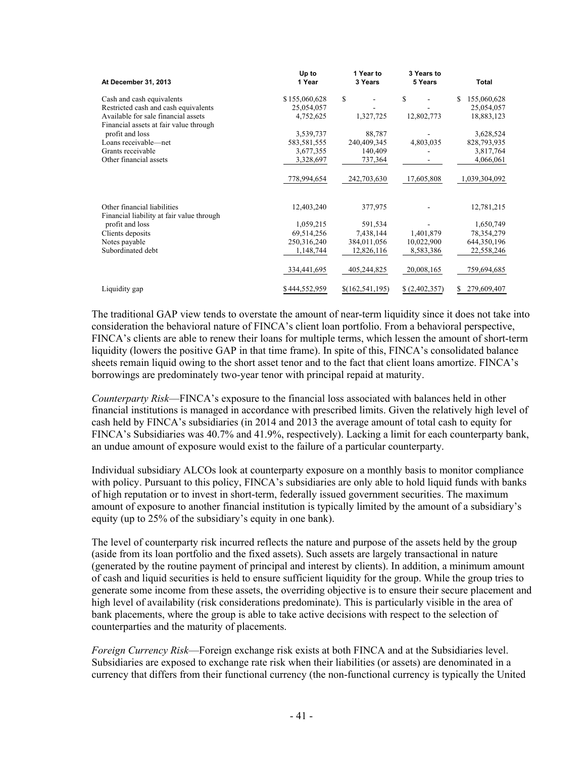| At December 31, 2013                      | Up to<br>1 Year | 1 Year to<br>3 Years | 3 Years to<br>5 Years | Total             |
|-------------------------------------------|-----------------|----------------------|-----------------------|-------------------|
| Cash and cash equivalents                 | \$155,060,628   | \$                   | S                     | \$<br>155,060,628 |
| Restricted cash and cash equivalents      | 25,054,057      |                      |                       | 25,054,057        |
| Available for sale financial assets       | 4,752,625       | 1,327,725            | 12,802,773            | 18,883,123        |
| Financial assets at fair value through    |                 |                      |                       |                   |
| profit and loss                           | 3,539,737       | 88,787               |                       | 3,628,524         |
| Loans receivable—net                      | 583,581,555     | 240,409,345          | 4,803,035             | 828,793,935       |
| Grants receivable                         | 3,677,355       | 140,409              |                       | 3,817,764         |
| Other financial assets                    | 3,328,697       | 737,364              |                       | 4,066,061         |
|                                           | 778,994,654     | 242,703,630          | 17,605,808            | 1,039,304,092     |
| Other financial liabilities               | 12,403,240      | 377,975              |                       | 12,781,215        |
| Financial liability at fair value through |                 |                      |                       |                   |
| profit and loss                           | 1,059,215       | 591,534              |                       | 1,650,749         |
| Clients deposits                          | 69,514,256      | 7,438,144            | 1,401,879             | 78,354,279        |
| Notes payable                             | 250,316,240     | 384,011,056          | 10,022,900            | 644,350,196       |
| Subordinated debt                         | 1,148,744       | 12,826,116           | 8,583,386             | 22,558,246        |
|                                           | 334,441,695     | 405,244,825          | 20,008,165            | 759,694,685       |
| Liquidity gap                             | \$444,552,959   | \$(162,541,195)      | \$(2,402,357)         | 279,609,407       |

The traditional GAP view tends to overstate the amount of near-term liquidity since it does not take into consideration the behavioral nature of FINCA's client loan portfolio. From a behavioral perspective, FINCA's clients are able to renew their loans for multiple terms, which lessen the amount of short-term liquidity (lowers the positive GAP in that time frame). In spite of this, FINCA's consolidated balance sheets remain liquid owing to the short asset tenor and to the fact that client loans amortize. FINCA's borrowings are predominately two-year tenor with principal repaid at maturity.

*Counterparty Risk*—FINCA's exposure to the financial loss associated with balances held in other financial institutions is managed in accordance with prescribed limits. Given the relatively high level of cash held by FINCA's subsidiaries (in 2014 and 2013 the average amount of total cash to equity for FINCA's Subsidiaries was 40.7% and 41.9%, respectively). Lacking a limit for each counterparty bank, an undue amount of exposure would exist to the failure of a particular counterparty.

Individual subsidiary ALCOs look at counterparty exposure on a monthly basis to monitor compliance with policy. Pursuant to this policy, FINCA's subsidiaries are only able to hold liquid funds with banks of high reputation or to invest in short-term, federally issued government securities. The maximum amount of exposure to another financial institution is typically limited by the amount of a subsidiary's equity (up to 25% of the subsidiary's equity in one bank).

The level of counterparty risk incurred reflects the nature and purpose of the assets held by the group (aside from its loan portfolio and the fixed assets). Such assets are largely transactional in nature (generated by the routine payment of principal and interest by clients). In addition, a minimum amount of cash and liquid securities is held to ensure sufficient liquidity for the group. While the group tries to generate some income from these assets, the overriding objective is to ensure their secure placement and high level of availability (risk considerations predominate). This is particularly visible in the area of bank placements, where the group is able to take active decisions with respect to the selection of counterparties and the maturity of placements.

*Foreign Currency Risk*—Foreign exchange risk exists at both FINCA and at the Subsidiaries level. Subsidiaries are exposed to exchange rate risk when their liabilities (or assets) are denominated in a currency that differs from their functional currency (the non-functional currency is typically the United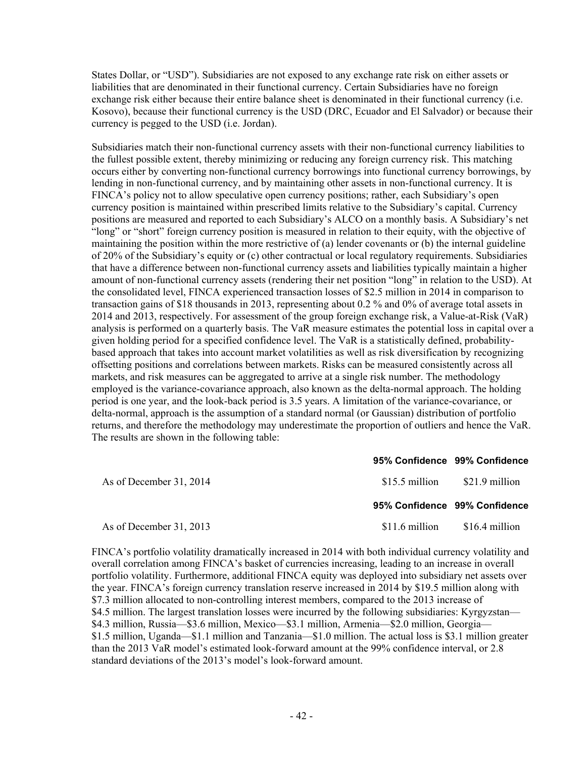States Dollar, or "USD"). Subsidiaries are not exposed to any exchange rate risk on either assets or liabilities that are denominated in their functional currency. Certain Subsidiaries have no foreign exchange risk either because their entire balance sheet is denominated in their functional currency (i.e. Kosovo), because their functional currency is the USD (DRC, Ecuador and El Salvador) or because their currency is pegged to the USD (i.e. Jordan).

Subsidiaries match their non-functional currency assets with their non-functional currency liabilities to the fullest possible extent, thereby minimizing or reducing any foreign currency risk. This matching occurs either by converting non-functional currency borrowings into functional currency borrowings, by lending in non-functional currency, and by maintaining other assets in non-functional currency. It is FINCA's policy not to allow speculative open currency positions; rather, each Subsidiary's open currency position is maintained within prescribed limits relative to the Subsidiary's capital. Currency positions are measured and reported to each Subsidiary's ALCO on a monthly basis. A Subsidiary's net "long" or "short" foreign currency position is measured in relation to their equity, with the objective of maintaining the position within the more restrictive of (a) lender covenants or (b) the internal guideline of 20% of the Subsidiary's equity or (c) other contractual or local regulatory requirements. Subsidiaries that have a difference between non-functional currency assets and liabilities typically maintain a higher amount of non-functional currency assets (rendering their net position "long" in relation to the USD). At the consolidated level, FINCA experienced transaction losses of \$2.5 million in 2014 in comparison to transaction gains of \$18 thousands in 2013, representing about 0.2 % and 0% of average total assets in 2014 and 2013, respectively. For assessment of the group foreign exchange risk, a Value-at-Risk (VaR) analysis is performed on a quarterly basis. The VaR measure estimates the potential loss in capital over a given holding period for a specified confidence level. The VaR is a statistically defined, probabilitybased approach that takes into account market volatilities as well as risk diversification by recognizing offsetting positions and correlations between markets. Risks can be measured consistently across all markets, and risk measures can be aggregated to arrive at a single risk number. The methodology employed is the variance-covariance approach, also known as the delta-normal approach. The holding period is one year, and the look-back period is 3.5 years. A limitation of the variance-covariance, or delta-normal, approach is the assumption of a standard normal (or Gaussian) distribution of portfolio returns, and therefore the methodology may underestimate the proportion of outliers and hence the VaR. The results are shown in the following table:

|                         | 95% Confidence 99% Confidence |                |
|-------------------------|-------------------------------|----------------|
| As of December 31, 2014 | \$15.5 million                | \$21.9 million |
|                         | 95% Confidence 99% Confidence |                |
| As of December 31, 2013 | \$11.6 million                | \$16.4 million |

FINCA's portfolio volatility dramatically increased in 2014 with both individual currency volatility and overall correlation among FINCA's basket of currencies increasing, leading to an increase in overall portfolio volatility. Furthermore, additional FINCA equity was deployed into subsidiary net assets over the year. FINCA's foreign currency translation reserve increased in 2014 by \$19.5 million along with \$7.3 million allocated to non-controlling interest members, compared to the 2013 increase of \$4.5 million. The largest translation losses were incurred by the following subsidiaries: Kyrgyzstan— \$4.3 million, Russia—\$3.6 million, Mexico—\$3.1 million, Armenia—\$2.0 million, Georgia— \$1.5 million, Uganda—\$1.1 million and Tanzania—\$1.0 million. The actual loss is \$3.1 million greater than the 2013 VaR model's estimated look-forward amount at the 99% confidence interval, or 2.8 standard deviations of the 2013's model's look-forward amount.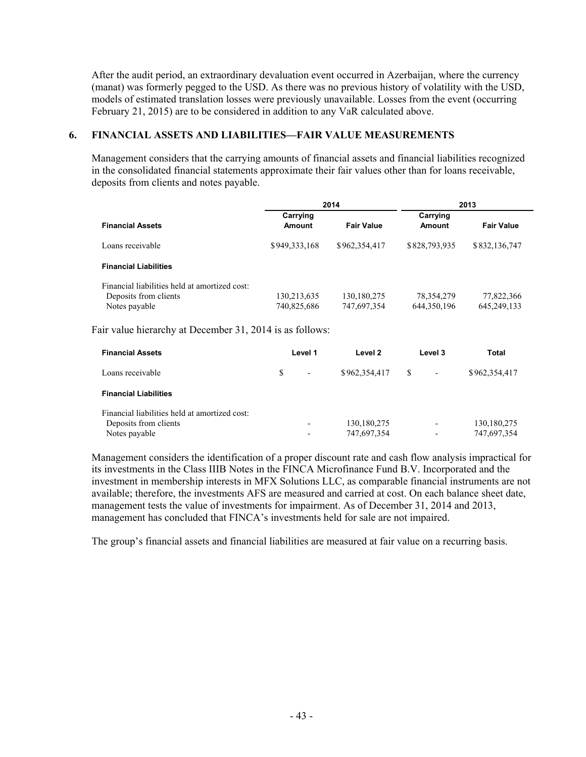After the audit period, an extraordinary devaluation event occurred in Azerbaijan, where the currency (manat) was formerly pegged to the USD. As there was no previous history of volatility with the USD, models of estimated translation losses were previously unavailable. Losses from the event (occurring February 21, 2015) are to be considered in addition to any VaR calculated above.

# **6. FINANCIAL ASSETS AND LIABILITIES—FAIR VALUE MEASUREMENTS**

Management considers that the carrying amounts of financial assets and financial liabilities recognized in the consolidated financial statements approximate their fair values other than for loans receivable, deposits from clients and notes payable.

|                                                          |                    | 2014              | 2013               |                   |  |
|----------------------------------------------------------|--------------------|-------------------|--------------------|-------------------|--|
| <b>Financial Assets</b>                                  | Carrying<br>Amount | <b>Fair Value</b> | Carrying<br>Amount | <b>Fair Value</b> |  |
| Loans receivable                                         | \$949,333,168      | \$962,354,417     | \$828,793,935      | \$832,136,747     |  |
| <b>Financial Liabilities</b>                             |                    |                   |                    |                   |  |
| Financial liabilities held at amortized cost:            |                    |                   |                    |                   |  |
| Deposits from clients                                    | 130,213,635        | 130, 180, 275     | 78,354,279         | 77,822,366        |  |
| Notes payable                                            | 740,825,686        | 747,697,354       | 644, 350, 196      | 645, 249, 133     |  |
| Fair value hierarchy at December 31, 2014 is as follows: |                    |                   |                    |                   |  |

| <b>Financial Assets</b>                                                |    | Level 1                  | Level 2       |              | Level 3                  | <b>Total</b>  |
|------------------------------------------------------------------------|----|--------------------------|---------------|--------------|--------------------------|---------------|
| Loans receivable                                                       | S. | $\overline{\phantom{a}}$ | \$962,354,417 | <sup>S</sup> | $\overline{\phantom{a}}$ | \$962,354,417 |
| <b>Financial Liabilities</b>                                           |    |                          |               |              |                          |               |
| Financial liabilities held at amortized cost:<br>Deposits from clients |    | -                        | 130, 180, 275 |              | $\overline{\phantom{0}}$ | 130, 180, 275 |
| Notes payable                                                          |    |                          | 747,697,354   |              | $\overline{\phantom{a}}$ | 747,697,354   |

Management considers the identification of a proper discount rate and cash flow analysis impractical for its investments in the Class IIIB Notes in the FINCA Microfinance Fund B.V. Incorporated and the investment in membership interests in MFX Solutions LLC, as comparable financial instruments are not available; therefore, the investments AFS are measured and carried at cost. On each balance sheet date, management tests the value of investments for impairment. As of December 31, 2014 and 2013, management has concluded that FINCA's investments held for sale are not impaired.

The group's financial assets and financial liabilities are measured at fair value on a recurring basis.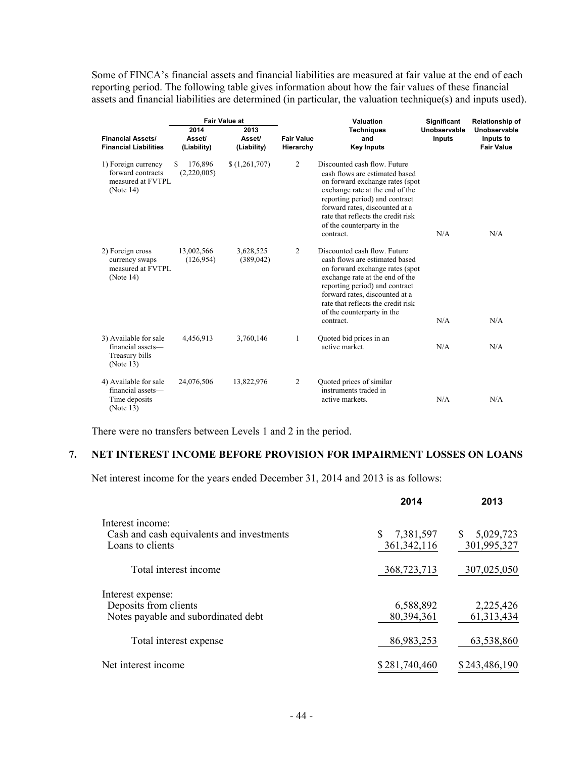Some of FINCA's financial assets and financial liabilities are measured at fair value at the end of each reporting period. The following table gives information about how the fair values of these financial assets and financial liabilities are determined (in particular, the valuation technique(s) and inputs used).

|                                                                             | <b>Fair Value at</b>          |                               |                                | Valuation                                                                                                                                                                                                                                                                                 | <b>Significant</b>     | Relationship of                                |
|-----------------------------------------------------------------------------|-------------------------------|-------------------------------|--------------------------------|-------------------------------------------------------------------------------------------------------------------------------------------------------------------------------------------------------------------------------------------------------------------------------------------|------------------------|------------------------------------------------|
| <b>Financial Assets/</b><br><b>Financial Liabilities</b>                    | 2014<br>Asset/<br>(Liability) | 2013<br>Asset/<br>(Liability) | <b>Fair Value</b><br>Hierarchy | <b>Techniques</b><br>and<br><b>Key Inputs</b>                                                                                                                                                                                                                                             | Unobservable<br>Inputs | Unobservable<br>Inputs to<br><b>Fair Value</b> |
| 1) Foreign currency<br>forward contracts<br>measured at FVTPL.<br>(Note 14) | \$<br>176,896<br>(2,220,005)  | (1,261,707)                   | 2                              | Discounted cash flow. Future<br>cash flows are estimated based<br>on forward exchange rates (spot<br>exchange rate at the end of the<br>reporting period) and contract<br>forward rates, discounted at a<br>rate that reflects the credit risk<br>of the counterparty in the<br>contract. | N/A                    | N/A                                            |
| 2) Foreign cross<br>currency swaps<br>measured at FVTPL.<br>(Note 14)       | 13,002,566<br>(126, 954)      | 3,628,525<br>(389, 042)       | 2                              | Discounted cash flow. Future<br>cash flows are estimated based<br>on forward exchange rates (spot<br>exchange rate at the end of the<br>reporting period) and contract<br>forward rates, discounted at a<br>rate that reflects the credit risk<br>of the counterparty in the<br>contract. | N/A                    | N/A                                            |
| 3) Available for sale<br>financial assets-<br>Treasury bills<br>(Note 13)   | 4,456,913                     | 3,760,146                     | 1                              | Quoted bid prices in an<br>active market.                                                                                                                                                                                                                                                 | N/A                    | N/A                                            |
| 4) Available for sale<br>financial assets-<br>Time deposits<br>(Note 13)    | 24,076,506                    | 13,822,976                    | 2                              | Quoted prices of similar<br>instruments traded in<br>active markets.                                                                                                                                                                                                                      | N/A                    | N/A                                            |

There were no transfers between Levels 1 and 2 in the period.

#### **7. NET INTEREST INCOME BEFORE PROVISION FOR IMPAIRMENT LOSSES ON LOANS**

Net interest income for the years ended December 31, 2014 and 2013 is as follows:

|                                                                                   | 2014                       | 2013                          |
|-----------------------------------------------------------------------------------|----------------------------|-------------------------------|
| Interest income:<br>Cash and cash equivalents and investments<br>Loans to clients | 7,381,597<br>361, 342, 116 | 5,029,723<br>S<br>301,995,327 |
| Total interest income                                                             | 368,723,713                | 307,025,050                   |
| Interest expense:<br>Deposits from clients<br>Notes payable and subordinated debt | 6,588,892<br>80,394,361    | 2,225,426<br>61, 313, 434     |
| Total interest expense                                                            | 86,983,253                 | 63,538,860                    |
| Net interest income                                                               | \$281,740,460              | \$243,486,190                 |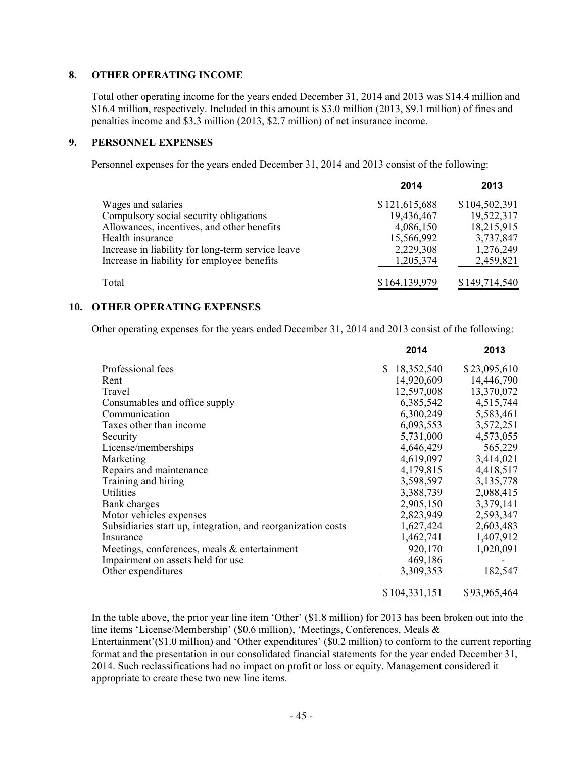#### **8. OTHER OPERATING INCOME**

Total other operating income for the years ended December 31, 2014 and 2013 was \$14.4 million and \$16.4 million, respectively. Included in this amount is \$3.0 million (2013, \$9.1 million) of fines and penalties income and \$3.3 million (2013, \$2.7 million) of net insurance income.

#### **9. PERSONNEL EXPENSES**

Personnel expenses for the years ended December 31, 2014 and 2013 consist of the following:

|                                                   | 2014          | 2013          |
|---------------------------------------------------|---------------|---------------|
| Wages and salaries                                | \$121,615,688 | \$104,502,391 |
| Compulsory social security obligations            | 19,436,467    | 19,522,317    |
| Allowances, incentives, and other benefits        | 4,086,150     | 18,215,915    |
| Health insurance                                  | 15,566,992    | 3,737,847     |
| Increase in liability for long-term service leave | 2,229,308     | 1,276,249     |
| Increase in liability for employee benefits       | 1,205,374     | 2,459,821     |
| Total                                             | \$164,139,979 | \$149,714,540 |

# **10. OTHER OPERATING EXPENSES**

Other operating expenses for the years ended December 31, 2014 and 2013 consist of the following:

|                                                              | 2014             | 2013         |
|--------------------------------------------------------------|------------------|--------------|
| Professional fees                                            | 18,352,540<br>S. | \$23,095,610 |
| Rent                                                         | 14,920,609       | 14,446,790   |
| Travel                                                       | 12,597,008       | 13,370,072   |
| Consumables and office supply                                | 6,385,542        | 4,515,744    |
| Communication                                                | 6,300,249        | 5,583,461    |
| Taxes other than income                                      | 6,093,553        | 3,572,251    |
| Security                                                     | 5,731,000        | 4,573,055    |
| License/memberships                                          | 4,646,429        | 565,229      |
| Marketing                                                    | 4,619,097        | 3,414,021    |
| Repairs and maintenance                                      | 4,179,815        | 4,418,517    |
| Training and hiring                                          | 3,598,597        | 3,135,778    |
| Utilities                                                    | 3,388,739        | 2,088,415    |
| Bank charges                                                 | 2,905,150        | 3,379,141    |
| Motor vehicles expenses                                      | 2,823,949        | 2,593,347    |
| Subsidiaries start up, integration, and reorganization costs | 1,627,424        | 2,603,483    |
| Insurance                                                    | 1,462,741        | 1,407,912    |
| Meetings, conferences, meals & entertainment                 | 920,170          | 1,020,091    |
| Impairment on assets held for use                            | 469,186          |              |
| Other expenditures                                           | 3,309,353        | 182,547      |
|                                                              | \$104,331,151    | \$93,965,464 |

In the table above, the prior year line item 'Other' (\$1.8 million) for 2013 has been broken out into the line items 'License/Membership' (\$0.6 million), 'Meetings, Conferences, Meals & Entertainment'(\$1.0 million) and 'Other expenditures' (\$0.2 million) to conform to the current reporting format and the presentation in our consolidated financial statements for the year ended December 31, 2014. Such reclassifications had no impact on profit or loss or equity. Management considered it appropriate to create these two new line items.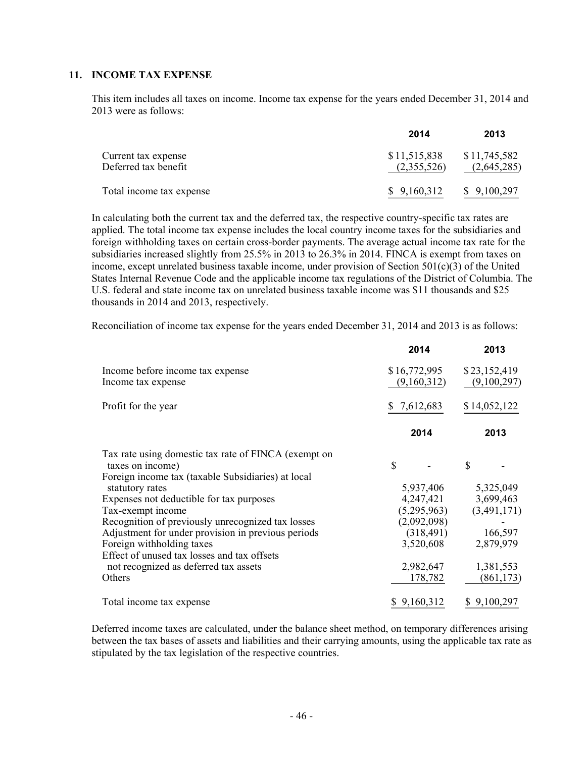#### **11. INCOME TAX EXPENSE**

This item includes all taxes on income. Income tax expense for the years ended December 31, 2014 and 2013 were as follows:

|                                             | 2014                        | 2013                        |
|---------------------------------------------|-----------------------------|-----------------------------|
| Current tax expense<br>Deferred tax benefit | \$11,515,838<br>(2,355,526) | \$11,745,582<br>(2,645,285) |
| Total income tax expense                    | \$9,160,312                 | \$9,100,297                 |

In calculating both the current tax and the deferred tax, the respective country-specific tax rates are applied. The total income tax expense includes the local country income taxes for the subsidiaries and foreign withholding taxes on certain cross-border payments. The average actual income tax rate for the subsidiaries increased slightly from 25.5% in 2013 to 26.3% in 2014. FINCA is exempt from taxes on income, except unrelated business taxable income, under provision of Section 501(c)(3) of the United States Internal Revenue Code and the applicable income tax regulations of the District of Columbia. The U.S. federal and state income tax on unrelated business taxable income was \$11 thousands and \$25 thousands in 2014 and 2013, respectively.

Reconciliation of income tax expense for the years ended December 31, 2014 and 2013 is as follows:

|                                                                          | 2014                        |              | 2013                        |
|--------------------------------------------------------------------------|-----------------------------|--------------|-----------------------------|
| Income before income tax expense<br>Income tax expense                   | \$16,772,995<br>(9,160,312) |              | \$23,152,419<br>(9,100,297) |
| Profit for the year                                                      | 7,612,683<br>S.             |              | \$14,052,122                |
|                                                                          | 2014                        |              | 2013                        |
| Tax rate using domestic tax rate of FINCA (exempt on<br>taxes on income) | \$                          | $\mathbb{S}$ |                             |
| Foreign income tax (taxable Subsidiaries) at local                       |                             |              |                             |
| statutory rates<br>Expenses not deductible for tax purposes              | 5,937,406<br>4,247,421      |              | 5,325,049<br>3,699,463      |
| Tax-exempt income                                                        | (5,295,963)                 |              | (3,491,171)                 |
| Recognition of previously unrecognized tax losses                        | (2,092,098)                 |              |                             |
| Adjustment for under provision in previous periods                       | (318, 491)                  |              | 166,597                     |
| Foreign withholding taxes                                                | 3,520,608                   |              | 2,879,979                   |
| Effect of unused tax losses and tax offsets                              |                             |              |                             |
| not recognized as deferred tax assets                                    | 2,982,647                   |              | 1,381,553                   |
| Others                                                                   | 178,782                     |              | (861, 173)                  |
| Total income tax expense                                                 | \$9,160,312                 |              | \$9,100,297                 |

Deferred income taxes are calculated, under the balance sheet method, on temporary differences arising between the tax bases of assets and liabilities and their carrying amounts, using the applicable tax rate as stipulated by the tax legislation of the respective countries.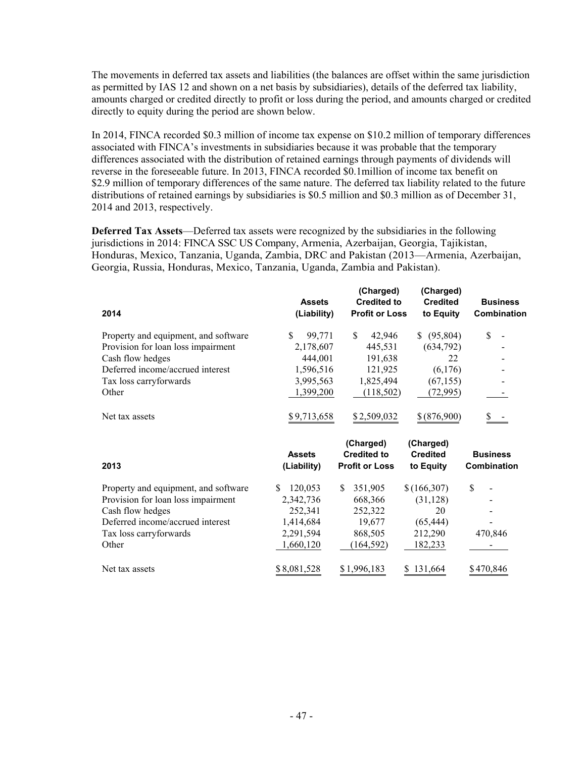The movements in deferred tax assets and liabilities (the balances are offset within the same jurisdiction as permitted by IAS 12 and shown on a net basis by subsidiaries), details of the deferred tax liability, amounts charged or credited directly to profit or loss during the period, and amounts charged or credited directly to equity during the period are shown below.

In 2014, FINCA recorded \$0.3 million of income tax expense on \$10.2 million of temporary differences associated with FINCA's investments in subsidiaries because it was probable that the temporary differences associated with the distribution of retained earnings through payments of dividends will reverse in the foreseeable future. In 2013, FINCA recorded \$0.1million of income tax benefit on \$2.9 million of temporary differences of the same nature. The deferred tax liability related to the future distributions of retained earnings by subsidiaries is \$0.5 million and \$0.3 million as of December 31, 2014 and 2013, respectively.

**Deferred Tax Assets**—Deferred tax assets were recognized by the subsidiaries in the following jurisdictions in 2014: FINCA SSC US Company, Armenia, Azerbaijan, Georgia, Tajikistan, Honduras, Mexico, Tanzania, Uganda, Zambia, DRC and Pakistan (2013—Armenia, Azerbaijan, Georgia, Russia, Honduras, Mexico, Tanzania, Uganda, Zambia and Pakistan).

| 2014                                 | <b>Assets</b><br>(Liability) | (Charged)<br><b>Credited to</b><br><b>Profit or Loss</b> | (Charged)<br><b>Credited</b><br>to Equity | <b>Business</b><br>Combination |
|--------------------------------------|------------------------------|----------------------------------------------------------|-------------------------------------------|--------------------------------|
| Property and equipment, and software | \$<br>99,771                 | \$<br>42,946                                             | (95, 804)<br>S.                           | \$                             |
| Provision for loan loss impairment   | 2,178,607                    | 445,531                                                  | (634,792)                                 |                                |
| Cash flow hedges                     | 444,001                      | 191,638                                                  | 22                                        |                                |
| Deferred income/accrued interest     | 1,596,516                    | 121,925                                                  | (6,176)                                   |                                |
| Tax loss carryforwards               | 3,995,563                    | 1,825,494                                                | (67, 155)                                 |                                |
| Other                                | 1,399,200                    | (118, 502)                                               | (72, 995)                                 |                                |
| Net tax assets                       | \$9,713,658                  | \$2,509,032                                              | \$(876,900)                               |                                |
|                                      | <b>Assets</b>                | (Charged)<br><b>Credited to</b>                          | (Charged)<br><b>Credited</b>              | <b>Business</b>                |
| 2013                                 | (Liability)                  | <b>Profit or Loss</b>                                    | to Equity                                 | Combination                    |
| Property and equipment, and software | 120,053<br>\$.               | \$<br>351,905                                            | \$(166,307)                               | \$                             |
| Provision for loan loss impairment   | 2,342,736                    | 668,366                                                  | (31, 128)                                 |                                |
| Cash flow hedges                     | 252,341                      | 252,322                                                  | 20                                        |                                |
| Deferred income/accrued interest     | 1,414,684                    | 19,677                                                   | (65, 444)                                 |                                |
| Tax loss carryforwards               | 2,291,594                    | 868,505                                                  | 212,290                                   | 470,846                        |
| Other                                |                              | (164, 592)                                               | 182,233                                   |                                |
|                                      | 1,660,120                    |                                                          |                                           |                                |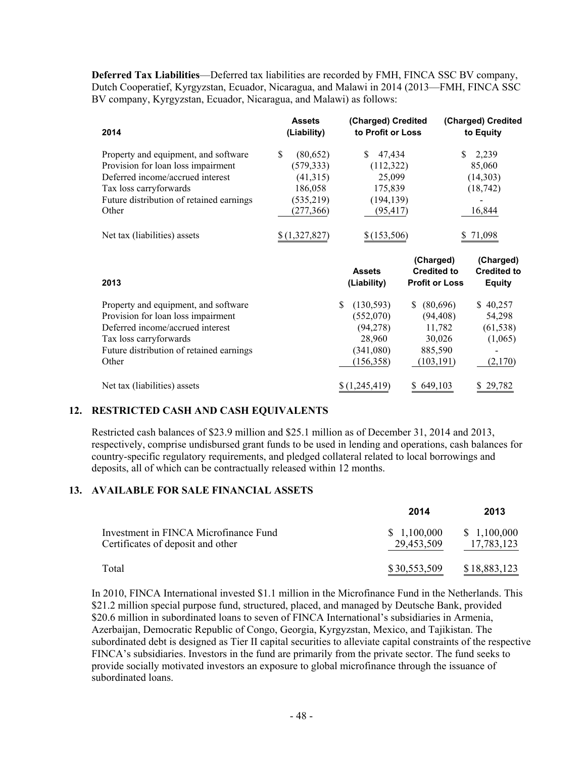**Deferred Tax Liabilities**—Deferred tax liabilities are recorded by FMH, FINCA SSC BV company, Dutch Cooperatief, Kyrgyzstan, Ecuador, Nicaragua, and Malawi in 2014 (2013—FMH, FINCA SSC BV company, Kyrgyzstan, Ecuador, Nicaragua, and Malawi) as follows:

| 2014                                                                                                                                                                                          | <b>Assets</b><br>(Liability)                                                      | (Charged) Credited<br>to Profit or Loss                                         |                                                                          | (Charged) Credited<br>to Equity                       |
|-----------------------------------------------------------------------------------------------------------------------------------------------------------------------------------------------|-----------------------------------------------------------------------------------|---------------------------------------------------------------------------------|--------------------------------------------------------------------------|-------------------------------------------------------|
| Property and equipment, and software<br>Provision for loan loss impairment<br>Deferred income/accrued interest<br>Tax loss carryforwards<br>Future distribution of retained earnings<br>Other | \$.<br>(80, 652)<br>(579, 333)<br>(41,315)<br>186,058<br>(535, 219)<br>(277, 366) | 47,434<br>S.<br>(112,322)<br>25,099<br>175,839<br>(194, 139)<br>(95, 417)       |                                                                          | 2,239<br>85,060<br>(14,303)<br>(18, 742)<br>16,844    |
| Net tax (liabilities) assets                                                                                                                                                                  | \$(1,327,827)                                                                     | \$(153,506)                                                                     | S.                                                                       | 71,098                                                |
| 2013                                                                                                                                                                                          |                                                                                   | <b>Assets</b><br>(Liability)                                                    | (Charged)<br><b>Credited to</b><br><b>Profit or Loss</b>                 | (Charged)<br><b>Credited to</b><br><b>Equity</b>      |
| Property and equipment, and software<br>Provision for loan loss impairment<br>Deferred income/accrued interest<br>Tax loss carryforwards<br>Future distribution of retained earnings<br>Other |                                                                                   | (130, 593)<br>\$<br>(552,070)<br>(94, 278)<br>28,960<br>(341,080)<br>(156, 358) | (80,696)<br>\$<br>(94, 408)<br>11,782<br>30,026<br>885,590<br>(103, 191) | \$40,257<br>54,298<br>(61, 538)<br>(1,065)<br>(2,170) |
| Net tax (liabilities) assets                                                                                                                                                                  |                                                                                   | \$(1,245,419)                                                                   | 649,103<br>S                                                             | 29,782                                                |

#### **12. RESTRICTED CASH AND CASH EQUIVALENTS**

Restricted cash balances of \$23.9 million and \$25.1 million as of December 31, 2014 and 2013, respectively, comprise undisbursed grant funds to be used in lending and operations, cash balances for country-specific regulatory requirements, and pledged collateral related to local borrowings and deposits, all of which can be contractually released within 12 months.

#### **13. AVAILABLE FOR SALE FINANCIAL ASSETS**

|                                                                            | 2014                      | 2013                      |
|----------------------------------------------------------------------------|---------------------------|---------------------------|
| Investment in FINCA Microfinance Fund<br>Certificates of deposit and other | \$1,100,000<br>29,453,509 | \$1,100,000<br>17,783,123 |
| Total                                                                      | \$30,553,509              | \$18,883,123              |

In 2010, FINCA International invested \$1.1 million in the Microfinance Fund in the Netherlands. This \$21.2 million special purpose fund, structured, placed, and managed by Deutsche Bank, provided \$20.6 million in subordinated loans to seven of FINCA International's subsidiaries in Armenia, Azerbaijan, Democratic Republic of Congo, Georgia, Kyrgyzstan, Mexico, and Tajikistan. The subordinated debt is designed as Tier II capital securities to alleviate capital constraints of the respective FINCA's subsidiaries. Investors in the fund are primarily from the private sector. The fund seeks to provide socially motivated investors an exposure to global microfinance through the issuance of subordinated loans.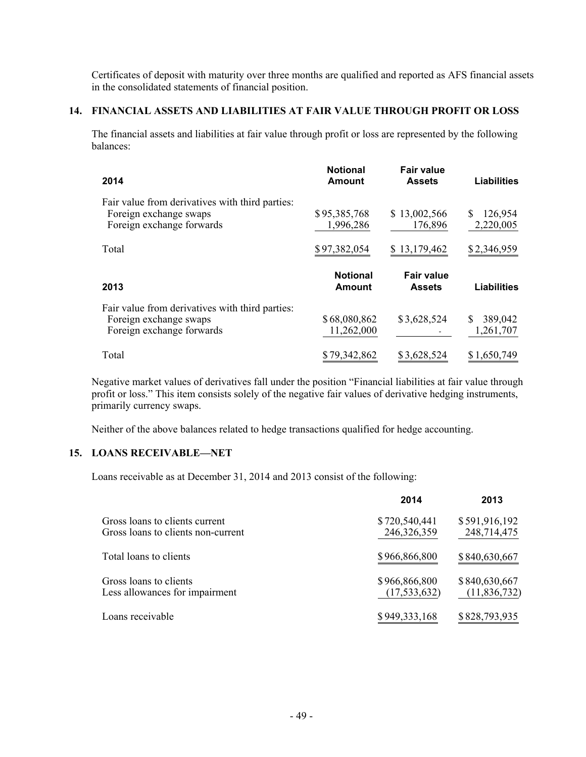Certificates of deposit with maturity over three months are qualified and reported as AFS financial assets in the consolidated statements of financial position.

# **14. FINANCIAL ASSETS AND LIABILITIES AT FAIR VALUE THROUGH PROFIT OR LOSS**

The financial assets and liabilities at fair value through profit or loss are represented by the following balances:

| 2014                                                                                                   | <b>Notional</b><br>Amount  | <b>Fair value</b><br><b>Assets</b> | <b>Liabilities</b>   |
|--------------------------------------------------------------------------------------------------------|----------------------------|------------------------------------|----------------------|
| Fair value from derivatives with third parties:<br>Foreign exchange swaps<br>Foreign exchange forwards | \$95,385,768<br>1,996,286  | \$13,002,566<br>176,896            | 126,954<br>2,220,005 |
| Total                                                                                                  | \$97,382,054               | \$13,179,462                       | \$2,346,959          |
|                                                                                                        |                            |                                    |                      |
| 2013                                                                                                   | <b>Notional</b><br>Amount  | <b>Fair value</b><br><b>Assets</b> | <b>Liabilities</b>   |
| Fair value from derivatives with third parties:<br>Foreign exchange swaps<br>Foreign exchange forwards | \$68,080,862<br>11,262,000 | \$3,628,524                        | 389,042<br>1,261,707 |

Negative market values of derivatives fall under the position "Financial liabilities at fair value through profit or loss." This item consists solely of the negative fair values of derivative hedging instruments, primarily currency swaps.

Neither of the above balances related to hedge transactions qualified for hedge accounting.

# **15. LOANS RECEIVABLE—NET**

Loans receivable as at December 31, 2014 and 2013 consist of the following:

|                                                                      | 2014                            | 2013                          |
|----------------------------------------------------------------------|---------------------------------|-------------------------------|
| Gross loans to clients current<br>Gross loans to clients non-current | \$720,540,441<br>246,326,359    | \$591,916,192<br>248,714,475  |
| Total loans to clients                                               | \$966,866,800                   | \$840,630,667                 |
| Gross loans to clients<br>Less allowances for impairment             | \$966,866,800<br>(17, 533, 632) | \$840,630,667<br>(11,836,732) |
| Loans receivable                                                     | \$949,333,168                   | \$828,793,935                 |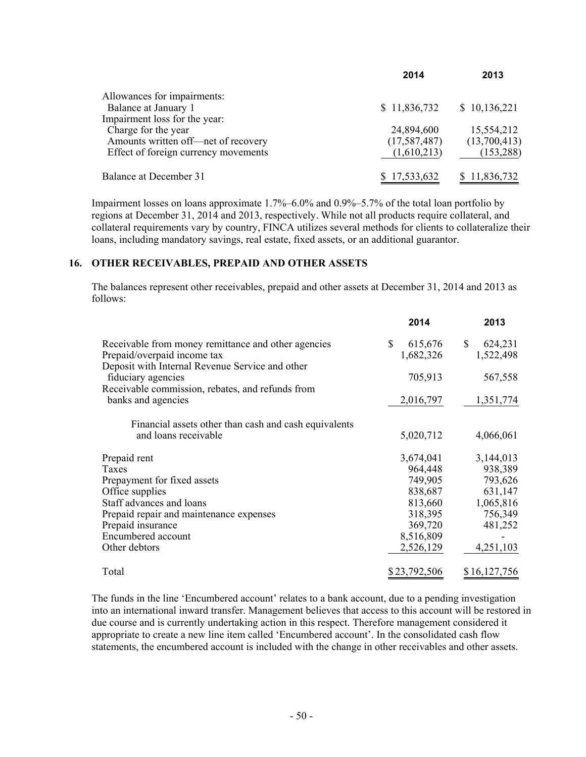|                                      | 2014           | 2013         |
|--------------------------------------|----------------|--------------|
| Allowances for impairments:          |                |              |
| Balance at January 1                 | \$11,836,732   | \$10,136,221 |
| Impairment loss for the year:        |                |              |
| Charge for the year                  | 24,894,600     | 15,554,212   |
| Amounts written off—net of recovery  | (17, 587, 487) | (13,700,413) |
| Effect of foreign currency movements | (1,610,213)    | (153, 288)   |
| Balance at December 31               | \$17,533,632   | \$11,836,732 |

Impairment losses on loans approximate 1.7%–6.0% and 0.9%–5.7% of the total loan portfolio by regions at December 31, 2014 and 2013, respectively. While not all products require collateral, and collateral requirements vary by country, FINCA utilizes several methods for clients to collateralize their loans, including mandatory savings, real estate, fixed assets, or an additional guarantor.

# **16. OTHER RECEIVABLES, PREPAID AND OTHER ASSETS**

The balances represent other receivables, prepaid and other assets at December 31, 2014 and 2013 as follows:

|                                                       | 2014         | 2013                     |
|-------------------------------------------------------|--------------|--------------------------|
| Receivable from money remittance and other agencies   | S<br>615,676 | <sup>\$</sup><br>624,231 |
| Prepaid/overpaid income tax                           | 1,682,326    | 1,522,498                |
| Deposit with Internal Revenue Service and other       |              |                          |
| fiduciary agencies                                    | 705,913      | 567,558                  |
| Receivable commission, rebates, and refunds from      |              |                          |
| banks and agencies                                    | 2,016,797    | 1,351,774                |
| Financial assets other than cash and cash equivalents |              |                          |
| and loans receivable                                  | 5,020,712    | 4,066,061                |
|                                                       |              |                          |
| Prepaid rent                                          | 3,674,041    | 3,144,013                |
| Taxes                                                 | 964,448      | 938,389                  |
| Prepayment for fixed assets                           | 749,905      | 793,626                  |
| Office supplies                                       | 838,687      | 631,147                  |
| Staff advances and loans                              | 813,660      | 1,065,816                |
| Prepaid repair and maintenance expenses               | 318,395      | 756,349                  |
| Prepaid insurance                                     | 369,720      | 481,252                  |
| Encumbered account                                    | 8,516,809    |                          |
| Other debtors                                         | 2,526,129    | 4,251,103                |
|                                                       |              |                          |
| Total                                                 | \$23,792,506 | \$16,127,756             |

The funds in the line 'Encumbered account' relates to a bank account, due to a pending investigation into an international inward transfer. Management believes that access to this account will be restored in due course and is currently undertaking action in this respect. Therefore management considered it appropriate to create a new line item called 'Encumbered account'. In the consolidated cash flow statements, the encumbered account is included with the change in other receivables and other assets.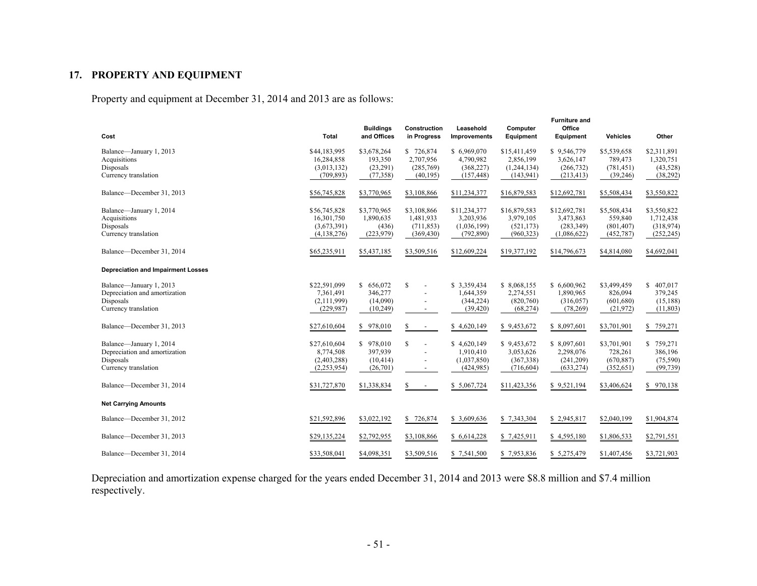#### **17. PROPERTY AND EQUIPMENT**

Property and equipment at December 31, 2014 and 2013 are as follows:

| Cost                                                                                          | <b>Total</b>                                             | <b>Buildings</b><br>and Offices                  | <b>Construction</b><br>in Progress                   | Leasehold<br>Improvements                              | Computer<br>Equipment                                  | <b>Furniture and</b><br>Office<br>Equipment            | <b>Vehicles</b>                                    | Other                                                |
|-----------------------------------------------------------------------------------------------|----------------------------------------------------------|--------------------------------------------------|------------------------------------------------------|--------------------------------------------------------|--------------------------------------------------------|--------------------------------------------------------|----------------------------------------------------|------------------------------------------------------|
| Balance-January 1, 2013<br>Acquisitions<br>Disposals<br>Currency translation                  | \$44,183,995<br>16,284,858<br>(3,013,132)<br>(709, 893)  | \$3,678,264<br>193,350<br>(23, 291)<br>(77, 358) | \$726,874<br>2,707,956<br>(285,769)<br>(40, 195)     | \$6,969,070<br>4,790,982<br>(368, 227)<br>(157, 448)   | \$15,411,459<br>2,856,199<br>(1,244,134)<br>(143, 941) | \$9,546,779<br>3,626,147<br>(266, 732)<br>(213, 413)   | \$5,539,658<br>789,473<br>(781, 451)<br>(39,246)   | \$2,311,891<br>1,320,751<br>(43,528)<br>(38,292)     |
| Balance-December 31, 2013                                                                     | \$56,745,828                                             | \$3,770,965                                      | \$3,108,866                                          | \$11,234,377                                           | \$16,879,583                                           | \$12,692,781                                           | \$5,508,434                                        | \$3,550,822                                          |
| Balance-January 1, 2014<br>Acquisitions<br>Disposals<br>Currency translation                  | \$56,745,828<br>16,301,750<br>(3,673,391)<br>(4,138,276) | \$3,770,965<br>1,890,635<br>(436)<br>(223, 979)  | \$3,108,866<br>1,481,933<br>(711, 853)<br>(369, 430) | \$11,234,377<br>3,203,936<br>(1,036,199)<br>(792, 890) | \$16,879,583<br>3,979,105<br>(521, 173)<br>(960, 323)  | \$12,692,781<br>3,473,863<br>(283, 349)<br>(1,086,622) | \$5,508,434<br>559,840<br>(801, 407)<br>(452, 787) | \$3,550,822<br>1,712,438<br>(318, 974)<br>(252, 245) |
| Balance-December 31, 2014                                                                     | \$65,235,911                                             | \$5,437,185                                      | \$3,509,516                                          | \$12,609,224                                           | \$19,377,192                                           | \$14,796,673                                           | \$4,814,080                                        | \$4,692,041                                          |
| <b>Depreciation and Impairment Losses</b>                                                     |                                                          |                                                  |                                                      |                                                        |                                                        |                                                        |                                                    |                                                      |
| Balance-January 1, 2013<br>Depreciation and amortization<br>Disposals<br>Currency translation | \$22,591,099<br>7,361,491<br>(2,111,999)<br>(229, 987)   | \$656,072<br>346,277<br>(14,090)<br>(10, 249)    | \$<br>$\overline{a}$<br>$\overline{\phantom{a}}$     | \$ 3,359,434<br>1,644,359<br>(344, 224)<br>(39, 420)   | \$ 8,068,155<br>2,274,551<br>(820,760)<br>(68, 274)    | \$6,600,962<br>1,890,965<br>(316, 057)<br>(78, 269)    | \$3,499,459<br>826,094<br>(601, 680)<br>(21, 972)  | \$<br>407,017<br>379,245<br>(15, 188)<br>(11, 803)   |
| Balance-December 31, 2013                                                                     | \$27,610,604                                             | \$978,010                                        | S<br>$\overline{\phantom{a}}$                        | \$4,620,149                                            | \$9,453,672                                            | \$8,097,601                                            | \$3,701,901                                        | \$759,271                                            |
| Balance-January 1, 2014<br>Depreciation and amortization<br>Disposals<br>Currency translation | \$27,610,604<br>8,774,508<br>(2,403,288)<br>(2,253,954)  | \$978,010<br>397,939<br>(10, 414)<br>(26,701)    | S<br>$\blacksquare$                                  | \$4,620,149<br>1,910,410<br>(1,037,850)<br>(424, 985)  | \$9,453,672<br>3,053,626<br>(367, 338)<br>(716, 604)   | \$ 8,097,601<br>2,298,076<br>(241, 209)<br>(633, 274)  | \$3,701,901<br>728,261<br>(670, 887)<br>(352, 651) | \$759,271<br>386,196<br>(75,590)<br>(99, 739)        |
| Balance-December 31, 2014                                                                     | \$31,727,870                                             | \$1,338,834                                      | S.<br>$\overline{\phantom{a}}$                       | \$5,067,724                                            | \$11,423,356                                           | \$9,521,194                                            | \$3,406,624                                        | \$970,138                                            |
| <b>Net Carrying Amounts</b>                                                                   |                                                          |                                                  |                                                      |                                                        |                                                        |                                                        |                                                    |                                                      |
| Balance-December 31, 2012                                                                     | \$21,592,896                                             | \$3,022,192                                      | \$726,874                                            | \$ 3,609,636                                           | \$7,343,304                                            | \$2,945,817                                            | \$2,040,199                                        | \$1,904,874                                          |
| Balance-December 31, 2013                                                                     | \$29,135,224                                             | \$2,792,955                                      | \$3,108,866                                          | \$6,614,228                                            | \$7,425,911                                            | \$4,595,180                                            | \$1,806,533                                        | \$2,791,551                                          |
| Balance—December 31, 2014                                                                     | \$33,508,041                                             | \$4,098,351                                      | \$3,509,516                                          | \$7,541,500                                            | \$7,953,836                                            | \$5,275,479                                            | \$1,407,456                                        | \$3,721,903                                          |

Depreciation and amortization expense charged for the years ended December 31, 2014 and 2013 were \$8.8 million and \$7.4 million respectively.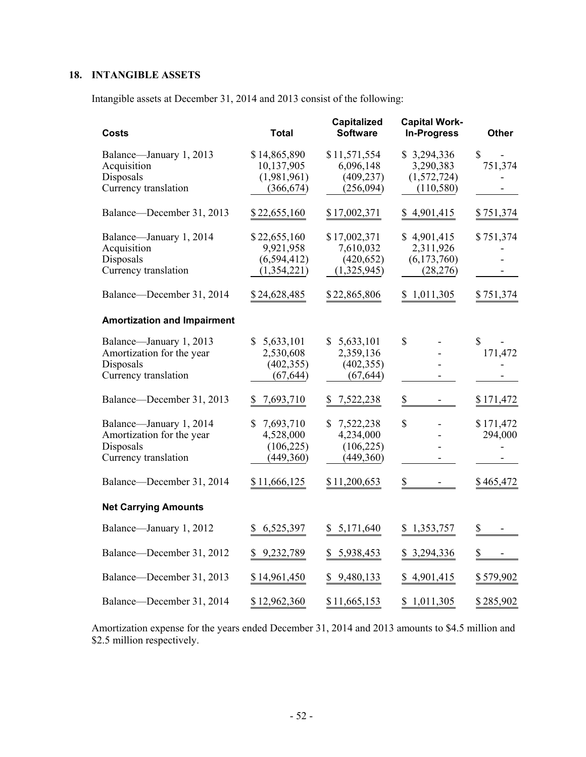# **18. INTANGIBLE ASSETS**

Intangible assets at December 31, 2014 and 2013 consist of the following:

| Costs                                                                                     | <b>Total</b>                                              | Capitalized<br><b>Software</b>                          | <b>Capital Work-</b><br><b>In-Progress</b>            | <b>Other</b>            |
|-------------------------------------------------------------------------------------------|-----------------------------------------------------------|---------------------------------------------------------|-------------------------------------------------------|-------------------------|
| Balance-January 1, 2013<br>Acquisition<br>Disposals<br>Currency translation               | \$14,865,890<br>10,137,905<br>(1,981,961)<br>(366, 674)   | \$11,571,554<br>6,096,148<br>(409, 237)<br>(256,094)    | \$3,294,336<br>3,290,383<br>(1,572,724)<br>(110, 580) | $\mathbb{S}$<br>751,374 |
| Balance-December 31, 2013                                                                 | \$22,655,160                                              | \$17,002,371                                            | \$4,901,415                                           | \$751,374               |
| Balance—January 1, 2014<br>Acquisition<br>Disposals<br>Currency translation               | \$22,655,160<br>9,921,958<br>(6, 594, 412)<br>(1,354,221) | \$17,002,371<br>7,610,032<br>(420, 652)<br>(1,325,945)  | \$4,901,415<br>2,311,926<br>(6,173,760)<br>(28, 276)  | \$751,374<br>÷,         |
| Balance-December 31, 2014                                                                 | \$24,628,485                                              | \$22,865,806                                            | \$1,011,305                                           | \$751,374               |
| <b>Amortization and Impairment</b>                                                        |                                                           |                                                         |                                                       |                         |
| Balance—January 1, 2013<br>Amortization for the year<br>Disposals<br>Currency translation | \$5,633,101<br>2,530,608<br>(402, 355)<br>(67, 644)       | \$5,633,101<br>2,359,136<br>(402, 355)<br>(67, 644)     | \$<br>$\overline{\phantom{a}}$                        | $\mathbb{S}$<br>171,472 |
| Balance—December 31, 2013                                                                 | \$7,693,710                                               | 7,522,238<br>\$                                         | \$                                                    | \$171,472               |
| Balance—January 1, 2014<br>Amortization for the year<br>Disposals<br>Currency translation | 7,693,710<br>S.<br>4,528,000<br>(106, 225)<br>(449,360)   | 7,522,238<br>\$<br>4,234,000<br>(106, 225)<br>(449,360) | \$                                                    | \$171,472<br>294,000    |
| Balance-December 31, 2014                                                                 | \$11,666,125                                              | \$11,200,653                                            | \$                                                    | \$465,472               |
| <b>Net Carrying Amounts</b>                                                               |                                                           |                                                         |                                                       |                         |
| Balance—January 1, 2012                                                                   | \$6,525,397                                               | 5,171,640                                               | \$1,353,757                                           | \$                      |
| Balance—December 31, 2012                                                                 | \$9,232,789                                               | \$5,938,453                                             | \$3,294,336                                           | $\$$                    |
| Balance—December 31, 2013                                                                 | \$14,961,450                                              | 9,480,133<br>\$                                         | \$4,901,415                                           | \$579,902               |
| Balance—December 31, 2014                                                                 | \$12,962,360                                              | \$11,665,153                                            | \$1,011,305                                           | \$285,902               |

Amortization expense for the years ended December 31, 2014 and 2013 amounts to \$4.5 million and \$2.5 million respectively.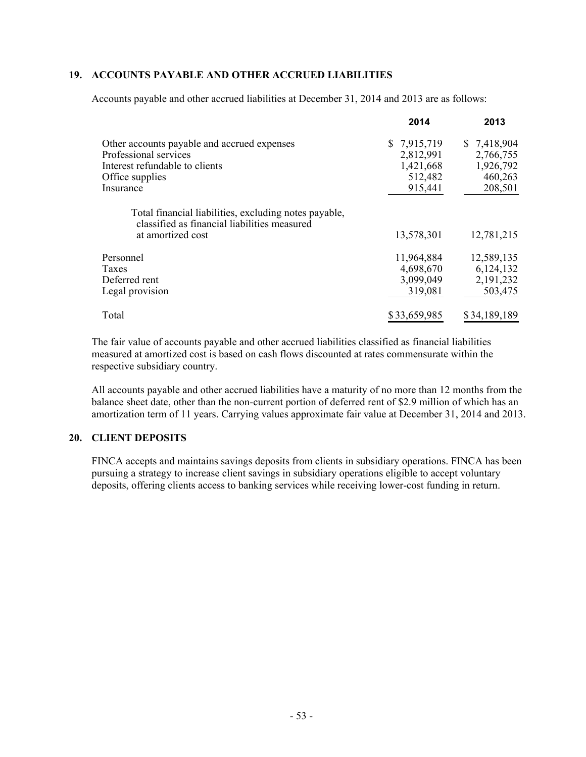#### **19. ACCOUNTS PAYABLE AND OTHER ACCRUED LIABILITIES**

Accounts payable and other accrued liabilities at December 31, 2014 and 2013 are as follows:

|                                                                                                       | 2014         | 2013         |
|-------------------------------------------------------------------------------------------------------|--------------|--------------|
| Other accounts payable and accrued expenses                                                           | \$7,915,719  | \$7,418,904  |
| Professional services                                                                                 | 2,812,991    | 2,766,755    |
| Interest refundable to clients                                                                        | 1,421,668    | 1,926,792    |
| Office supplies                                                                                       | 512,482      | 460,263      |
| Insurance                                                                                             | 915,441      | 208,501      |
| Total financial liabilities, excluding notes payable,<br>classified as financial liabilities measured |              |              |
| at amortized cost                                                                                     | 13,578,301   | 12,781,215   |
| Personnel                                                                                             | 11,964,884   | 12,589,135   |
| Taxes                                                                                                 | 4,698,670    | 6,124,132    |
| Deferred rent                                                                                         | 3,099,049    | 2,191,232    |
| Legal provision                                                                                       | 319,081      | 503,475      |
| Total                                                                                                 | \$33,659,985 | \$34,189,189 |

The fair value of accounts payable and other accrued liabilities classified as financial liabilities measured at amortized cost is based on cash flows discounted at rates commensurate within the respective subsidiary country.

All accounts payable and other accrued liabilities have a maturity of no more than 12 months from the balance sheet date, other than the non-current portion of deferred rent of \$2.9 million of which has an amortization term of 11 years. Carrying values approximate fair value at December 31, 2014 and 2013.

#### **20. CLIENT DEPOSITS**

FINCA accepts and maintains savings deposits from clients in subsidiary operations. FINCA has been pursuing a strategy to increase client savings in subsidiary operations eligible to accept voluntary deposits, offering clients access to banking services while receiving lower-cost funding in return.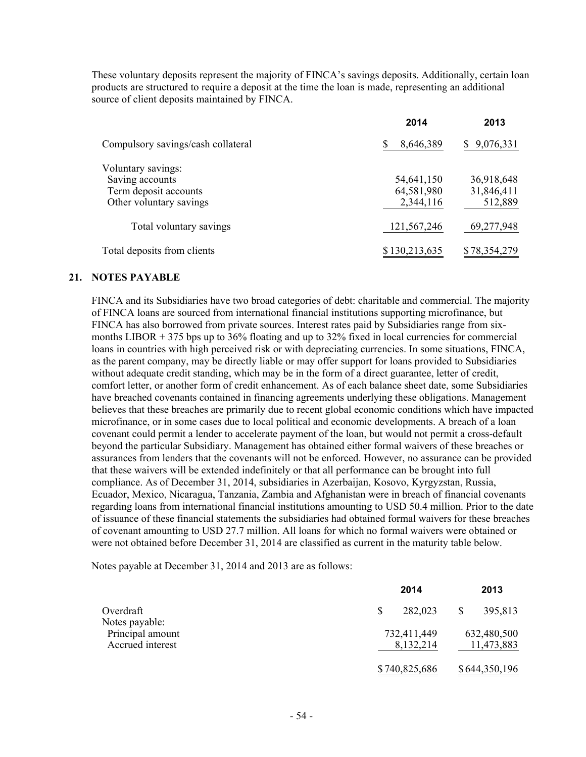These voluntary deposits represent the majority of FINCA's savings deposits. Additionally, certain loan products are structured to require a deposit at the time the loan is made, representing an additional source of client deposits maintained by FINCA.

|                                                                                           | 2014                                  | 2013                                |
|-------------------------------------------------------------------------------------------|---------------------------------------|-------------------------------------|
| Compulsory savings/cash collateral                                                        | 8,646,389<br>S                        | 9,076,331<br>S.                     |
| Voluntary savings:<br>Saving accounts<br>Term deposit accounts<br>Other voluntary savings | 54,641,150<br>64,581,980<br>2,344,116 | 36,918,648<br>31,846,411<br>512,889 |
| Total voluntary savings                                                                   | 121,567,246                           | 69,277,948                          |
| Total deposits from clients                                                               | \$130,213,635                         | \$78,354,279                        |

#### **21. NOTES PAYABLE**

FINCA and its Subsidiaries have two broad categories of debt: charitable and commercial. The majority of FINCA loans are sourced from international financial institutions supporting microfinance, but FINCA has also borrowed from private sources. Interest rates paid by Subsidiaries range from sixmonths LIBOR  $+$  375 bps up to 36% floating and up to 32% fixed in local currencies for commercial loans in countries with high perceived risk or with depreciating currencies. In some situations, FINCA, as the parent company, may be directly liable or may offer support for loans provided to Subsidiaries without adequate credit standing, which may be in the form of a direct guarantee, letter of credit, comfort letter, or another form of credit enhancement. As of each balance sheet date, some Subsidiaries have breached covenants contained in financing agreements underlying these obligations. Management believes that these breaches are primarily due to recent global economic conditions which have impacted microfinance, or in some cases due to local political and economic developments. A breach of a loan covenant could permit a lender to accelerate payment of the loan, but would not permit a cross-default beyond the particular Subsidiary. Management has obtained either formal waivers of these breaches or assurances from lenders that the covenants will not be enforced. However, no assurance can be provided that these waivers will be extended indefinitely or that all performance can be brought into full compliance. As of December 31, 2014, subsidiaries in Azerbaijan, Kosovo, Kyrgyzstan, Russia, Ecuador, Mexico, Nicaragua, Tanzania, Zambia and Afghanistan were in breach of financial covenants regarding loans from international financial institutions amounting to USD 50.4 million. Prior to the date of issuance of these financial statements the subsidiaries had obtained formal waivers for these breaches of covenant amounting to USD 27.7 million. All loans for which no formal waivers were obtained or were not obtained before December 31, 2014 are classified as current in the maturity table below.

Notes payable at December 31, 2014 and 2013 are as follows:

|                                                        | 2014                     | 2013                      |
|--------------------------------------------------------|--------------------------|---------------------------|
| Overdraft                                              | 282,023<br>S             | \$<br>395,813             |
| Notes payable:<br>Principal amount<br>Accrued interest | 732,411,449<br>8,132,214 | 632,480,500<br>11,473,883 |
|                                                        | \$740,825,686            | \$644,350,196             |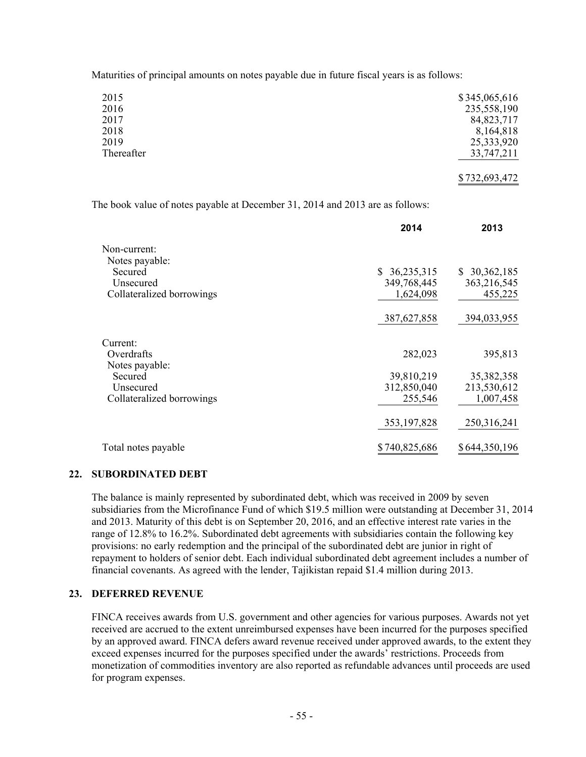Maturities of principal amounts on notes payable due in future fiscal years is as follows:

| 2015       | \$345,065,616 |
|------------|---------------|
| 2016       | 235,558,190   |
| 2017       | 84, 823, 717  |
| 2018       | 8,164,818     |
| 2019       | 25,333,920    |
| Thereafter | 33,747,211    |
|            | \$732,693,472 |

The book value of notes payable at December 31, 2014 and 2013 are as follows:

|                                | 2014             | 2013               |
|--------------------------------|------------------|--------------------|
| Non-current:<br>Notes payable: |                  |                    |
| Secured                        | 36,235,315<br>S. | 30, 362, 185<br>S. |
| Unsecured                      | 349,768,445      | 363,216,545        |
| Collateralized borrowings      | 1,624,098        | 455,225            |
|                                | 387,627,858      | 394,033,955        |
| Current:                       |                  |                    |
| Overdrafts                     | 282,023          | 395,813            |
| Notes payable:                 |                  |                    |
| Secured                        | 39,810,219       | 35,382,358         |
| Unsecured                      | 312,850,040      | 213,530,612        |
| Collateralized borrowings      | 255,546          | 1,007,458          |
|                                | 353, 197, 828    | 250,316,241        |
| Total notes payable            | \$740,825,686    | \$644,350,196      |

#### **22. SUBORDINATED DEBT**

The balance is mainly represented by subordinated debt, which was received in 2009 by seven subsidiaries from the Microfinance Fund of which \$19.5 million were outstanding at December 31, 2014 and 2013. Maturity of this debt is on September 20, 2016, and an effective interest rate varies in the range of 12.8% to 16.2%. Subordinated debt agreements with subsidiaries contain the following key provisions: no early redemption and the principal of the subordinated debt are junior in right of repayment to holders of senior debt. Each individual subordinated debt agreement includes a number of financial covenants. As agreed with the lender, Tajikistan repaid \$1.4 million during 2013.

# **23. DEFERRED REVENUE**

FINCA receives awards from U.S. government and other agencies for various purposes. Awards not yet received are accrued to the extent unreimbursed expenses have been incurred for the purposes specified by an approved award. FINCA defers award revenue received under approved awards, to the extent they exceed expenses incurred for the purposes specified under the awards' restrictions. Proceeds from monetization of commodities inventory are also reported as refundable advances until proceeds are used for program expenses.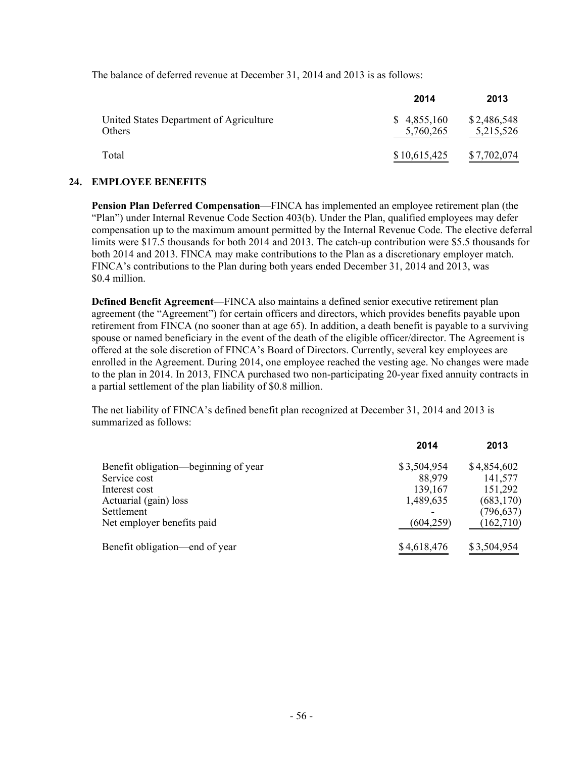The balance of deferred revenue at December 31, 2014 and 2013 is as follows:

|                                                   | 2014                     | 2013                     |
|---------------------------------------------------|--------------------------|--------------------------|
| United States Department of Agriculture<br>Others | \$4,855,160<br>5,760,265 | \$2,486,548<br>5,215,526 |
| Total                                             | \$10,615,425             | \$7,702,074              |

#### **24. EMPLOYEE BENEFITS**

**Pension Plan Deferred Compensation**—FINCA has implemented an employee retirement plan (the "Plan") under Internal Revenue Code Section 403(b). Under the Plan, qualified employees may defer compensation up to the maximum amount permitted by the Internal Revenue Code. The elective deferral limits were \$17.5 thousands for both 2014 and 2013. The catch-up contribution were \$5.5 thousands for both 2014 and 2013. FINCA may make contributions to the Plan as a discretionary employer match. FINCA's contributions to the Plan during both years ended December 31, 2014 and 2013, was \$0.4 million.

**Defined Benefit Agreement**—FINCA also maintains a defined senior executive retirement plan agreement (the "Agreement") for certain officers and directors, which provides benefits payable upon retirement from FINCA (no sooner than at age 65). In addition, a death benefit is payable to a surviving spouse or named beneficiary in the event of the death of the eligible officer/director. The Agreement is offered at the sole discretion of FINCA's Board of Directors. Currently, several key employees are enrolled in the Agreement. During 2014, one employee reached the vesting age. No changes were made to the plan in 2014. In 2013, FINCA purchased two non-participating 20-year fixed annuity contracts in a partial settlement of the plan liability of \$0.8 million.

The net liability of FINCA's defined benefit plan recognized at December 31, 2014 and 2013 is summarized as follows:

|                                      | 2014        | 2013        |
|--------------------------------------|-------------|-------------|
| Benefit obligation—beginning of year | \$3,504,954 | \$4,854,602 |
| Service cost                         | 88,979      | 141,577     |
| Interest cost                        | 139,167     | 151,292     |
| Actuarial (gain) loss                | 1,489,635   | (683, 170)  |
| Settlement                           |             | (796, 637)  |
| Net employer benefits paid           | (604, 259)  | (162, 710)  |
| Benefit obligation—end of year       | \$4,618,476 | \$3,504,954 |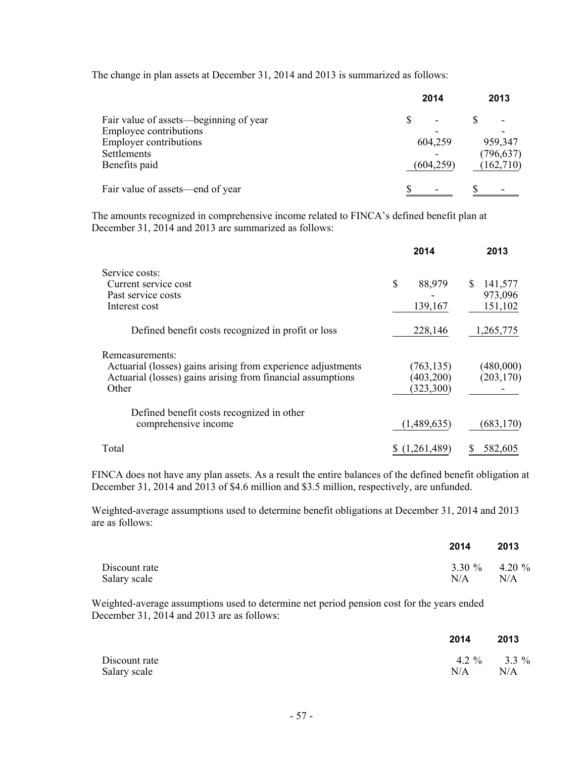The change in plan assets at December 31, 2014 and 2013 is summarized as follows:

|                                        | 2014       | 2013       |
|----------------------------------------|------------|------------|
| Fair value of assets—beginning of year |            |            |
| Employee contributions                 |            |            |
| <b>Employer contributions</b>          | 604,259    | 959,347    |
| Settlements                            |            | (796, 637) |
| Benefits paid                          | (604, 259) | (162, 710) |
| Fair value of assets—end of year       |            |            |

The amounts recognized in comprehensive income related to FINCA's defined benefit plan at December 31, 2014 and 2013 are summarized as follows:

|                                                                                                                                                | 2014                     | 2013                    |
|------------------------------------------------------------------------------------------------------------------------------------------------|--------------------------|-------------------------|
| Service costs:                                                                                                                                 |                          |                         |
| Current service cost                                                                                                                           | \$<br>88,979             | 141,577<br>\$.          |
| Past service costs                                                                                                                             |                          | 973,096                 |
| Interest cost                                                                                                                                  | 139,167                  | 151,102                 |
| Defined benefit costs recognized in profit or loss                                                                                             | 228,146                  | 1,265,775               |
| Remeasurements:<br>Actuarial (losses) gains arising from experience adjustments<br>Actuarial (losses) gains arising from financial assumptions | (763, 135)<br>(403, 200) | (480,000)<br>(203, 170) |
| Other                                                                                                                                          | (323, 300)               |                         |
| Defined benefit costs recognized in other<br>comprehensive income                                                                              | (1,489,635)              | (683, 170)              |
| Total                                                                                                                                          | (1,261,489)              | 582,605                 |

FINCA does not have any plan assets. As a result the entire balances of the defined benefit obligation at December 31, 2014 and 2013 of \$4.6 million and \$3.5 million, respectively, are unfunded.

Weighted-average assumptions used to determine benefit obligations at December 31, 2014 and 2013 are as follows:

|               | 2014 | 2013                |
|---------------|------|---------------------|
| Discount rate |      | 3.30 $\%$ 4.20 $\%$ |
| Salary scale  | N/A  | N/A                 |

Weighted-average assumptions used to determine net period pension cost for the years ended December 31, 2014 and 2013 are as follows:

|               | 2014 | 2013              |
|---------------|------|-------------------|
| Discount rate |      | 4.2 $\%$ 3.3 $\%$ |
| Salary scale  | N/A  | N/A               |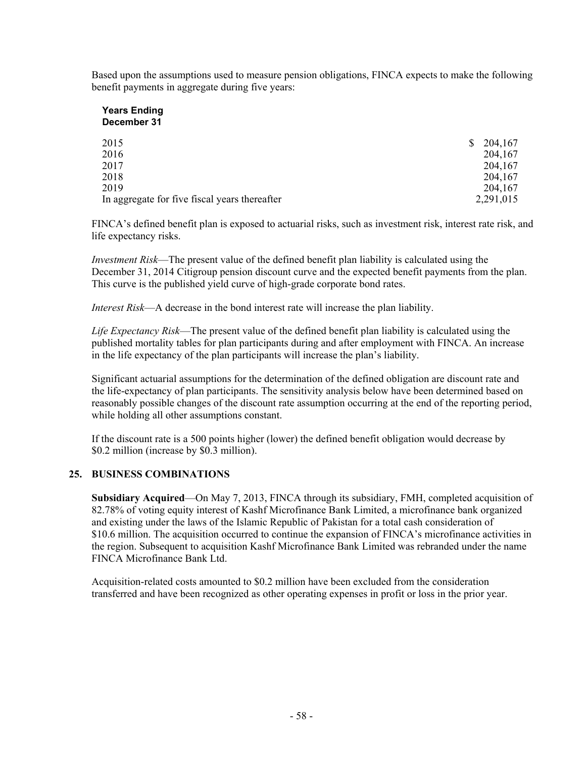Based upon the assumptions used to measure pension obligations, FINCA expects to make the following benefit payments in aggregate during five years:

#### **Years Ending December 31**

| 2015                                          | S. | 204,167   |
|-----------------------------------------------|----|-----------|
| 2016                                          |    | 204,167   |
| 2017                                          |    | 204,167   |
| 2018                                          |    | 204.167   |
| 2019                                          |    | 204.167   |
| In aggregate for five fiscal years thereafter |    | 2,291,015 |

FINCA's defined benefit plan is exposed to actuarial risks, such as investment risk, interest rate risk, and life expectancy risks.

*Investment Risk*—The present value of the defined benefit plan liability is calculated using the December 31, 2014 Citigroup pension discount curve and the expected benefit payments from the plan. This curve is the published yield curve of high-grade corporate bond rates.

*Interest Risk*—A decrease in the bond interest rate will increase the plan liability.

*Life Expectancy Risk*—The present value of the defined benefit plan liability is calculated using the published mortality tables for plan participants during and after employment with FINCA. An increase in the life expectancy of the plan participants will increase the plan's liability.

Significant actuarial assumptions for the determination of the defined obligation are discount rate and the life-expectancy of plan participants. The sensitivity analysis below have been determined based on reasonably possible changes of the discount rate assumption occurring at the end of the reporting period, while holding all other assumptions constant.

If the discount rate is a 500 points higher (lower) the defined benefit obligation would decrease by \$0.2 million (increase by \$0.3 million).

# **25. BUSINESS COMBINATIONS**

**Subsidiary Acquired**—On May 7, 2013, FINCA through its subsidiary, FMH, completed acquisition of 82.78% of voting equity interest of Kashf Microfinance Bank Limited, a microfinance bank organized and existing under the laws of the Islamic Republic of Pakistan for a total cash consideration of \$10.6 million. The acquisition occurred to continue the expansion of FINCA's microfinance activities in the region. Subsequent to acquisition Kashf Microfinance Bank Limited was rebranded under the name FINCA Microfinance Bank Ltd.

Acquisition-related costs amounted to \$0.2 million have been excluded from the consideration transferred and have been recognized as other operating expenses in profit or loss in the prior year.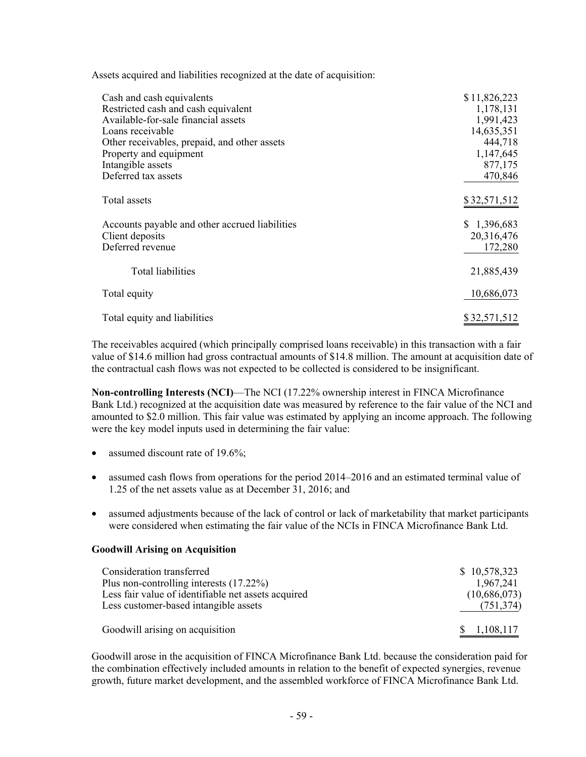Assets acquired and liabilities recognized at the date of acquisition:

| Cash and cash equivalents<br>Restricted cash and cash equivalent<br>Available-for-sale financial assets<br>Loans receivable<br>Other receivables, prepaid, and other assets | \$11,826,223<br>1,178,131<br>1,991,423<br>14,635,351<br>444,718 |
|-----------------------------------------------------------------------------------------------------------------------------------------------------------------------------|-----------------------------------------------------------------|
| Property and equipment                                                                                                                                                      | 1,147,645                                                       |
| Intangible assets<br>Deferred tax assets                                                                                                                                    | 877,175<br>470,846                                              |
| Total assets                                                                                                                                                                | \$32,571,512                                                    |
| Accounts payable and other accrued liabilities                                                                                                                              | \$1,396,683                                                     |
| Client deposits                                                                                                                                                             | 20,316,476                                                      |
| Deferred revenue                                                                                                                                                            | 172,280                                                         |
| Total liabilities                                                                                                                                                           | 21,885,439                                                      |
| Total equity                                                                                                                                                                | 10,686,073                                                      |
| Total equity and liabilities                                                                                                                                                | \$32,571,512                                                    |

The receivables acquired (which principally comprised loans receivable) in this transaction with a fair value of \$14.6 million had gross contractual amounts of \$14.8 million. The amount at acquisition date of the contractual cash flows was not expected to be collected is considered to be insignificant.

**Non-controlling Interests (NCI)**—The NCI (17.22% ownership interest in FINCA Microfinance Bank Ltd.) recognized at the acquisition date was measured by reference to the fair value of the NCI and amounted to \$2.0 million. This fair value was estimated by applying an income approach. The following were the key model inputs used in determining the fair value:

- assumed discount rate of 19.6%;
- assumed cash flows from operations for the period 2014–2016 and an estimated terminal value of 1.25 of the net assets value as at December 31, 2016; and
- assumed adjustments because of the lack of control or lack of marketability that market participants were considered when estimating the fair value of the NCIs in FINCA Microfinance Bank Ltd.

#### **Goodwill Arising on Acquisition**

| Consideration transferred                           | \$10,578,323 |
|-----------------------------------------------------|--------------|
| Plus non-controlling interests $(17.22\%)$          | 1,967,241    |
| Less fair value of identifiable net assets acquired | (10,686,073) |
| Less customer-based intangible assets               | (751, 374)   |
| Goodwill arising on acquisition                     | 1,108,117    |

Goodwill arose in the acquisition of FINCA Microfinance Bank Ltd. because the consideration paid for the combination effectively included amounts in relation to the benefit of expected synergies, revenue growth, future market development, and the assembled workforce of FINCA Microfinance Bank Ltd.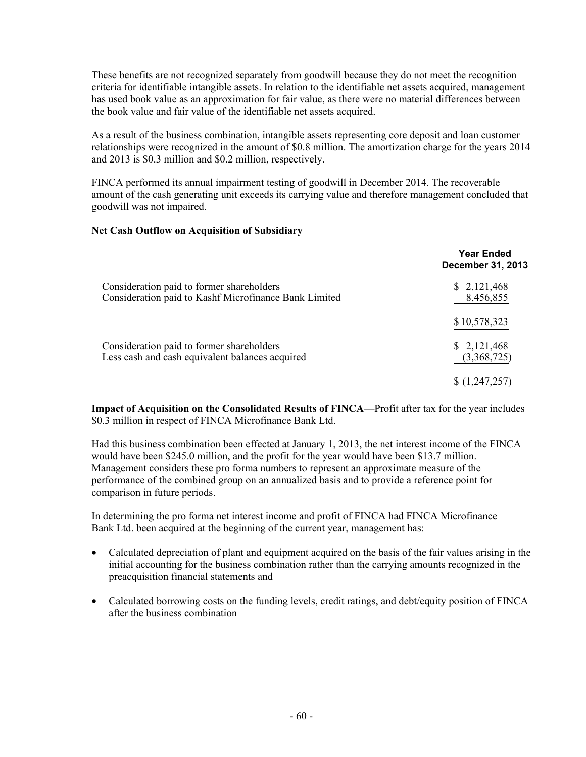These benefits are not recognized separately from goodwill because they do not meet the recognition criteria for identifiable intangible assets. In relation to the identifiable net assets acquired, management has used book value as an approximation for fair value, as there were no material differences between the book value and fair value of the identifiable net assets acquired.

As a result of the business combination, intangible assets representing core deposit and loan customer relationships were recognized in the amount of \$0.8 million. The amortization charge for the years 2014 and 2013 is \$0.3 million and \$0.2 million, respectively.

FINCA performed its annual impairment testing of goodwill in December 2014. The recoverable amount of the cash generating unit exceeds its carrying value and therefore management concluded that goodwill was not impaired.

#### **Net Cash Outflow on Acquisition of Subsidiary**

|                                                                                                    | <b>Year Ended</b><br><b>December 31, 2013</b> |
|----------------------------------------------------------------------------------------------------|-----------------------------------------------|
| Consideration paid to former shareholders<br>Consideration paid to Kashf Microfinance Bank Limited | \$2,121,468<br>8,456,855                      |
|                                                                                                    | \$10,578,323                                  |
| Consideration paid to former shareholders<br>Less cash and cash equivalent balances acquired       | \$2,121,468<br>(3,368,725)                    |
|                                                                                                    | (1,247,257)                                   |

**Impact of Acquisition on the Consolidated Results of FINCA**—Profit after tax for the year includes \$0.3 million in respect of FINCA Microfinance Bank Ltd.

Had this business combination been effected at January 1, 2013, the net interest income of the FINCA would have been \$245.0 million, and the profit for the year would have been \$13.7 million. Management considers these pro forma numbers to represent an approximate measure of the performance of the combined group on an annualized basis and to provide a reference point for comparison in future periods.

In determining the pro forma net interest income and profit of FINCA had FINCA Microfinance Bank Ltd. been acquired at the beginning of the current year, management has:

- Calculated depreciation of plant and equipment acquired on the basis of the fair values arising in the initial accounting for the business combination rather than the carrying amounts recognized in the preacquisition financial statements and
- Calculated borrowing costs on the funding levels, credit ratings, and debt/equity position of FINCA after the business combination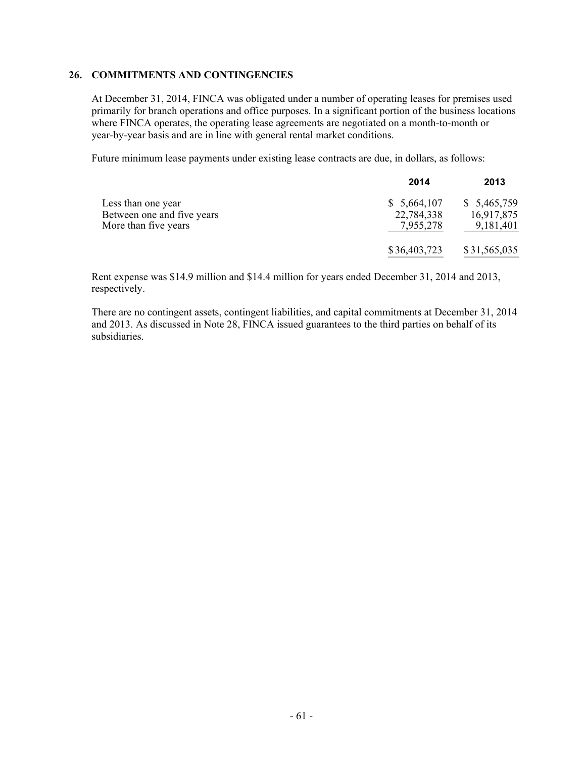# **26. COMMITMENTS AND CONTINGENCIES**

At December 31, 2014, FINCA was obligated under a number of operating leases for premises used primarily for branch operations and office purposes. In a significant portion of the business locations where FINCA operates, the operating lease agreements are negotiated on a month-to-month or year-by-year basis and are in line with general rental market conditions.

Future minimum lease payments under existing lease contracts are due, in dollars, as follows:

|                                                                          | 2014                                   | 2013                                   |
|--------------------------------------------------------------------------|----------------------------------------|----------------------------------------|
| Less than one year<br>Between one and five years<br>More than five years | \$5,664,107<br>22,784,338<br>7.955.278 | \$5,465,759<br>16,917,875<br>9,181,401 |
|                                                                          | \$36,403,723                           | \$31,565,035                           |

Rent expense was \$14.9 million and \$14.4 million for years ended December 31, 2014 and 2013, respectively.

There are no contingent assets, contingent liabilities, and capital commitments at December 31, 2014 and 2013. As discussed in Note 28, FINCA issued guarantees to the third parties on behalf of its subsidiaries.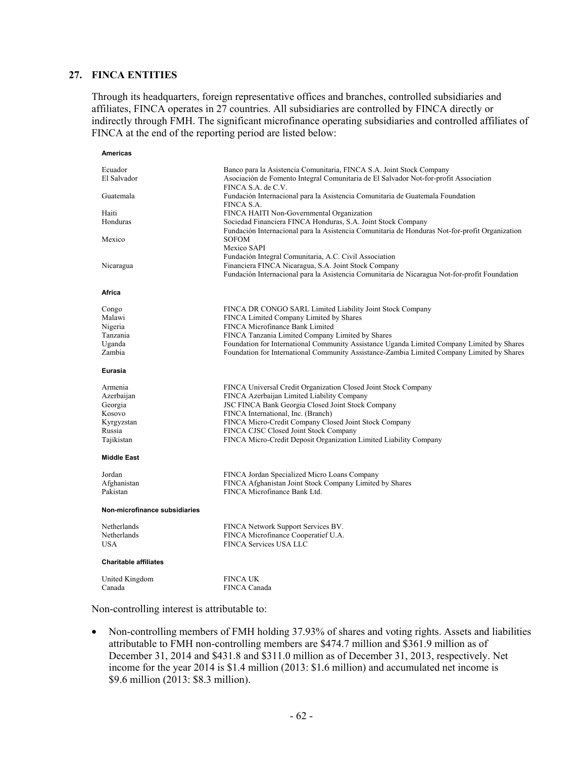#### **27. FINCA ENTITIES**

Through its headquarters, foreign representative offices and branches, controlled subsidiaries and affiliates, FINCA operates in 27 countries. All subsidiaries are controlled by FINCA directly or indirectly through FMH. The significant microfinance operating subsidiaries and controlled affiliates of FINCA at the end of the reporting period are listed below:

| <b>Americas</b>               |                                                                                                                                                       |
|-------------------------------|-------------------------------------------------------------------------------------------------------------------------------------------------------|
| Ecuador                       | Banco para la Asistencia Comunitaria, FINCA S.A. Joint Stock Company                                                                                  |
| El Salvador                   | Asociación de Fomento Integral Comunitaria de El Salvador Not-for-profit Association<br>FINCA S.A. de C.V.                                            |
| Guatemala                     | Fundación Internacional para la Asistencia Comunitaria de Guatemala Foundation<br>FINCA S.A.                                                          |
| Haiti                         | FINCA HAITI Non-Governmental Organization                                                                                                             |
| Honduras                      | Sociedad Financiera FINCA Honduras, S.A. Joint Stock Company                                                                                          |
| Mexico                        | Fundación Internacional para la Asistencia Comunitaria de Honduras Not-for-profit Organization<br><b>SOFOM</b>                                        |
|                               | Mexico SAPI                                                                                                                                           |
|                               | Fundación Integral Comunitaria, A.C. Civil Association                                                                                                |
| Nicaragua                     | Financiera FINCA Nicaragua, S.A. Joint Stock Company<br>Fundación Internacional para la Asistencia Comunitaria de Nicaragua Not-for-profit Foundation |
| Africa                        |                                                                                                                                                       |
| Congo                         | FINCA DR CONGO SARL Limited Liability Joint Stock Company                                                                                             |
| Malawi                        | FINCA Limited Company Limited by Shares                                                                                                               |
| Nigeria                       | FINCA Microfinance Bank Limited                                                                                                                       |
| Tanzania                      | FINCA Tanzania Limited Company Limited by Shares                                                                                                      |
| Uganda                        | Foundation for International Community Assistance Uganda Limited Company Limited by Shares                                                            |
| Zambia                        | Foundation for International Community Assistance-Zambia Limited Company Limited by Shares                                                            |
| Eurasia                       |                                                                                                                                                       |
| Armenia                       | FINCA Universal Credit Organization Closed Joint Stock Company                                                                                        |
| Azerbaijan                    | FINCA Azerbaijan Limited Liability Company                                                                                                            |
| Georgia                       | <b>JSC FINCA Bank Georgia Closed Joint Stock Company</b>                                                                                              |
| Kosovo                        | FINCA International, Inc. (Branch)                                                                                                                    |
| Kyrgyzstan                    | FINCA Micro-Credit Company Closed Joint Stock Company                                                                                                 |
| Russia                        | FINCA CJSC Closed Joint Stock Company                                                                                                                 |
| Tajikistan                    | FINCA Micro-Credit Deposit Organization Limited Liability Company                                                                                     |
| <b>Middle East</b>            |                                                                                                                                                       |
| Jordan                        | FINCA Jordan Specialized Micro Loans Company                                                                                                          |
| Afghanistan                   | FINCA Afghanistan Joint Stock Company Limited by Shares                                                                                               |
| Pakistan                      | FINCA Microfinance Bank Ltd.                                                                                                                          |
| Non-microfinance subsidiaries |                                                                                                                                                       |
| Netherlands                   | FINCA Network Support Services BV.                                                                                                                    |
| Netherlands                   | FINCA Microfinance Cooperatief U.A.                                                                                                                   |
| <b>USA</b>                    | <b>FINCA Services USA LLC</b>                                                                                                                         |
| <b>Charitable affiliates</b>  |                                                                                                                                                       |
| United Kingdom                | <b>FINCA UK</b>                                                                                                                                       |
| Canada                        | FINCA Canada                                                                                                                                          |

Non-controlling interest is attributable to:

• Non-controlling members of FMH holding 37.93% of shares and voting rights. Assets and liabilities attributable to FMH non-controlling members are \$474.7 million and \$361.9 million as of December 31, 2014 and \$431.8 and \$311.0 million as of December 31, 2013, respectively. Net income for the year 2014 is \$1.4 million (2013: \$1.6 million) and accumulated net income is \$9.6 million (2013: \$8.3 million).